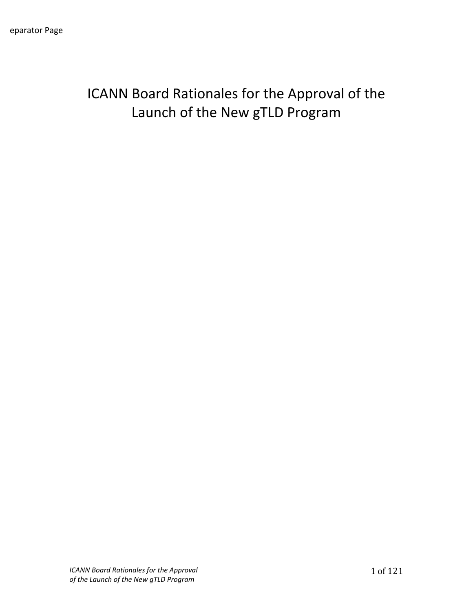# ICANN Board Rationales for the Approval of the Launch of the New gTLD Program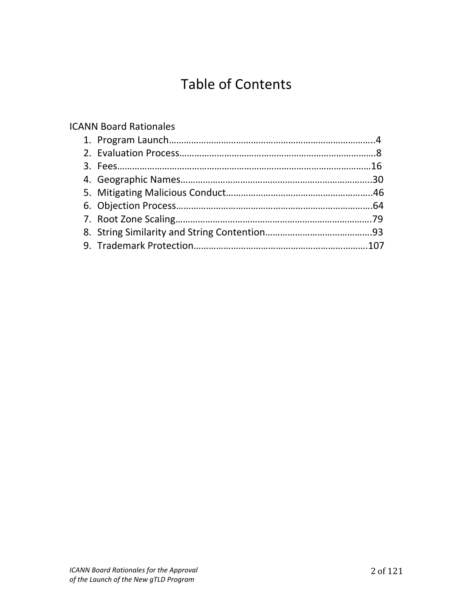# Table of Contents

# ICANN!Board!Rationales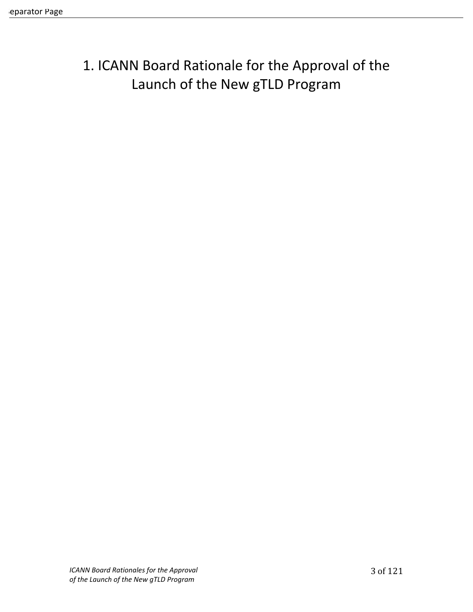# 1. ICANN Board Rationale for the Approval of the Launch of the New gTLD Program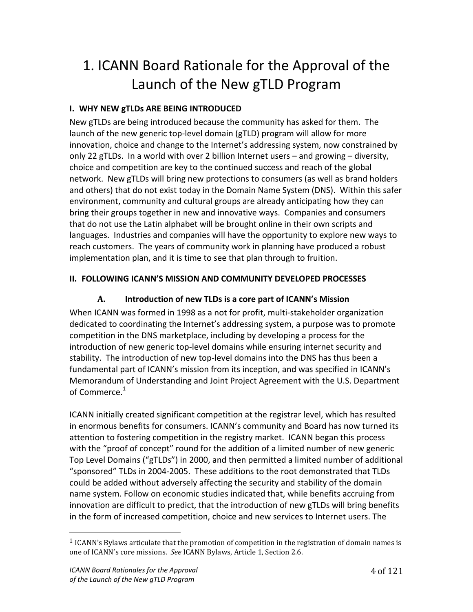# 1. ICANN Board Rationale for the Approval of the Launch of the New gTLD Program

## **I. WHY NEW gTLDs ARE BEING INTRODUCED**

New gTLDs are being introduced because the community has asked for them. The launch of the new generic top-level domain (gTLD) program will allow for more innovation, choice and change to the Internet's addressing system, now constrained by only 22 gTLDs. In a world with over 2 billion Internet users – and growing – diversity, choice and competition are key to the continued success and reach of the global network. New gTLDs will bring new protections to consumers (as well as brand holders and others) that do not exist today in the Domain Name System (DNS). Within this safer environment, community and cultural groups are already anticipating how they can bring their groups together in new and innovative ways. Companies and consumers that do not use the Latin alphabet will be brought online in their own scripts and languages. Industries and companies will have the opportunity to explore new ways to reach customers. The years of community work in planning have produced a robust implementation plan, and it is time to see that plan through to fruition.

## **II. FOLLOWING ICANN'S MISSION AND COMMUNITY DEVELOPED PROCESSES**

# A. Introduction of new TLDs is a core part of ICANN's Mission

When ICANN was formed in 1998 as a not for profit, multi-stakeholder organization dedicated to coordinating the Internet's addressing system, a purpose was to promote competition in the DNS marketplace, including by developing a process for the introduction of new generic top-level domains while ensuring internet security and stability. The introduction of new top-level domains into the DNS has thus been a fundamental part of ICANN's mission from its inception, and was specified in ICANN's Memorandum of Understanding and Joint Project Agreement with the U.S. Department of Commerce. $^{\rm 1}$ 

ICANN initially created significant competition at the registrar level, which has resulted in enormous benefits for consumers. ICANN's community and Board has now turned its attention to fostering competition in the registry market. ICANN began this process with the "proof of concept" round for the addition of a limited number of new generic Top Level Domains ("gTLDs") in 2000, and then permitted a limited number of additional "sponsored" TLDs in 2004-2005. These additions to the root demonstrated that TLDs could be added without adversely affecting the security and stability of the domain name system. Follow on economic studies indicated that, while benefits accruing from innovation are difficult to predict, that the introduction of new gTLDs will bring benefits in the form of increased competition, choice and new services to Internet users. The

"""""""""""""""""""""""""""""""""""""""""""""""""""""""

 $<sup>1</sup>$  ICANN's Bylaws articulate that the promotion of competition in the registration of domain names is</sup> one of ICANN's core missions. See ICANN Bylaws, Article 1, Section 2.6.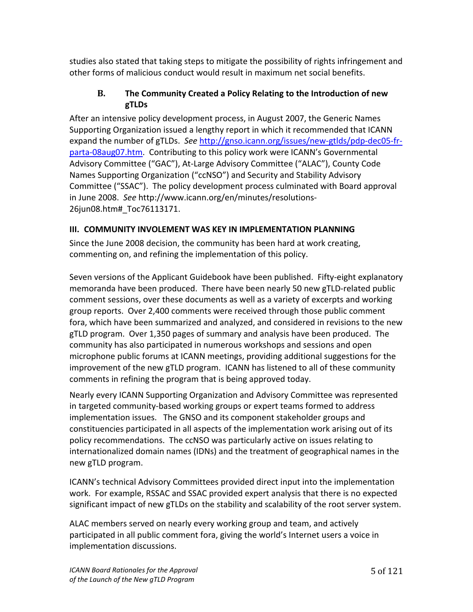studies also stated that taking steps to mitigate the possibility of rights infringement and other forms of malicious conduct would result in maximum net social benefits.

### **B.** The Community Created a Policy Relating to the Introduction of new **gTLDs**

After an intensive policy development process, in August 2007, the Generic Names Supporting Organization issued a lengthy report in which it recommended that ICANN expand the number of gTLDs. See http://gnso.icann.org/issues/new-gtlds/pdp-dec05-frparta-08aug07.htm. Contributing to this policy work were ICANN's Governmental Advisory Committee ("GAC"), At-Large Advisory Committee ("ALAC"), County Code Names Supporting Organization ("ccNSO") and Security and Stability Advisory Committee ("SSAC"). The policy development process culminated with Board approval in June 2008. See http://www.icann.org/en/minutes/resolutions-26jun08.htm#\_Toc76113171.!

## **III. COMMUNITY INVOLEMENT WAS KEY IN IMPLEMENTATION PLANNING**

Since the June 2008 decision, the community has been hard at work creating, commenting on, and refining the implementation of this policy.

Seven versions of the Applicant Guidebook have been published. Fifty-eight explanatory memoranda have been produced. There have been nearly 50 new gTLD-related public comment sessions, over these documents as well as a variety of excerpts and working group reports. Over 2,400 comments were received through those public comment fora, which have been summarized and analyzed, and considered in revisions to the new gTLD program. Over 1,350 pages of summary and analysis have been produced. The community has also participated in numerous workshops and sessions and open microphone public forums at ICANN meetings, providing additional suggestions for the improvement of the new gTLD program. ICANN has listened to all of these community comments in refining the program that is being approved today.

Nearly every ICANN Supporting Organization and Advisory Committee was represented in targeted community-based working groups or expert teams formed to address implementation issues. The GNSO and its component stakeholder groups and constituencies participated in all aspects of the implementation work arising out of its policy recommendations. The ccNSO was particularly active on issues relating to internationalized domain names (IDNs) and the treatment of geographical names in the new gTLD program.

ICANN's technical Advisory Committees provided direct input into the implementation work. For example, RSSAC and SSAC provided expert analysis that there is no expected significant impact of new gTLDs on the stability and scalability of the root server system.

ALAC members served on nearly every working group and team, and actively participated in all public comment fora, giving the world's Internet users a voice in implementation discussions.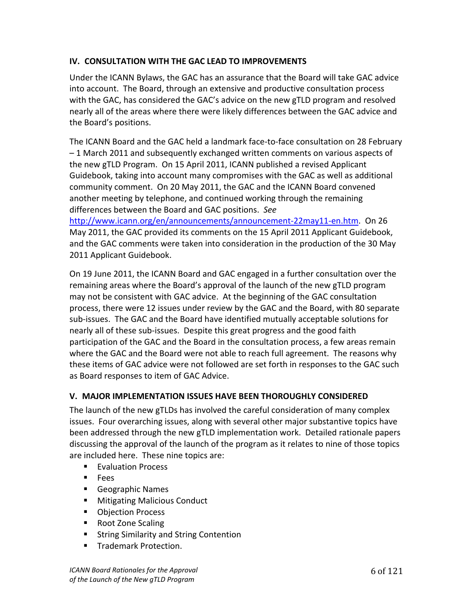#### **IV. CONSULTATION WITH THE GAC LEAD TO IMPROVEMENTS**

Under the ICANN Bylaws, the GAC has an assurance that the Board will take GAC advice into account. The Board, through an extensive and productive consultation process with the GAC, has considered the GAC's advice on the new gTLD program and resolved nearly all of the areas where there were likely differences between the GAC advice and the Board's positions.

The ICANN Board and the GAC held a landmark face-to-face consultation on 28 February - 1 March 2011 and subsequently exchanged written comments on various aspects of the new gTLD Program. On 15 April 2011, ICANN published a revised Applicant Guidebook, taking into account many compromises with the GAC as well as additional community comment. On 20 May 2011, the GAC and the ICANN Board convened another meeting by telephone, and continued working through the remaining differences between the Board and GAC positions. See

http://www.icann.org/en/announcements/announcement-22may11-en.htm. On 26 May 2011, the GAC provided its comments on the 15 April 2011 Applicant Guidebook, and the GAC comments were taken into consideration in the production of the 30 May 2011 Applicant Guidebook.

On 19 June 2011, the ICANN Board and GAC engaged in a further consultation over the remaining areas where the Board's approval of the launch of the new gTLD program may not be consistent with GAC advice. At the beginning of the GAC consultation process, there were 12 issues under review by the GAC and the Board, with 80 separate sub-issues. The GAC and the Board have identified mutually acceptable solutions for nearly all of these sub-issues. Despite this great progress and the good faith participation of the GAC and the Board in the consultation process, a few areas remain where the GAC and the Board were not able to reach full agreement. The reasons why these items of GAC advice were not followed are set forth in responses to the GAC such as Board responses to item of GAC Advice.

#### **V. MAJOR IMPLEMENTATION ISSUES HAVE BEEN THOROUGHLY CONSIDERED**

The launch of the new gTLDs has involved the careful consideration of many complex issues. Four overarching issues, along with several other major substantive topics have been addressed through the new gTLD implementation work. Detailed rationale papers discussing the approval of the launch of the program as it relates to nine of those topics are included here. These nine topics are:

- **Evaluation Process**
- **Fees**
- Geographic Names
- **Mitigating Malicious Conduct**
- Objection Process
- Root Zone Scaling
- **EXTEND String Similarity and String Contention**
- **Trademark Protection.**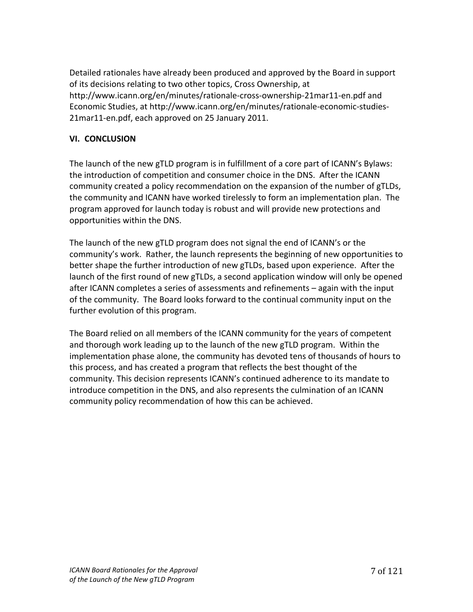Detailed rationales have already been produced and approved by the Board in support of its decisions relating to two other topics, Cross Ownership, at http://www.icann.org/en/minutes/rationale-cross-ownership-21mar11-en.pdf and Economic Studies, at http://www.icann.org/en/minutes/rationale-economic-studies-21 mar 11-en.pdf, each approved on 25 January 2011.

#### **VI.# CONCLUSION**

The launch of the new gTLD program is in fulfillment of a core part of ICANN's Bylaws: the introduction of competition and consumer choice in the DNS. After the ICANN community created a policy recommendation on the expansion of the number of gTLDs, the community and ICANN have worked tirelessly to form an implementation plan. The program approved for launch today is robust and will provide new protections and opportunities within the DNS.

The launch of the new gTLD program does not signal the end of ICANN's or the community's work. Rather, the launch represents the beginning of new opportunities to better shape the further introduction of new gTLDs, based upon experience. After the launch of the first round of new gTLDs, a second application window will only be opened after ICANN completes a series of assessments and refinements – again with the input of the community. The Board looks forward to the continual community input on the further evolution of this program.

The Board relied on all members of the ICANN community for the years of competent and thorough work leading up to the launch of the new gTLD program. Within the implementation phase alone, the community has devoted tens of thousands of hours to this process, and has created a program that reflects the best thought of the community. This decision represents ICANN's continued adherence to its mandate to introduce competition in the DNS, and also represents the culmination of an ICANN community policy recommendation of how this can be achieved.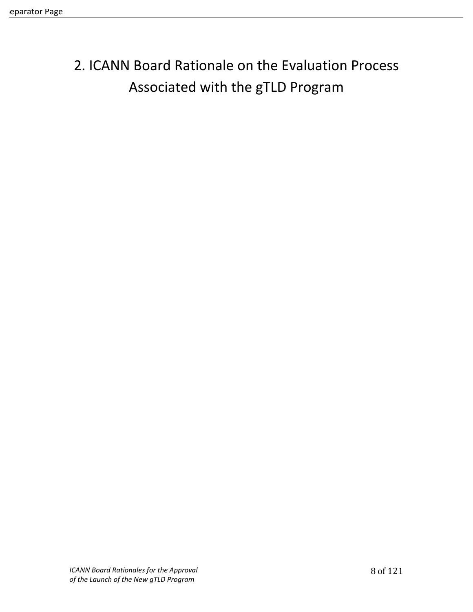# 2. ICANN Board Rationale on the Evaluation Process Associated with the gTLD Program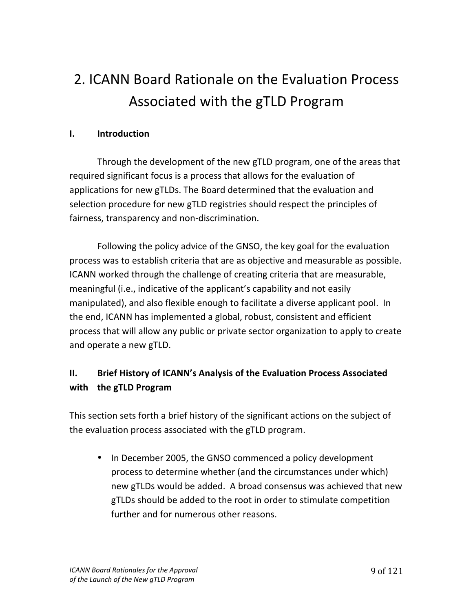# 2. ICANN Board Rationale on the Evaluation Process Associated with the gTLD Program

### **I. Introduction**

Through the development of the new gTLD program, one of the areas that required significant focus is a process that allows for the evaluation of applications for new gTLDs. The Board determined that the evaluation and selection procedure for new gTLD registries should respect the principles of fairness, transparency and non-discrimination.

Following the policy advice of the GNSO, the key goal for the evaluation process was to establish criteria that are as objective and measurable as possible. ICANN worked through the challenge of creating criteria that are measurable, meaningful (i.e., indicative of the applicant's capability and not easily manipulated), and also flexible enough to facilitate a diverse applicant pool. In the end, ICANN has implemented a global, robust, consistent and efficient process that will allow any public or private sector organization to apply to create and operate a new gTLD.

# **II.** Brief History of ICANN's Analysis of the Evaluation Process Associated **with the gTLD Program**

This section sets forth a brief history of the significant actions on the subject of the evaluation process associated with the gTLD program.

• In December 2005, the GNSO commenced a policy development process to determine whether (and the circumstances under which) new gTLDs would be added. A broad consensus was achieved that new gTLDs should be added to the root in order to stimulate competition further and for numerous other reasons.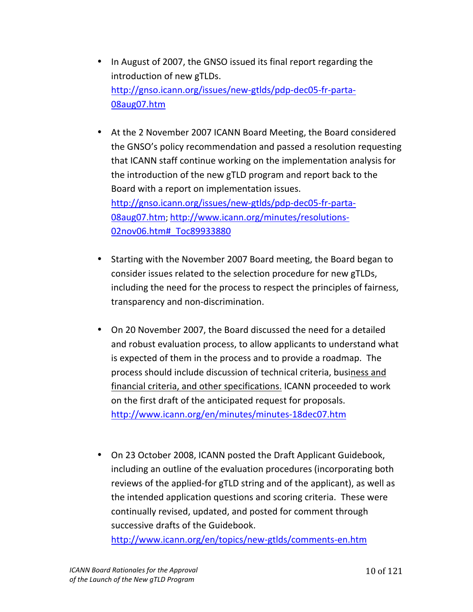- In August of 2007, the GNSO issued its final report regarding the introduction of new gTLDs. http://gnso.icann.org/issues/new-gtlds/pdp-dec05-fr-parta-08aug07.htm!!
- At the 2 November 2007 ICANN Board Meeting, the Board considered the GNSO's policy recommendation and passed a resolution requesting that ICANN staff continue working on the implementation analysis for the introduction of the new gTLD program and report back to the Board with a report on implementation issues. http://gnso.icann.org/issues/new-gtlds/pdp-dec05-fr-parta-08aug07.htm; http://www.icann.org/minutes/resolutions-

02nov06.htm# Toc89933880

- Starting with the November 2007 Board meeting, the Board began to consider issues related to the selection procedure for new gTLDs, including the need for the process to respect the principles of fairness, transparency and non-discrimination.
- On 20 November 2007, the Board discussed the need for a detailed and robust evaluation process, to allow applicants to understand what is expected of them in the process and to provide a roadmap. The process should include discussion of technical criteria, business and financial criteria, and other specifications. ICANN proceeded to work on the first draft of the anticipated request for proposals. http://www.icann.org/en/minutes/minutes-18dec07.htm
- On 23 October 2008, ICANN posted the Draft Applicant Guidebook, including an outline of the evaluation procedures (incorporating both reviews of the applied-for gTLD string and of the applicant), as well as the intended application questions and scoring criteria. These were continually revised, updated, and posted for comment through successive drafts of the Guidebook.

http://www.icann.org/en/topics/new-gtlds/comments-en.htm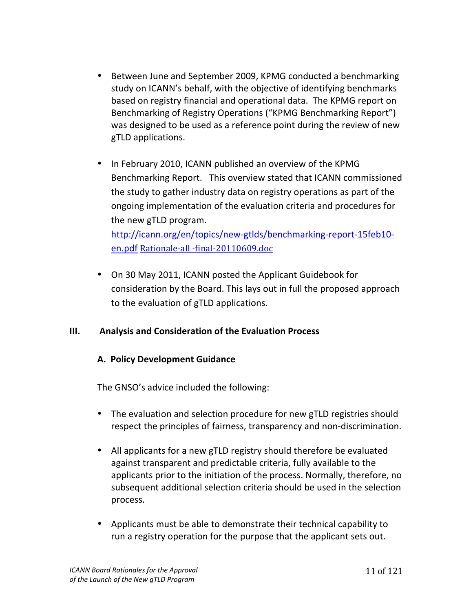- Between June and September 2009, KPMG conducted a benchmarking study on ICANN's behalf, with the objective of identifying benchmarks based on registry financial and operational data. The KPMG report on Benchmarking of Registry Operations ("KPMG Benchmarking Report") was designed to be used as a reference point during the review of new gTLD applications.
- In February 2010, ICANN published an overview of the KPMG Benchmarking Report. This overview stated that ICANN commissioned the study to gather industry data on registry operations as part of the ongoing implementation of the evaluation criteria and procedures for the new gTLD program.

http://icann.org/en/topics/new-gtlds/benchmarking-report-15feb10en.pdf Rationale-all -final-20110609.doc

• On 30 May 2011, ICANN posted the Applicant Guidebook for consideration by the Board. This lays out in full the proposed approach to the evaluation of gTLD applications.

#### **III.** Analysis and Consideration of the Evaluation Process

#### **A. Policy Development Guidance**

The GNSO's advice included the following:

- The evaluation and selection procedure for new gTLD registries should respect the principles of fairness, transparency and non-discrimination.
- All applicants for a new gTLD registry should therefore be evaluated against transparent and predictable criteria, fully available to the applicants prior to the initiation of the process. Normally, therefore, no subsequent additional selection criteria should be used in the selection process.
- Applicants must be able to demonstrate their technical capability to run a registry operation for the purpose that the applicant sets out.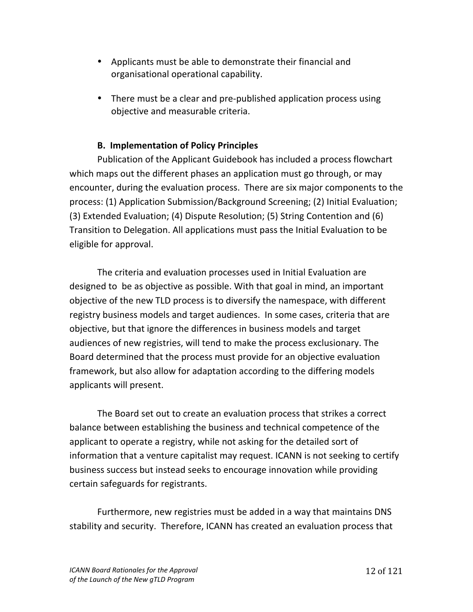- Applicants must be able to demonstrate their financial and organisational operational capability.
- There must be a clear and pre-published application process using objective and measurable criteria.

### **B. Implementation of Policy Principles**

Publication of the Applicant Guidebook has included a process flowchart which maps out the different phases an application must go through, or may encounter, during the evaluation process. There are six major components to the process: (1) Application Submission/Background Screening; (2) Initial Evaluation; (3) Extended Evaluation; (4) Dispute Resolution; (5) String Contention and (6) Transition to Delegation. All applications must pass the Initial Evaluation to be eligible for approval.

The criteria and evaluation processes used in Initial Evaluation are designed to be as objective as possible. With that goal in mind, an important objective of the new TLD process is to diversify the namespace, with different registry business models and target audiences. In some cases, criteria that are objective, but that ignore the differences in business models and target audiences of new registries, will tend to make the process exclusionary. The Board determined that the process must provide for an objective evaluation framework, but also allow for adaptation according to the differing models applicants will present.

The Board set out to create an evaluation process that strikes a correct balance between establishing the business and technical competence of the applicant to operate a registry, while not asking for the detailed sort of information that a venture capitalist may request. ICANN is not seeking to certify business success but instead seeks to encourage innovation while providing certain safeguards for registrants.

Furthermore, new registries must be added in a way that maintains DNS stability and security. Therefore, ICANN has created an evaluation process that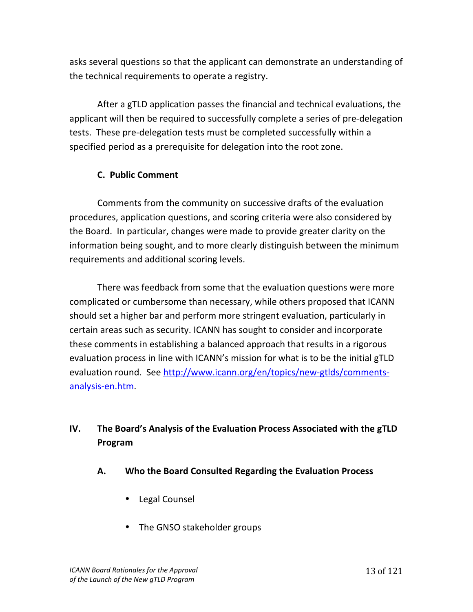asks several questions so that the applicant can demonstrate an understanding of the technical requirements to operate a registry.

After a gTLD application passes the financial and technical evaluations, the applicant will then be required to successfully complete a series of pre-delegation tests. These pre-delegation tests must be completed successfully within a specified period as a prerequisite for delegation into the root zone.

## **C. Public Comment**

Comments from the community on successive drafts of the evaluation procedures, application questions, and scoring criteria were also considered by the Board. In particular, changes were made to provide greater clarity on the information being sought, and to more clearly distinguish between the minimum requirements and additional scoring levels.

There was feedback from some that the evaluation questions were more complicated or cumbersome than necessary, while others proposed that ICANN should set a higher bar and perform more stringent evaluation, particularly in certain areas such as security. ICANN has sought to consider and incorporate these comments in establishing a balanced approach that results in a rigorous evaluation process in line with ICANN's mission for what is to be the initial gTLD evaluation round. See http://www.icann.org/en/topics/new-gtlds/commentsanalysis-en.htm.

# **IV.** The Board's Analysis of the Evaluation Process Associated with the gTLD **Program#**

- A. Who the Board Consulted Regarding the Evaluation Process
	- Legal Counsel
	- The GNSO stakeholder groups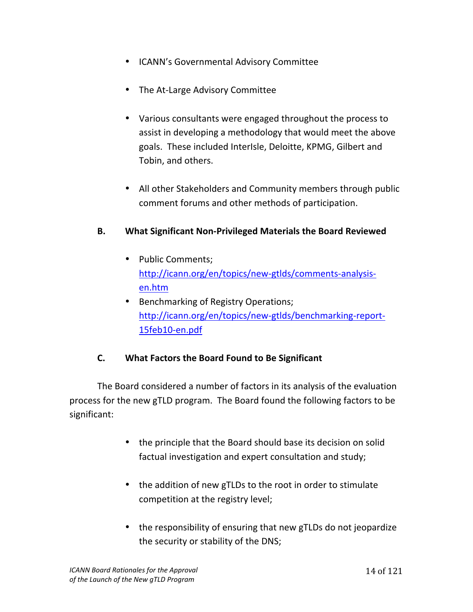- ICANN's Governmental Advisory Committee
- The At-Large Advisory Committee
- Various consultants were engaged throughout the process to assist in developing a methodology that would meet the above goals. These included InterIsle, Deloitte, KPMG, Gilbert and Tobin, and others.
- All other Stakeholders and Community members through public comment forums and other methods of participation.

## **B.** What Significant Non-Privileged Materials the Board Reviewed

- Public Comments; http://icann.org/en/topics/new-gtlds/comments-analysisen.htm
- Benchmarking of Registry Operations; http://icann.org/en/topics/new-gtlds/benchmarking-report-15feb10-en.pdf

## **C. What Factors the Board Found to Be Significant**

The Board considered a number of factors in its analysis of the evaluation process for the new gTLD program. The Board found the following factors to be significant:

- the principle that the Board should base its decision on solid factual investigation and expert consultation and study;
- the addition of new gTLDs to the root in order to stimulate competition at the registry level;
- the responsibility of ensuring that new gTLDs do not jeopardize the security or stability of the DNS;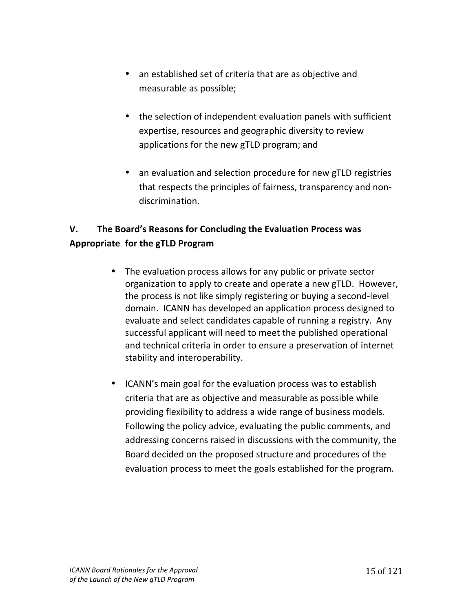- an established set of criteria that are as objective and measurable as possible;
- the selection of independent evaluation panels with sufficient expertise, resources and geographic diversity to review applications for the new gTLD program; and
- an evaluation and selection procedure for new gTLD registries that respects the principles of fairness, transparency and nondiscrimination.

# **V.** The Board's Reasons for Concluding the Evaluation Process was **Appropriate# for#the#gTLD#Program**

- The evaluation process allows for any public or private sector organization to apply to create and operate a new gTLD. However, the process is not like simply registering or buying a second-level domain. ICANN has developed an application process designed to evaluate and select candidates capable of running a registry. Any successful applicant will need to meet the published operational and technical criteria in order to ensure a preservation of internet stability and interoperability.
- ICANN's main goal for the evaluation process was to establish criteria that are as objective and measurable as possible while providing flexibility to address a wide range of business models. Following the policy advice, evaluating the public comments, and addressing concerns raised in discussions with the community, the Board decided on the proposed structure and procedures of the evaluation process to meet the goals established for the program.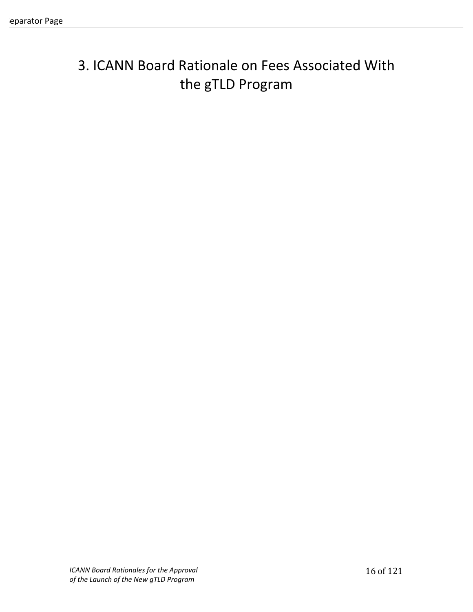# 3. ICANN Board Rationale on Fees Associated With the gTLD Program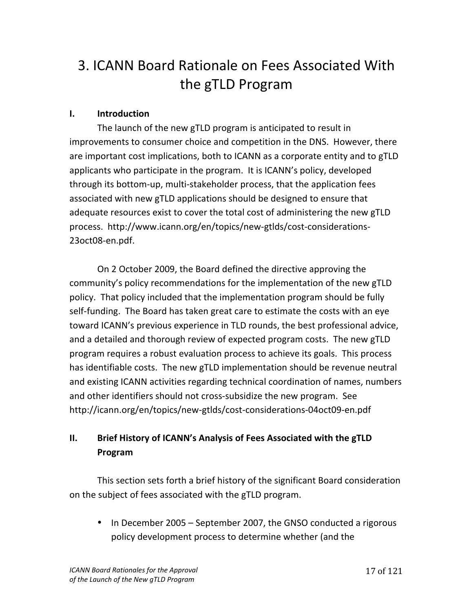# 3. ICANN Board Rationale on Fees Associated With the gTLD Program

### **I. Introduction**

The launch of the new gTLD program is anticipated to result in improvements to consumer choice and competition in the DNS. However, there are important cost implications, both to ICANN as a corporate entity and to gTLD applicants who participate in the program. It is ICANN's policy, developed through its bottom-up, multi-stakeholder process, that the application fees associated with new gTLD applications should be designed to ensure that adequate resources exist to cover the total cost of administering the new gTLD process. http://www.icann.org/en/topics/new-gtlds/cost-considerations-23oct08-en.pdf.

On 2 October 2009, the Board defined the directive approving the community's policy recommendations for the implementation of the new gTLD policy. That policy included that the implementation program should be fully self-funding. The Board has taken great care to estimate the costs with an eye toward ICANN's previous experience in TLD rounds, the best professional advice, and a detailed and thorough review of expected program costs. The new gTLD program requires a robust evaluation process to achieve its goals. This process has identifiable costs. The new gTLD implementation should be revenue neutral and existing ICANN activities regarding technical coordination of names, numbers and other identifiers should not cross-subsidize the new program. See http://icann.org/en/topics/new-gtlds/cost-considerations-04oct09-en.pdf

# **II.** Brief History of ICANN's Analysis of Fees Associated with the gTLD **Program**

This section sets forth a brief history of the significant Board consideration on the subject of fees associated with the gTLD program.

• In December 2005 – September 2007, the GNSO conducted a rigorous policy development process to determine whether (and the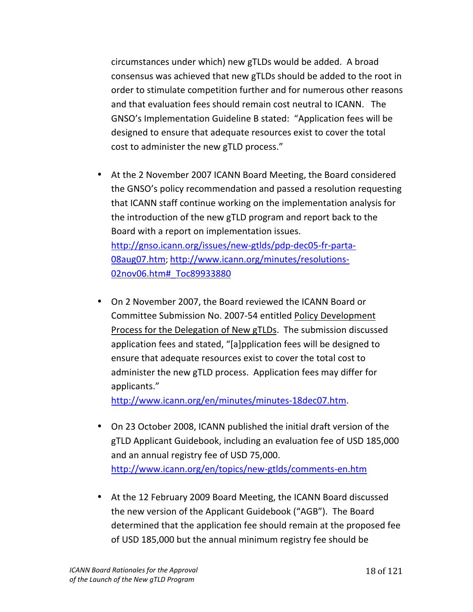circumstances under which) new gTLDs would be added. A broad consensus was achieved that new gTLDs should be added to the root in order to stimulate competition further and for numerous other reasons and that evaluation fees should remain cost neutral to ICANN. The GNSO's Implementation Guideline B stated: "Application fees will be designed to ensure that adequate resources exist to cover the total cost to administer the new gTLD process."

- At the 2 November 2007 ICANN Board Meeting, the Board considered the GNSO's policy recommendation and passed a resolution requesting that ICANN staff continue working on the implementation analysis for the introduction of the new gTLD program and report back to the Board with a report on implementation issues. http://gnso.icann.org/issues/new-gtlds/pdp-dec05-fr-parta-08aug07.htm; http://www.icann.org/minutes/resolutions-02nov06.htm# Toc89933880
- On 2 November 2007, the Board reviewed the ICANN Board or Committee Submission No. 2007-54 entitled Policy Development Process for the Delegation of New gTLDs. The submission discussed application fees and stated, "[a]pplication fees will be designed to ensure that adequate resources exist to cover the total cost to administer the new gTLD process. Application fees may differ for applicants."

http://www.icann.org/en/minutes/minutes-18dec07.htm.

- On 23 October 2008, ICANN published the initial draft version of the gTLD Applicant Guidebook, including an evaluation fee of USD 185,000 and an annual registry fee of USD 75,000. http://www.icann.org/en/topics/new-gtlds/comments-en.htm
- At the 12 February 2009 Board Meeting, the ICANN Board discussed the new version of the Applicant Guidebook ("AGB"). The Board determined that the application fee should remain at the proposed fee of USD 185,000 but the annual minimum registry fee should be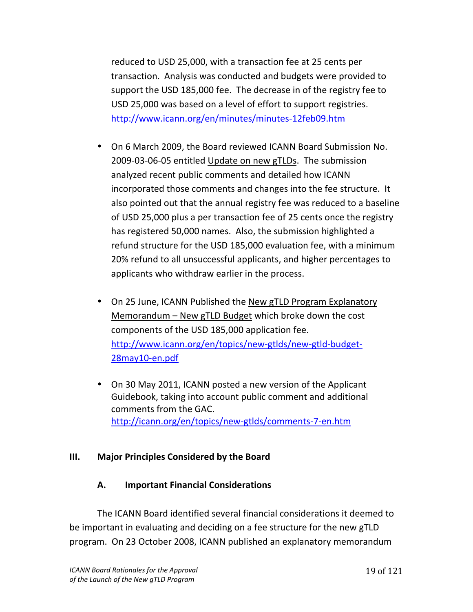reduced to USD 25,000, with a transaction fee at 25 cents per transaction. Analysis was conducted and budgets were provided to support the USD 185,000 fee. The decrease in of the registry fee to USD 25,000 was based on a level of effort to support registries. http://www.icann.org/en/minutes/minutes-12feb09.htm

- On 6 March 2009, the Board reviewed ICANN Board Submission No. 2009-03-06-05 entitled Update on new gTLDs. The submission analyzed recent public comments and detailed how ICANN incorporated those comments and changes into the fee structure. It also pointed out that the annual registry fee was reduced to a baseline of USD 25,000 plus a per transaction fee of 25 cents once the registry has registered 50,000 names. Also, the submission highlighted a refund structure for the USD 185,000 evaluation fee, with a minimum 20% refund to all unsuccessful applicants, and higher percentages to applicants who withdraw earlier in the process.
- On 25 June, ICANN Published the New gTLD Program Explanatory Memorandum – New gTLD Budget which broke down the cost components of the USD 185,000 application fee. http://www.icann.org/en/topics/new-gtlds/new-gtld-budget-28may10-en.pdf
- On 30 May 2011, ICANN posted a new version of the Applicant Guidebook, taking into account public comment and additional comments from the GAC. http://icann.org/en/topics/new-gtlds/comments-7-en.htm

#### **III.** Major Principles Considered by the Board

#### **A.** Important Financial Considerations

The ICANN Board identified several financial considerations it deemed to be important in evaluating and deciding on a fee structure for the new gTLD program. On 23 October 2008, ICANN published an explanatory memorandum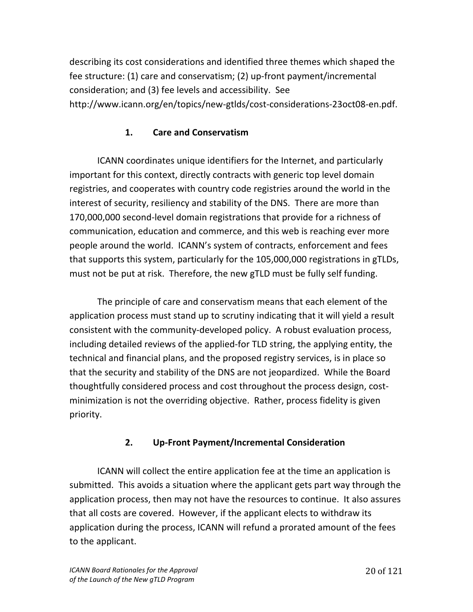describing its cost considerations and identified three themes which shaped the fee structure: (1) care and conservatism; (2) up-front payment/incremental consideration; and (3) fee levels and accessibility. See http://www.icann.org/en/topics/new-gtlds/cost-considerations-23oct08-en.pdf.

# **1. Care#and#Conservatism**

ICANN coordinates unique identifiers for the Internet, and particularly important for this context, directly contracts with generic top level domain registries, and cooperates with country code registries around the world in the interest of security, resiliency and stability of the DNS. There are more than 170,000,000 second-level domain registrations that provide for a richness of communication, education and commerce, and this web is reaching ever more people around the world. ICANN's system of contracts, enforcement and fees that supports this system, particularly for the 105,000,000 registrations in gTLDs, must not be put at risk. Therefore, the new gTLD must be fully self funding.

The principle of care and conservatism means that each element of the application process must stand up to scrutiny indicating that it will yield a result consistent with the community-developed policy. A robust evaluation process, including detailed reviews of the applied-for TLD string, the applying entity, the technical and financial plans, and the proposed registry services, is in place so that the security and stability of the DNS are not jeopardized. While the Board thoughtfully considered process and cost throughout the process design, costminimization is not the overriding objective. Rather, process fidelity is given priority.

# **2.** Up-Front Payment/Incremental Consideration

ICANN will collect the entire application fee at the time an application is submitted. This avoids a situation where the applicant gets part way through the application process, then may not have the resources to continue. It also assures that all costs are covered. However, if the applicant elects to withdraw its application during the process, ICANN will refund a prorated amount of the fees to the applicant.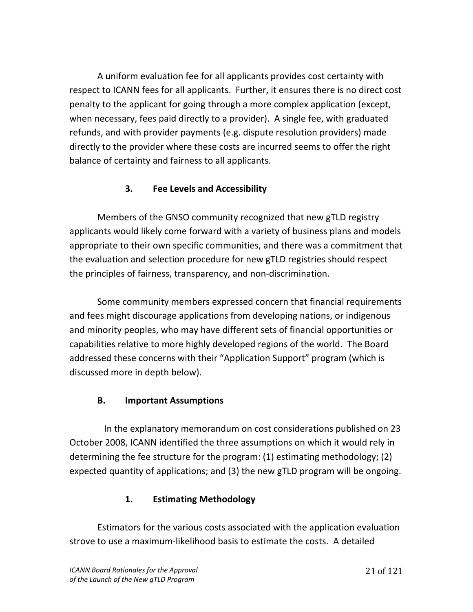A uniform evaluation fee for all applicants provides cost certainty with respect to ICANN fees for all applicants. Further, it ensures there is no direct cost penalty to the applicant for going through a more complex application (except, when necessary, fees paid directly to a provider). A single fee, with graduated refunds, and with provider payments (e.g. dispute resolution providers) made directly to the provider where these costs are incurred seems to offer the right balance of certainty and fairness to all applicants.

# **3. Fee Levels and Accessibility**

Members of the GNSO community recognized that new gTLD registry applicants would likely come forward with a variety of business plans and models appropriate to their own specific communities, and there was a commitment that the evaluation and selection procedure for new gTLD registries should respect the principles of fairness, transparency, and non-discrimination.

Some community members expressed concern that financial requirements and fees might discourage applications from developing nations, or indigenous and minority peoples, who may have different sets of financial opportunities or capabilities relative to more highly developed regions of the world. The Board addressed these concerns with their "Application Support" program (which is discussed more in depth below).

# **B.** Important Assumptions

In the explanatory memorandum on cost considerations published on 23 October 2008, ICANN identified the three assumptions on which it would rely in determining the fee structure for the program: (1) estimating methodology; (2) expected quantity of applications; and (3) the new gTLD program will be ongoing.

# **1. Estimating Methodology**

Estimators for the various costs associated with the application evaluation strove to use a maximum-likelihood basis to estimate the costs. A detailed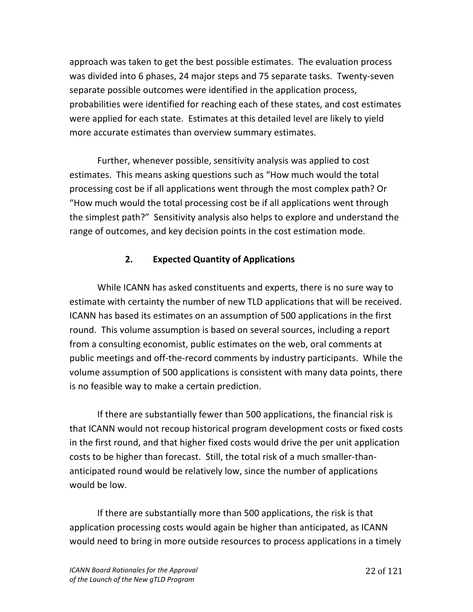approach was taken to get the best possible estimates. The evaluation process was divided into 6 phases, 24 major steps and 75 separate tasks. Twenty-seven separate possible outcomes were identified in the application process, probabilities were identified for reaching each of these states, and cost estimates were applied for each state. Estimates at this detailed level are likely to yield more accurate estimates than overview summary estimates.

Further, whenever possible, sensitivity analysis was applied to cost estimates. This means asking questions such as "How much would the total processing cost be if all applications went through the most complex path? Or "How much would the total processing cost be if all applications went through the simplest path?" Sensitivity analysis also helps to explore and understand the range of outcomes, and key decision points in the cost estimation mode.

## **2. Expected#Quantity#of#Applications**

While ICANN has asked constituents and experts, there is no sure way to estimate with certainty the number of new TLD applications that will be received. ICANN has based its estimates on an assumption of 500 applications in the first round. This volume assumption is based on several sources, including a report from a consulting economist, public estimates on the web, oral comments at public meetings and off-the-record comments by industry participants. While the volume assumption of 500 applications is consistent with many data points, there is no feasible way to make a certain prediction.

If there are substantially fewer than 500 applications, the financial risk is that ICANN would not recoup historical program development costs or fixed costs in the first round, and that higher fixed costs would drive the per unit application costs to be higher than forecast. Still, the total risk of a much smaller-thananticipated round would be relatively low, since the number of applications would be low.

If there are substantially more than 500 applications, the risk is that application processing costs would again be higher than anticipated, as ICANN would need to bring in more outside resources to process applications in a timely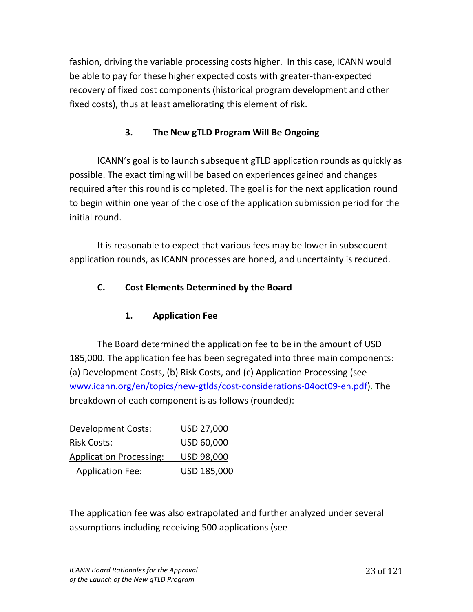fashion, driving the variable processing costs higher. In this case, ICANN would be able to pay for these higher expected costs with greater-than-expected recovery of fixed cost components (historical program development and other fixed costs), thus at least ameliorating this element of risk.

# **3.** The New gTLD Program Will Be Ongoing

ICANN's goal is to launch subsequent gTLD application rounds as quickly as possible. The exact timing will be based on experiences gained and changes required after this round is completed. The goal is for the next application round to begin within one year of the close of the application submission period for the initial round.

It is reasonable to expect that various fees may be lower in subsequent application rounds, as ICANN processes are honed, and uncertainty is reduced.

# **C.** Cost Elements Determined by the Board

## **1. Application Fee**

The Board determined the application fee to be in the amount of USD 185,000. The application fee has been segregated into three main components: (a) Development Costs, (b) Risk Costs, and (c) Application Processing (see www.icann.org/en/topics/new-gtlds/cost-considerations-04oct09-en.pdf). The breakdown of each component is as follows (rounded):

| <b>Development Costs:</b>      | USD 27,000        |
|--------------------------------|-------------------|
| <b>Risk Costs:</b>             | USD 60,000        |
| <b>Application Processing:</b> | <b>USD 98,000</b> |
| <b>Application Fee:</b>        | USD 185,000       |

The application fee was also extrapolated and further analyzed under several assumptions including receiving 500 applications (see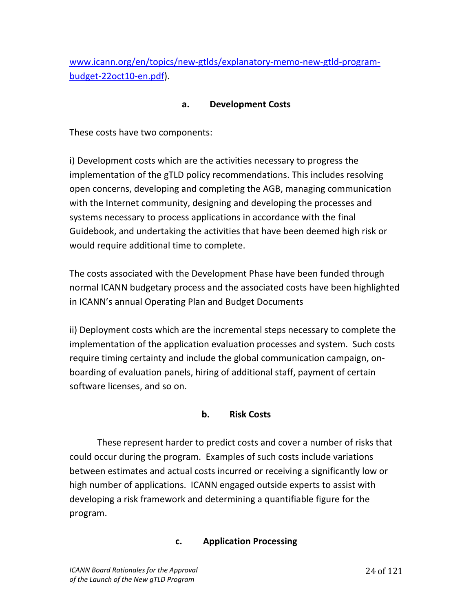www.icann.org/en/topics/new-gtlds/explanatory-memo-new-gtld-programbudget-22oct10-en.pdf).

### a. **Development Costs**

These costs have two components:

i) Development costs which are the activities necessary to progress the implementation of the gTLD policy recommendations. This includes resolving open concerns, developing and completing the AGB, managing communication with the Internet community, designing and developing the processes and systems necessary to process applications in accordance with the final Guidebook, and undertaking the activities that have been deemed high risk or would require additional time to complete.

The costs associated with the Development Phase have been funded through normal ICANN budgetary process and the associated costs have been highlighted in ICANN's annual Operating Plan and Budget Documents

ii) Deployment costs which are the incremental steps necessary to complete the implementation of the application evaluation processes and system. Such costs require timing certainty and include the global communication campaign, onboarding of evaluation panels, hiring of additional staff, payment of certain software licenses, and so on.

## **b. Risk#Costs**

These represent harder to predict costs and cover a number of risks that could occur during the program. Examples of such costs include variations between estimates and actual costs incurred or receiving a significantly low or high number of applications. ICANN engaged outside experts to assist with developing a risk framework and determining a quantifiable figure for the program.!!

#### **c. Application Processing**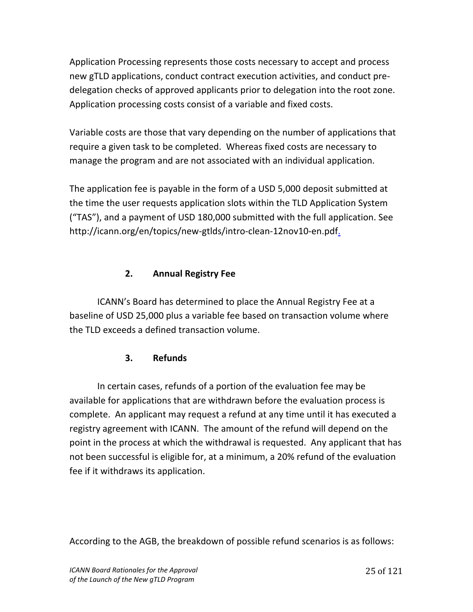Application Processing represents those costs necessary to accept and process new gTLD applications, conduct contract execution activities, and conduct predelegation checks of approved applicants prior to delegation into the root zone. Application processing costs consist of a variable and fixed costs.

Variable costs are those that vary depending on the number of applications that require a given task to be completed. Whereas fixed costs are necessary to manage the program and are not associated with an individual application.

The application fee is payable in the form of a USD 5,000 deposit submitted at the time the user requests application slots within the TLD Application System ("TAS"), and a payment of USD 180,000 submitted with the full application. See http://icann.org/en/topics/new-gtlds/intro-clean-12nov10-en.pdf.

# **2. Annual Registry Fee**

ICANN's Board has determined to place the Annual Registry Fee at a baseline of USD 25,000 plus a variable fee based on transaction volume where the TLD exceeds a defined transaction volume.

# **3. Refunds**

In certain cases, refunds of a portion of the evaluation fee may be available for applications that are withdrawn before the evaluation process is complete. An applicant may request a refund at any time until it has executed a registry agreement with ICANN. The amount of the refund will depend on the point in the process at which the withdrawal is requested. Any applicant that has not been successful is eligible for, at a minimum, a 20% refund of the evaluation fee if it withdraws its application.

According to the AGB, the breakdown of possible refund scenarios is as follows: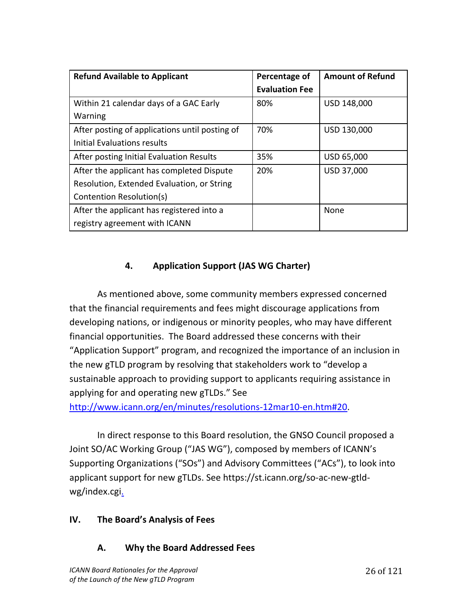| <b>Refund Available to Applicant</b>           | Percentage of         | <b>Amount of Refund</b> |
|------------------------------------------------|-----------------------|-------------------------|
|                                                | <b>Evaluation Fee</b> |                         |
| Within 21 calendar days of a GAC Early         | 80%                   | USD 148,000             |
| Warning                                        |                       |                         |
| After posting of applications until posting of | 70%                   | USD 130,000             |
| Initial Evaluations results                    |                       |                         |
| After posting Initial Evaluation Results       | 35%                   | USD 65,000              |
| After the applicant has completed Dispute      | 20%                   | <b>USD 37,000</b>       |
| Resolution, Extended Evaluation, or String     |                       |                         |
| Contention Resolution(s)                       |                       |                         |
| After the applicant has registered into a      |                       | None                    |
| registry agreement with ICANN                  |                       |                         |

# **4. Application Support (JAS WG Charter)**

As mentioned above, some community members expressed concerned that the financial requirements and fees might discourage applications from developing nations, or indigenous or minority peoples, who may have different financial opportunities. The Board addressed these concerns with their "Application Support" program, and recognized the importance of an inclusion in the new gTLD program by resolving that stakeholders work to "develop a sustainable approach to providing support to applicants requiring assistance in applying for and operating new gTLDs." See

http://www.icann.org/en/minutes/resolutions-12mar10-en.htm#20.

In direct response to this Board resolution, the GNSO Council proposed a Joint SO/AC Working Group ("JAS WG"), composed by members of ICANN's Supporting Organizations ("SOs") and Advisory Committees ("ACs"), to look into applicant support for new gTLDs. See https://st.icann.org/so-ac-new-gtldwg/index.cgi.

## **IV.** The Board's Analysis of Fees

## A. Why the Board Addressed Fees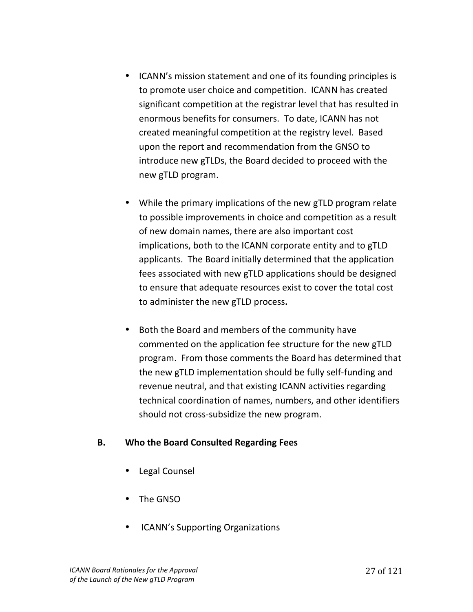- ICANN's mission statement and one of its founding principles is to promote user choice and competition. ICANN has created significant competition at the registrar level that has resulted in enormous benefits for consumers. To date, ICANN has not created meaningful competition at the registry level. Based upon the report and recommendation from the GNSO to introduce new gTLDs, the Board decided to proceed with the new gTLD program.
- While the primary implications of the new gTLD program relate to possible improvements in choice and competition as a result of new domain names, there are also important cost implications, both to the ICANN corporate entity and to gTLD applicants. The Board initially determined that the application fees associated with new gTLD applications should be designed to ensure that adequate resources exist to cover the total cost to administer the new gTLD process.
- Both the Board and members of the community have commented on the application fee structure for the new gTLD program. From those comments the Board has determined that the new gTLD implementation should be fully self-funding and revenue neutral, and that existing ICANN activities regarding technical coordination of names, numbers, and other identifiers should not cross-subsidize the new program.

#### **B.** Who the Board Consulted Regarding Fees

- Legal Counsel
- The GNSO
- ICANN's Supporting Organizations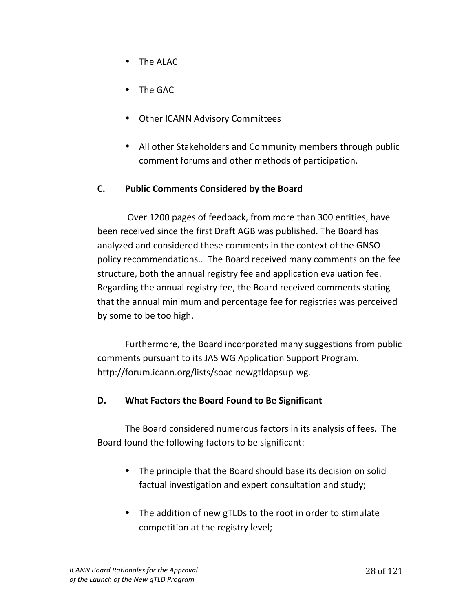- The ALAC
- The GAC
- Other ICANN Advisory Committees
- All other Stakeholders and Community members through public comment forums and other methods of participation.

### **C.** Public Comments Considered by the Board

Over 1200 pages of feedback, from more than 300 entities, have been received since the first Draft AGB was published. The Board has analyzed and considered these comments in the context of the GNSO policy recommendations.. The Board received many comments on the fee structure, both the annual registry fee and application evaluation fee. Regarding the annual registry fee, the Board received comments stating that the annual minimum and percentage fee for registries was perceived by some to be too high.

Furthermore, the Board incorporated many suggestions from public comments pursuant to its JAS WG Application Support Program. http://forum.icann.org/lists/soac-newgtldapsup-wg.

#### **D.** What Factors the Board Found to Be Significant

The Board considered numerous factors in its analysis of fees. The Board found the following factors to be significant:

- The principle that the Board should base its decision on solid factual investigation and expert consultation and study;
- The addition of new gTLDs to the root in order to stimulate competition at the registry level;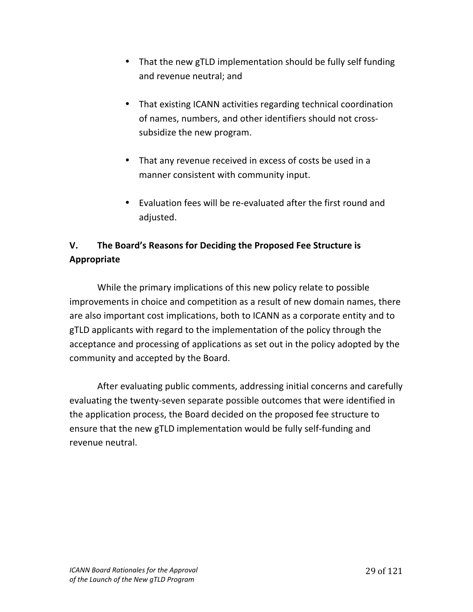- That the new gTLD implementation should be fully self funding and revenue neutral; and
- That existing ICANN activities regarding technical coordination of names, numbers, and other identifiers should not crosssubsidize the new program.
- That any revenue received in excess of costs be used in a manner consistent with community input.
- Evaluation fees will be re-evaluated after the first round and adjusted.

# **V.** The Board's Reasons for Deciding the Proposed Fee Structure is **Appropriate**

While the primary implications of this new policy relate to possible improvements in choice and competition as a result of new domain names, there are also important cost implications, both to ICANN as a corporate entity and to gTLD applicants with regard to the implementation of the policy through the acceptance and processing of applications as set out in the policy adopted by the community and accepted by the Board.

After evaluating public comments, addressing initial concerns and carefully evaluating the twenty-seven separate possible outcomes that were identified in the application process, the Board decided on the proposed fee structure to ensure that the new gTLD implementation would be fully self-funding and revenue neutral.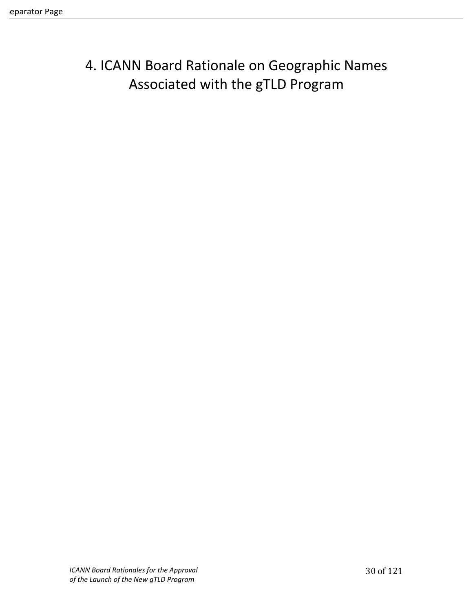# 4. ICANN Board Rationale on Geographic Names Associated with the gTLD Program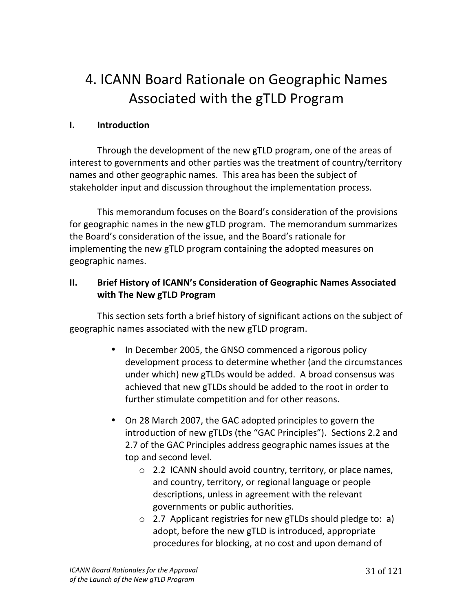# 4. ICANN Board Rationale on Geographic Names Associated with the gTLD Program

## **I. Introduction**

Through the development of the new gTLD program, one of the areas of interest to governments and other parties was the treatment of country/territory names and other geographic names. This area has been the subject of stakeholder input and discussion throughout the implementation process.

This memorandum focuses on the Board's consideration of the provisions for geographic names in the new gTLD program. The memorandum summarizes the Board's consideration of the issue, and the Board's rationale for implementing the new gTLD program containing the adopted measures on geographic names.

## **II. Brief History of ICANN's Consideration of Geographic Names Associated** with The New gTLD Program

This section sets forth a brief history of significant actions on the subject of geographic names associated with the new gTLD program.

- In December 2005, the GNSO commenced a rigorous policy development process to determine whether (and the circumstances under which) new gTLDs would be added. A broad consensus was achieved that new gTLDs should be added to the root in order to further stimulate competition and for other reasons.
- On 28 March 2007, the GAC adopted principles to govern the introduction of new gTLDs (the "GAC Principles"). Sections 2.2 and 2.7 of the GAC Principles address geographic names issues at the top and second level.
	- $\circ$  2.2 ICANN should avoid country, territory, or place names, and country, territory, or regional language or people descriptions, unless in agreement with the relevant governments or public authorities.
	- $\circ$  2.7 Applicant registries for new gTLDs should pledge to: a) adopt, before the new gTLD is introduced, appropriate procedures for blocking, at no cost and upon demand of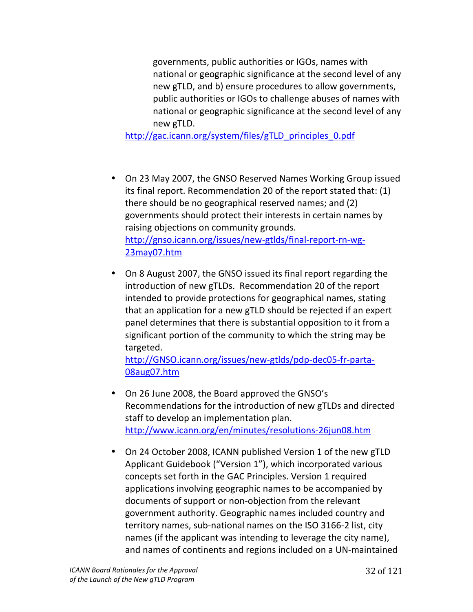governments, public authorities or IGOs, names with national or geographic significance at the second level of any new gTLD, and b) ensure procedures to allow governments, public authorities or IGOs to challenge abuses of names with national or geographic significance at the second level of any new!gTLD.

http://gac.icann.org/system/files/gTLD principles 0.pdf

- On 23 May 2007, the GNSO Reserved Names Working Group issued its final report. Recommendation 20 of the report stated that:  $(1)$ there should be no geographical reserved names; and (2) governments should protect their interests in certain names by raising objections on community grounds. http://gnso.icann.org/issues/new-gtlds/final-report-rn-wg-23may07.htm!!
- On 8 August 2007, the GNSO issued its final report regarding the introduction of new gTLDs. Recommendation 20 of the report intended to provide protections for geographical names, stating that an application for a new gTLD should be rejected if an expert panel determines that there is substantial opposition to it from a significant portion of the community to which the string may be targeted.

http://GNSO.icann.org/issues/new-gtlds/pdp-dec05-fr-parta-08aug07.htm!!

- On 26 June 2008, the Board approved the GNSO's Recommendations for the introduction of new gTLDs and directed staff to develop an implementation plan. http://www.icann.org/en/minutes/resolutions-26jun08.htm
- On 24 October 2008, ICANN published Version 1 of the new gTLD Applicant Guidebook ("Version 1"), which incorporated various concepts set forth in the GAC Principles. Version 1 required applications involving geographic names to be accompanied by documents of support or non-objection from the relevant government authority. Geographic names included country and territory names, sub-national names on the ISO 3166-2 list, city names (if the applicant was intending to leverage the city name), and names of continents and regions included on a UN-maintained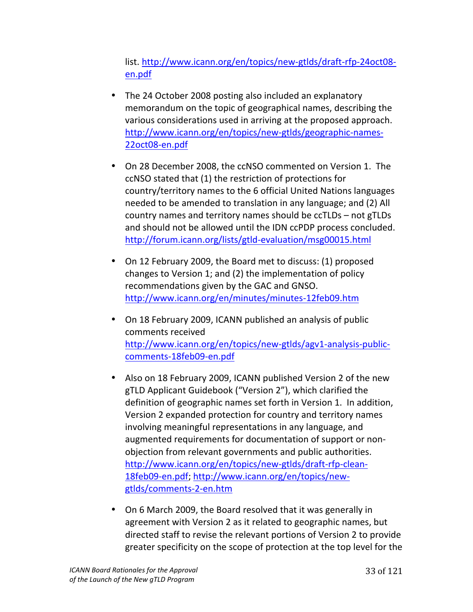list. http://www.icann.org/en/topics/new-gtlds/draft-rfp-24oct08en.pdf!!!

- The 24 October 2008 posting also included an explanatory memorandum on the topic of geographical names, describing the various considerations used in arriving at the proposed approach. http://www.icann.org/en/topics/new-gtlds/geographic-names-22oct08-en.pdf
- On 28 December 2008, the ccNSO commented on Version 1. The ccNSO stated that (1) the restriction of protections for country/territory names to the 6 official United Nations languages needed to be amended to translation in any language; and (2) All country names and territory names should be ccTLDs – not gTLDs and should not be allowed until the IDN ccPDP process concluded. http://forum.icann.org/lists/gtld-evaluation/msg00015.html
- On 12 February 2009, the Board met to discuss: (1) proposed changes to Version 1; and (2) the implementation of policy recommendations given by the GAC and GNSO. http://www.icann.org/en/minutes/minutes-12feb09.htm
- On 18 February 2009, ICANN published an analysis of public comments received http://www.icann.org/en/topics/new-gtlds/agv1-analysis-publiccomments-18feb09-en.pdf
- Also on 18 February 2009, ICANN published Version 2 of the new gTLD Applicant Guidebook ("Version 2"), which clarified the definition of geographic names set forth in Version 1. In addition, Version 2 expanded protection for country and territory names involving meaningful representations in any language, and augmented requirements for documentation of support or nonobjection from relevant governments and public authorities. http://www.icann.org/en/topics/new-gtlds/draft-rfp-clean-18feb09-en.pdf; http://www.icann.org/en/topics/newgtlds/comments-2-en.htm
- On 6 March 2009, the Board resolved that it was generally in agreement with Version 2 as it related to geographic names, but directed staff to revise the relevant portions of Version 2 to provide greater specificity on the scope of protection at the top level for the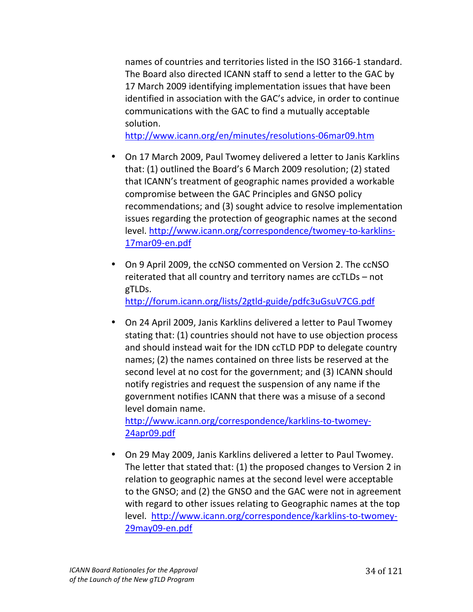names of countries and territories listed in the ISO 3166-1 standard. The Board also directed ICANN staff to send a letter to the GAC by 17 March 2009 identifying implementation issues that have been identified in association with the GAC's advice, in order to continue communications with the GAC to find a mutually acceptable solution.

http://www.icann.org/en/minutes/resolutions-06mar09.htm

- On 17 March 2009, Paul Twomey delivered a letter to Janis Karklins that: (1) outlined the Board's 6 March 2009 resolution; (2) stated that ICANN's treatment of geographic names provided a workable compromise between the GAC Principles and GNSO policy recommendations; and (3) sought advice to resolve implementation issues regarding the protection of geographic names at the second level. http://www.icann.org/correspondence/twomey-to-karklins-17mar09-en.pdf
- On 9 April 2009, the ccNSO commented on Version 2. The ccNSO reiterated that all country and territory names are ccTLDs – not gTLDs.

http://forum.icann.org/lists/2gtld-guide/pdfc3uGsuV7CG.pdf

• On 24 April 2009, Janis Karklins delivered a letter to Paul Twomey stating that: (1) countries should not have to use objection process and should instead wait for the IDN ccTLD PDP to delegate country names; (2) the names contained on three lists be reserved at the second level at no cost for the government; and (3) ICANN should notify registries and request the suspension of any name if the government notifies ICANN that there was a misuse of a second level domain name.

http://www.icann.org/correspondence/karklins-to-twomey-24apr09.pdf

• On 29 May 2009, Janis Karklins delivered a letter to Paul Twomey. The letter that stated that: (1) the proposed changes to Version 2 in relation to geographic names at the second level were acceptable to the GNSO; and (2) the GNSO and the GAC were not in agreement with regard to other issues relating to Geographic names at the top level. http://www.icann.org/correspondence/karklins-to-twomey-29may09-en.pdf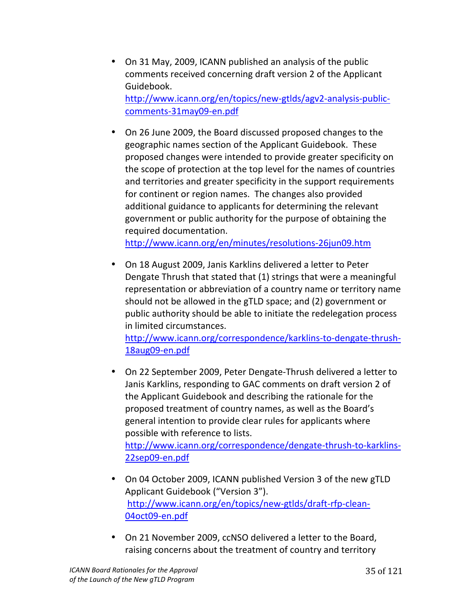- On 31 May, 2009, ICANN published an analysis of the public comments received concerning draft version 2 of the Applicant Guidebook. http://www.icann.org/en/topics/new-gtlds/agv2-analysis-publiccomments-31may09-en.pdf
- On 26 June 2009, the Board discussed proposed changes to the geographic names section of the Applicant Guidebook. These proposed changes were intended to provide greater specificity on the scope of protection at the top level for the names of countries and territories and greater specificity in the support requirements for continent or region names. The changes also provided additional guidance to applicants for determining the relevant government or public authority for the purpose of obtaining the required documentation.

http://www.icann.org/en/minutes/resolutions-26jun09.htm

• On 18 August 2009, Janis Karklins delivered a letter to Peter Dengate Thrush that stated that (1) strings that were a meaningful representation or abbreviation of a country name or territory name should not be allowed in the gTLD space; and (2) government or public authority should be able to initiate the redelegation process in limited circumstances.

http://www.icann.org/correspondence/karklins-to-dengate-thrush-18aug09-en.pdf

• On 22 September 2009, Peter Dengate-Thrush delivered a letter to Janis Karklins, responding to GAC comments on draft version 2 of the Applicant Guidebook and describing the rationale for the proposed treatment of country names, as well as the Board's general intention to provide clear rules for applicants where possible with reference to lists.

http://www.icann.org/correspondence/dengate-thrush-to-karklins-22sep09-en.pdf

- On 04 October 2009, ICANN published Version 3 of the new gTLD Applicant Guidebook ("Version 3"). http://www.icann.org/en/topics/new-gtlds/draft-rfp-clean-04oct09-en.pdf
- On 21 November 2009, ccNSO delivered a letter to the Board, raising concerns about the treatment of country and territory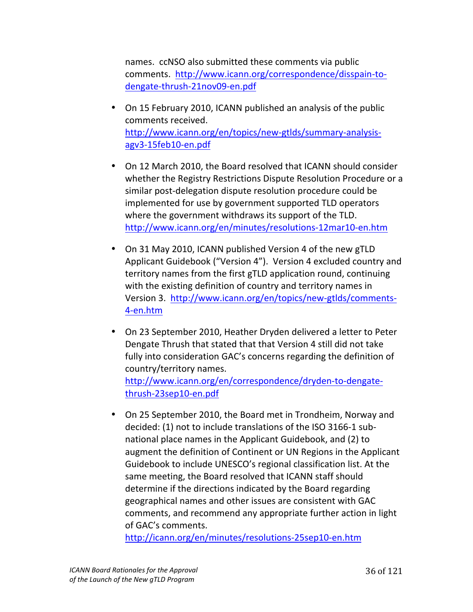names. ccNSO also submitted these comments via public comments. http://www.icann.org/correspondence/disspain-todengate-thrush-21nov09-en.pdf

- On 15 February 2010, ICANN published an analysis of the public comments received. http://www.icann.org/en/topics/new-gtlds/summary-analysisagv3-15feb10-en.pdf
- On 12 March 2010, the Board resolved that ICANN should consider whether the Registry Restrictions Dispute Resolution Procedure or a similar post-delegation dispute resolution procedure could be implemented for use by government supported TLD operators where the government withdraws its support of the TLD. http://www.icann.org/en/minutes/resolutions-12mar10-en.htm
- On 31 May 2010, ICANN published Version 4 of the new gTLD Applicant Guidebook ("Version 4"). Version 4 excluded country and territory names from the first gTLD application round, continuing with the existing definition of country and territory names in Version 3. http://www.icann.org/en/topics/new-gtlds/comments-4-en.htm
- On 23 September 2010, Heather Dryden delivered a letter to Peter Dengate Thrush that stated that that Version 4 still did not take fully into consideration GAC's concerns regarding the definition of country/territory names. http://www.icann.org/en/correspondence/dryden-to-dengatethrush-23sep10-en.pdf
- On 25 September 2010, the Board met in Trondheim, Norway and decided: (1) not to include translations of the ISO 3166-1 subnational place names in the Applicant Guidebook, and (2) to augment the definition of Continent or UN Regions in the Applicant Guidebook to include UNESCO's regional classification list. At the same meeting, the Board resolved that ICANN staff should determine if the directions indicated by the Board regarding geographical names and other issues are consistent with GAC comments, and recommend any appropriate further action in light of GAC's comments.

http://icann.org/en/minutes/resolutions-25sep10-en.htm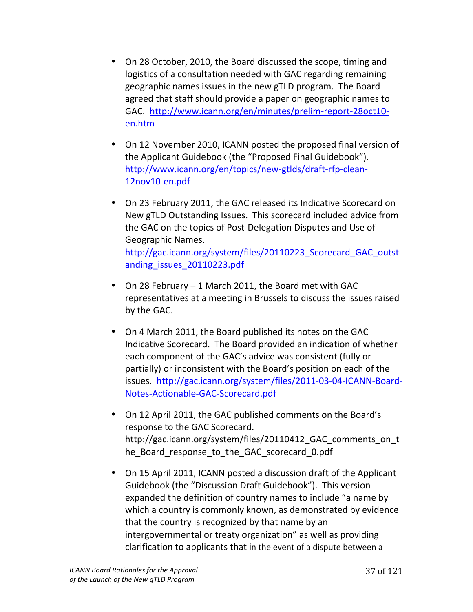- On 28 October, 2010, the Board discussed the scope, timing and logistics of a consultation needed with GAC regarding remaining geographic names issues in the new gTLD program. The Board agreed that staff should provide a paper on geographic names to GAC. http://www.icann.org/en/minutes/prelim-report-28oct10en.htm
- On 12 November 2010, ICANN posted the proposed final version of the Applicant Guidebook (the "Proposed Final Guidebook"). http://www.icann.org/en/topics/new-gtlds/draft-rfp-clean-12nov10-en.pdf
- On 23 February 2011, the GAC released its Indicative Scorecard on New gTLD Outstanding Issues. This scorecard included advice from the GAC on the topics of Post-Delegation Disputes and Use of Geographic!Names.!! http://gac.icann.org/system/files/20110223\_Scorecard\_GAC\_outst anding\_issues\_20110223.pdf
- On 28 February 1 March 2011, the Board met with GAC representatives at a meeting in Brussels to discuss the issues raised by the GAC.
- On 4 March 2011, the Board published its notes on the GAC Indicative Scorecard. The Board provided an indication of whether each component of the GAC's advice was consistent (fully or partially) or inconsistent with the Board's position on each of the issues. http://gac.icann.org/system/files/2011-03-04-ICANN-Board-Notes-Actionable-GAC-Scorecard.pdf
- On 12 April 2011, the GAC published comments on the Board's response to the GAC Scorecard. http://gac.icann.org/system/files/20110412\_GAC\_comments\_on\_t he Board response to the GAC scorecard 0.pdf
- On 15 April 2011, ICANN posted a discussion draft of the Applicant Guidebook (the "Discussion Draft Guidebook"). This version expanded the definition of country names to include "a name by which a country is commonly known, as demonstrated by evidence that the country is recognized by that name by an intergovernmental or treaty organization" as well as providing clarification to applicants that in the event of a dispute between a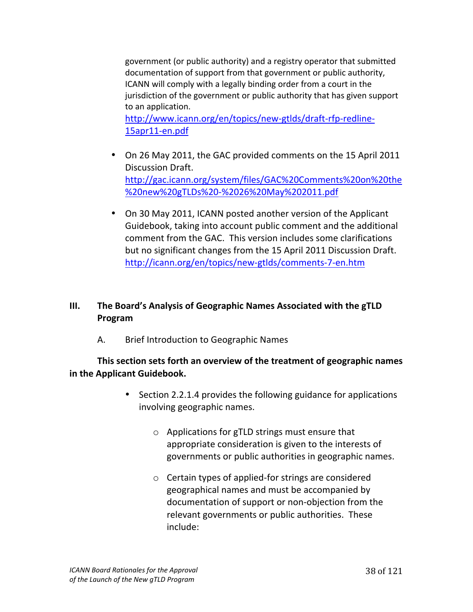government (or public authority) and a registry operator that submitted documentation of support from that government or public authority, ICANN will comply with a legally binding order from a court in the jurisdiction of the government or public authority that has given support to an application.

http://www.icann.org/en/topics/new-gtlds/draft-rfp-redline-15apr11-en.pdf

- On 26 May 2011, the GAC provided comments on the 15 April 2011 Discussion Draft. http://gac.icann.org/system/files/GAC%20Comments%20on%20the %20new%20gTLDs%20-%2026%20May%202011.pdf
- On 30 May 2011, ICANN posted another version of the Applicant Guidebook, taking into account public comment and the additional comment from the GAC. This version includes some clarifications but no significant changes from the 15 April 2011 Discussion Draft. http://icann.org/en/topics/new-gtlds/comments-7-en.htm

# **III.** The Board's Analysis of Geographic Names Associated with the gTLD **Program**

A. Brief Introduction to Geographic Names

**This section sets forth an overview of the treatment of geographic names in the Applicant Guidebook.** 

- Section 2.2.1.4 provides the following guidance for applications involving geographic names.
	- $\circ$  Applications for gTLD strings must ensure that appropriate consideration is given to the interests of governments or public authorities in geographic names.
	- $\circ$  Certain types of applied-for strings are considered geographical names and must be accompanied by documentation of support or non-objection from the relevant governments or public authorities. These include: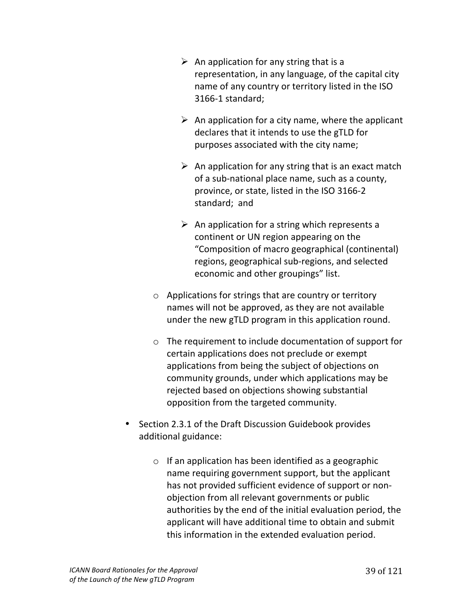- $\triangleright$  An application for any string that is a representation, in any language, of the capital city name of any country or territory listed in the ISO 3166-1 standard;
- $\triangleright$  An application for a city name, where the applicant declares that it intends to use the gTLD for purposes associated with the city name;
- $\triangleright$  An application for any string that is an exact match of a sub-national place name, such as a county, province, or state, listed in the ISO 3166-2 standard; and
- $\triangleright$  An application for a string which represents a continent or UN region appearing on the "Composition of macro geographical (continental) regions, geographical sub-regions, and selected economic and other groupings" list.
- $\circ$  Applications for strings that are country or territory names will not be approved, as they are not available under the new gTLD program in this application round.
- $\circ$  The requirement to include documentation of support for certain applications does not preclude or exempt applications from being the subject of objections on community grounds, under which applications may be rejected based on objections showing substantial opposition from the targeted community.
- Section 2.3.1 of the Draft Discussion Guidebook provides additional guidance:
	- $\circ$  If an application has been identified as a geographic name requiring government support, but the applicant has not provided sufficient evidence of support or nonobjection from all relevant governments or public authorities by the end of the initial evaluation period, the applicant will have additional time to obtain and submit this information in the extended evaluation period.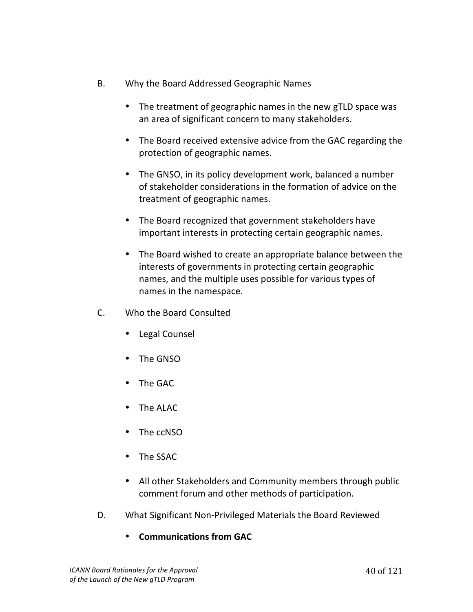- B. Why the Board Addressed Geographic Names
	- The treatment of geographic names in the new gTLD space was an area of significant concern to many stakeholders.
	- The Board received extensive advice from the GAC regarding the protection of geographic names.
	- The GNSO, in its policy development work, balanced a number of stakeholder considerations in the formation of advice on the treatment of geographic names.
	- The Board recognized that government stakeholders have important interests in protecting certain geographic names.
	- The Board wished to create an appropriate balance between the interests of governments in protecting certain geographic names, and the multiple uses possible for various types of names in the namespace.
- C. Who the Board Consulted
	- Legal Counsel
	- The GNSO
	- The GAC
	- The ALAC
	- The ccNSO
	- The SSAC
	- All other Stakeholders and Community members through public comment forum and other methods of participation.
- D. What Significant Non-Privileged Materials the Board Reviewed
	- **Communications from GAC**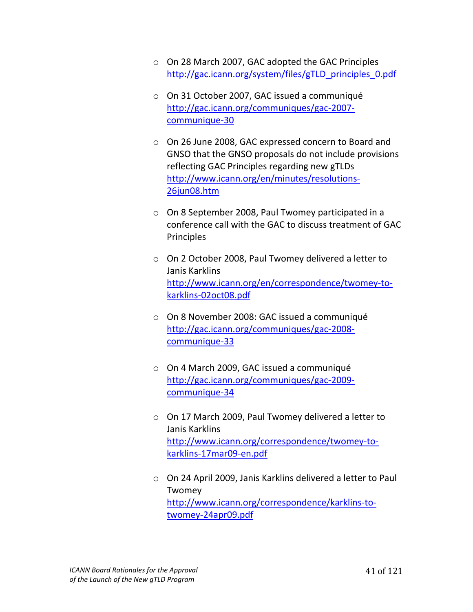- o On 28 March 2007, GAC adopted the GAC Principles http://gac.icann.org/system/files/gTLD\_principles\_0.pdf
- o On 31 October 2007, GAC issued a communiqué http://gac.icann.org/communiques/gac-2007communique-30
- $\circ$  On 26 June 2008, GAC expressed concern to Board and GNSO that the GNSO proposals do not include provisions reflecting GAC Principles regarding new gTLDs http://www.icann.org/en/minutes/resolutions-26jun08.htm
- $\circ$  On 8 September 2008, Paul Twomey participated in a conference call with the GAC to discuss treatment of GAC **Principles**
- $\circ$  On 2 October 2008, Paul Twomey delivered a letter to Janis Karklins http://www.icann.org/en/correspondence/twomey-tokarklins-02oct08.pdf
- $\circ$  On 8 November 2008: GAC issued a communiqué http://gac.icann.org/communiques/gac-2008communique-33
- o On 4 March 2009, GAC issued a communiqué http://gac.icann.org/communiques/gac-2009communique-34
- $\circ$  On 17 March 2009, Paul Twomey delivered a letter to Janis Karklins http://www.icann.org/correspondence/twomey-tokarklins-17mar09-en.pdf
- $\circ$  On 24 April 2009, Janis Karklins delivered a letter to Paul Twomey http://www.icann.org/correspondence/karklins-totwomey-24apr09.pdf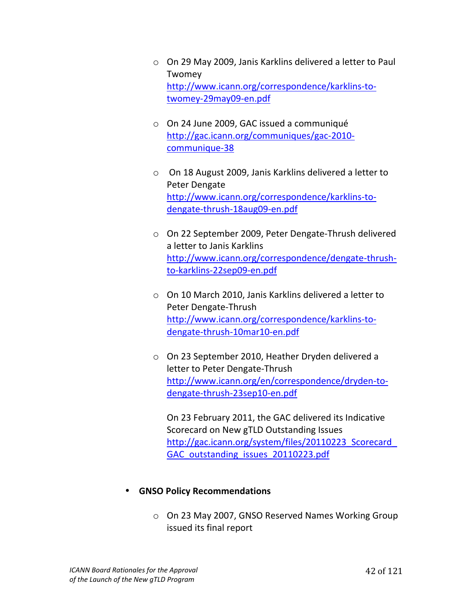- $\circ$  On 29 May 2009, Janis Karklins delivered a letter to Paul Twomey http://www.icann.org/correspondence/karklins-totwomey-29may09-en.pdf
- o On 24 June 2009, GAC issued a communiqué http://gac.icann.org/communiques/gac-2010communique-38
- $\circ$  On 18 August 2009, Janis Karklins delivered a letter to Peter Dengate http://www.icann.org/correspondence/karklins-todengate-thrush-18aug09-en.pdf
- $\circ$  On 22 September 2009, Peter Dengate-Thrush delivered a letter to Janis Karklins http://www.icann.org/correspondence/dengate-thrushto-karklins-22sep09-en.pdf
- $\circ$  On 10 March 2010, Janis Karklins delivered a letter to Peter Dengate-Thrush http://www.icann.org/correspondence/karklins-todengate-thrush-10mar10-en.pdf
- $\circ$  On 23 September 2010, Heather Dryden delivered a letter to Peter Dengate-Thrush http://www.icann.org/en/correspondence/dryden-todengate-thrush-23sep10-en.pdf

On 23 February 2011, the GAC delivered its Indicative Scorecard on New gTLD Outstanding Issues http://gac.icann.org/system/files/20110223\_Scorecard GAC outstanding issues 20110223.pdf

#### **GNSO Policy Recommendations**

 $\circ$  On 23 May 2007, GNSO Reserved Names Working Group issued its final report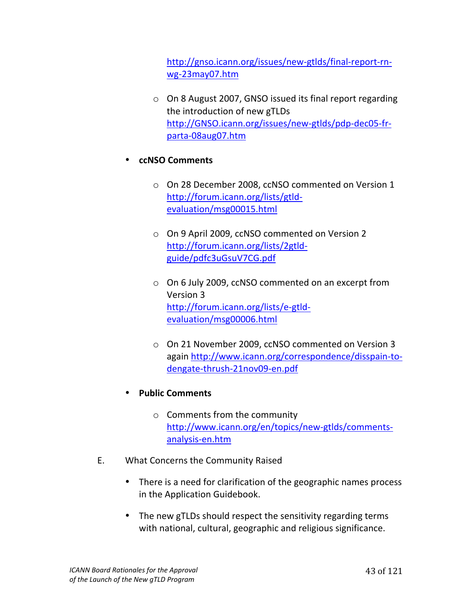http://gnso.icann.org/issues/new-gtlds/final-report-rnwg-23may07.htm

 $\circ$  On 8 August 2007, GNSO issued its final report regarding the introduction of new gTLDs http://GNSO.icann.org/issues/new-gtlds/pdp-dec05-frparta-08aug07.htm

### • **ccNSO#Comments#**

- o On 28 December 2008, ccNSO commented on Version 1 http://forum.icann.org/lists/gtldevaluation/msg00015.html
- o On 9 April 2009, ccNSO commented on Version 2 http://forum.icann.org/lists/2gtldguide/pdfc3uGsuV7CG.pdf!!
- $\circ$  On 6 July 2009, ccNSO commented on an excerpt from Version 3 http://forum.icann.org/lists/e-gtldevaluation/msg00006.html
- o On 21 November 2009, ccNSO commented on Version 3 again http://www.icann.org/correspondence/disspain-todengate-thrush-21nov09-en.pdf
- **Public#Comments#**
	- $\circ$  Comments from the community http://www.icann.org/en/topics/new-gtlds/commentsanalysis-en.htm
- E. What Concerns the Community Raised
	- There is a need for clarification of the geographic names process in the Application Guidebook.
	- The new gTLDs should respect the sensitivity regarding terms with national, cultural, geographic and religious significance.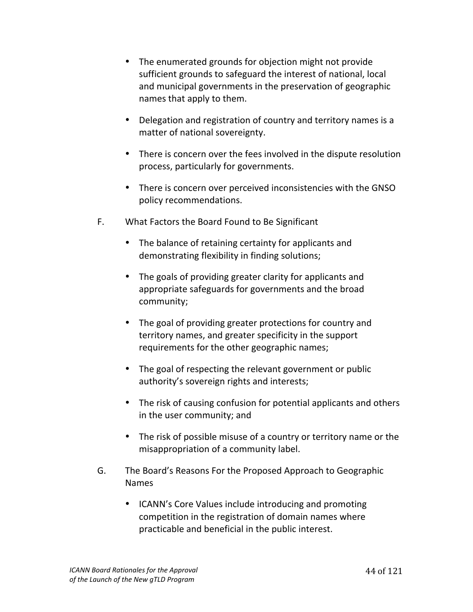- The enumerated grounds for objection might not provide sufficient grounds to safeguard the interest of national, local and municipal governments in the preservation of geographic names that apply to them.
- Delegation and registration of country and territory names is a matter of national sovereignty.
- There is concern over the fees involved in the dispute resolution process, particularly for governments.
- There is concern over perceived inconsistencies with the GNSO policy recommendations.
- F. What Factors the Board Found to Be Significant
	- The balance of retaining certainty for applicants and demonstrating flexibility in finding solutions;
	- The goals of providing greater clarity for applicants and appropriate safeguards for governments and the broad community;
	- The goal of providing greater protections for country and territory names, and greater specificity in the support requirements for the other geographic names;
	- The goal of respecting the relevant government or public authority's sovereign rights and interests;
	- The risk of causing confusion for potential applicants and others in the user community; and
	- The risk of possible misuse of a country or territory name or the misappropriation of a community label.
- G. The Board's Reasons For the Proposed Approach to Geographic Names
	- ICANN's Core Values include introducing and promoting competition in the registration of domain names where practicable and beneficial in the public interest.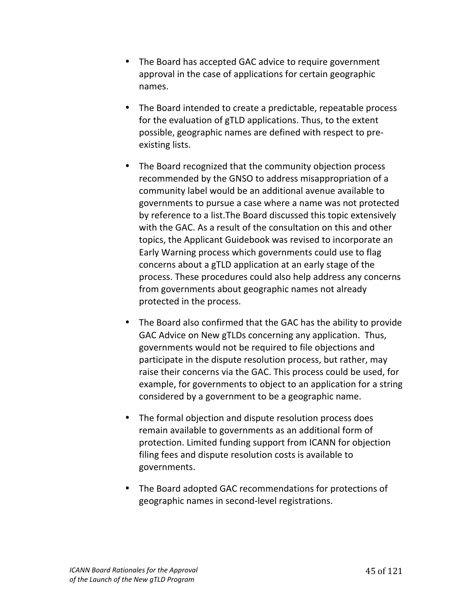- The Board has accepted GAC advice to require government approval in the case of applications for certain geographic names.
- The Board intended to create a predictable, repeatable process for the evaluation of gTLD applications. Thus, to the extent possible, geographic names are defined with respect to preexisting lists.
- The Board recognized that the community objection process recommended by the GNSO to address misappropriation of a community label would be an additional avenue available to governments to pursue a case where a name was not protected by reference to a list. The Board discussed this topic extensively with the GAC. As a result of the consultation on this and other topics, the Applicant Guidebook was revised to incorporate an Early Warning process which governments could use to flag concerns about a gTLD application at an early stage of the process. These procedures could also help address any concerns from governments about geographic names not already protected in the process.
- The Board also confirmed that the GAC has the ability to provide GAC Advice on New gTLDs concerning any application. Thus, governments would not be required to file objections and participate in the dispute resolution process, but rather, may raise their concerns via the GAC. This process could be used, for example, for governments to object to an application for a string considered by a government to be a geographic name.
- The formal objection and dispute resolution process does remain available to governments as an additional form of protection. Limited funding support from ICANN for objection filing fees and dispute resolution costs is available to governments.
- The Board adopted GAC recommendations for protections of geographic names in second-level registrations.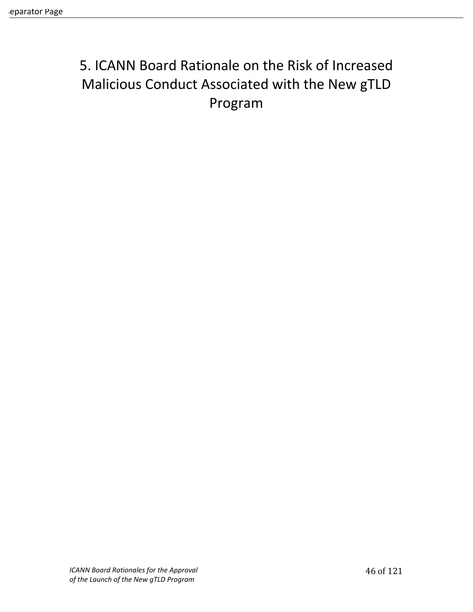# 5. ICANN Board Rationale on the Risk of Increased Malicious Conduct Associated with the New gTLD Program!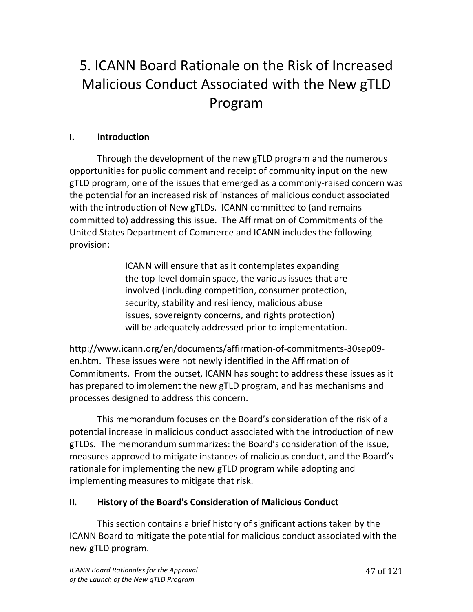# 5. ICANN Board Rationale on the Risk of Increased Malicious Conduct Associated with the New gTLD Program!

### **I. Introduction**

Through the development of the new gTLD program and the numerous opportunities for public comment and receipt of community input on the new gTLD program, one of the issues that emerged as a commonly-raised concern was the potential for an increased risk of instances of malicious conduct associated with the introduction of New gTLDs. ICANN committed to (and remains committed to) addressing this issue. The Affirmation of Commitments of the United States Department of Commerce and ICANN includes the following provision:

> ICANN will ensure that as it contemplates expanding the top-level domain space, the various issues that are involved (including competition, consumer protection, security, stability and resiliency, malicious abuse issues, sovereignty concerns, and rights protection) will be adequately addressed prior to implementation.

http://www.icann.org/en/documents/affirmation-of-commitments-30sep09en.htm. These issues were not newly identified in the Affirmation of Commitments. From the outset, ICANN has sought to address these issues as it has prepared to implement the new gTLD program, and has mechanisms and processes designed to address this concern.

This memorandum focuses on the Board's consideration of the risk of a potential increase in malicious conduct associated with the introduction of new gTLDs. The memorandum summarizes: the Board's consideration of the issue, measures approved to mitigate instances of malicious conduct, and the Board's rationale for implementing the new gTLD program while adopting and implementing measures to mitigate that risk.

#### **II.** History of the Board's Consideration of Malicious Conduct

This section contains a brief history of significant actions taken by the ICANN Board to mitigate the potential for malicious conduct associated with the new gTLD program.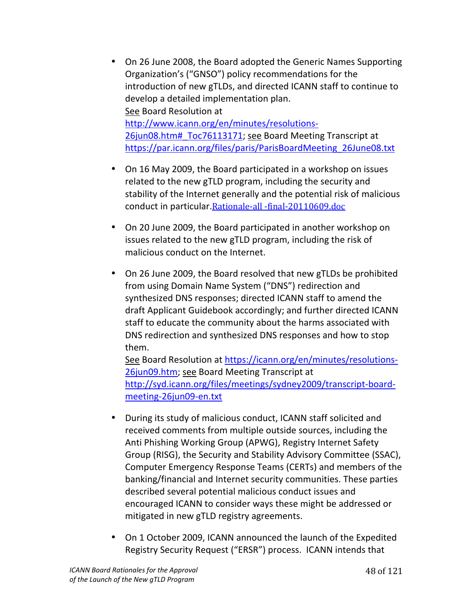- On 26 June 2008, the Board adopted the Generic Names Supporting Organization's ("GNSO") policy recommendations for the introduction of new gTLDs, and directed ICANN staff to continue to develop a detailed implementation plan. See Board Resolution at http://www.icann.org/en/minutes/resolutions-26jun08.htm# Toc76113171; see Board Meeting Transcript at https://par.icann.org/files/paris/ParisBoardMeeting\_26June08.txt
- On 16 May 2009, the Board participated in a workshop on issues related to the new gTLD program, including the security and stability of the Internet generally and the potential risk of malicious conduct in particular.Rationale-all -final-20110609.doc
- On 20 June 2009, the Board participated in another workshop on issues related to the new gTLD program, including the risk of malicious conduct on the Internet.
- On 26 June 2009, the Board resolved that new gTLDs be prohibited from using Domain Name System ("DNS") redirection and synthesized DNS responses; directed ICANN staff to amend the draft Applicant Guidebook accordingly; and further directed ICANN staff to educate the community about the harms associated with DNS redirection and synthesized DNS responses and how to stop them.

See Board Resolution at https://icann.org/en/minutes/resolutions-26jun09.htm; see Board Meeting Transcript at http://syd.icann.org/files/meetings/sydney2009/transcript-boardmeeting-26jun09-en.txt

- During its study of malicious conduct, ICANN staff solicited and received comments from multiple outside sources, including the Anti Phishing Working Group (APWG), Registry Internet Safety Group (RISG), the Security and Stability Advisory Committee (SSAC), Computer Emergency Response Teams (CERTs) and members of the banking/financial and Internet security communities. These parties described several potential malicious conduct issues and encouraged ICANN to consider ways these might be addressed or mitigated in new gTLD registry agreements.
- On 1 October 2009, ICANN announced the launch of the Expedited Registry Security Request ("ERSR") process. ICANN intends that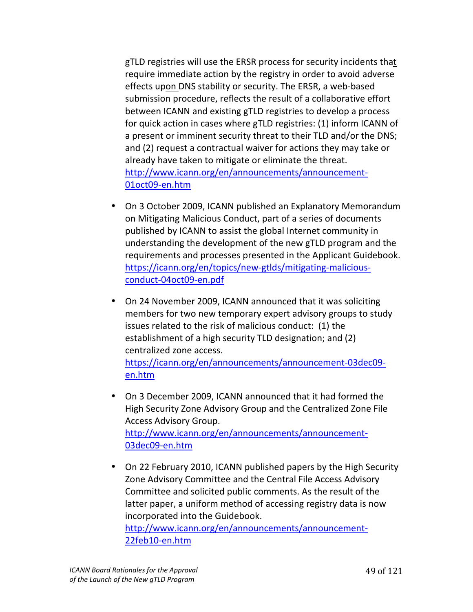gTLD registries will use the ERSR process for security incidents that require immediate action by the registry in order to avoid adverse effects upon DNS stability or security. The ERSR, a web-based submission procedure, reflects the result of a collaborative effort between ICANN and existing gTLD registries to develop a process for quick action in cases where gTLD registries: (1) inform ICANN of a present or imminent security threat to their TLD and/or the DNS; and (2) request a contractual waiver for actions they may take or already have taken to mitigate or eliminate the threat. http://www.icann.org/en/announcements/announcement-01oct09-en.htm

- On 3 October 2009, ICANN published an Explanatory Memorandum on Mitigating Malicious Conduct, part of a series of documents published by ICANN to assist the global Internet community in understanding the development of the new gTLD program and the requirements and processes presented in the Applicant Guidebook. https://icann.org/en/topics/new-gtlds/mitigating-maliciousconduct-04oct09-en.pdf
- On 24 November 2009, ICANN announced that it was soliciting members for two new temporary expert advisory groups to study issues related to the risk of malicious conduct: (1) the establishment of a high security TLD designation; and (2) centralized zone access. https://icann.org/en/announcements/announcement-03dec09en.htm
- On 3 December 2009, ICANN announced that it had formed the High Security Zone Advisory Group and the Centralized Zone File Access Advisory Group. http://www.icann.org/en/announcements/announcement-03dec09-en.htm
- On 22 February 2010, ICANN published papers by the High Security Zone Advisory Committee and the Central File Access Advisory Committee and solicited public comments. As the result of the latter paper, a uniform method of accessing registry data is now incorporated into the Guidebook. http://www.icann.org/en/announcements/announcement-

22feb10-en.htm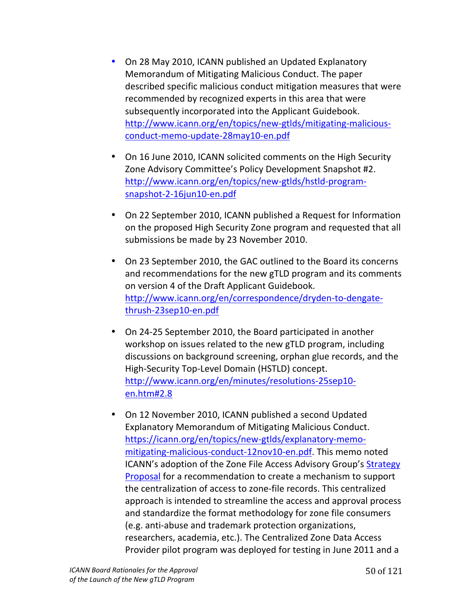- On 28 May 2010, ICANN published an Updated Explanatory Memorandum of Mitigating Malicious Conduct. The paper described specific malicious conduct mitigation measures that were recommended by recognized experts in this area that were subsequently incorporated into the Applicant Guidebook. http://www.icann.org/en/topics/new-gtlds/mitigating-maliciousconduct-memo-update-28may10-en.pdf
- On 16 June 2010, ICANN solicited comments on the High Security Zone Advisory Committee's Policy Development Snapshot #2. http://www.icann.org/en/topics/new-gtlds/hstld-programsnapshot-2-16jun10-en.pdf
- On 22 September 2010, ICANN published a Request for Information on the proposed High Security Zone program and requested that all submissions be made by 23 November 2010.
- On 23 September 2010, the GAC outlined to the Board its concerns and recommendations for the new gTLD program and its comments on version 4 of the Draft Applicant Guidebook. http://www.icann.org/en/correspondence/dryden-to-dengatethrush-23sep10-en.pdf
- On 24-25 September 2010, the Board participated in another workshop on issues related to the new gTLD program, including discussions on background screening, orphan glue records, and the High-Security Top-Level Domain (HSTLD) concept. http://www.icann.org/en/minutes/resolutions-25sep10en.htm#2.8
- On 12 November 2010, ICANN published a second Updated Explanatory Memorandum of Mitigating Malicious Conduct. https://icann.org/en/topics/new-gtlds/explanatory-memomitigating-malicious-conduct-12nov10-en.pdf. This memo noted ICANN's adoption of the Zone File Access Advisory Group's Strategy Proposal for a recommendation to create a mechanism to support the centralization of access to zone-file records. This centralized approach is intended to streamline the access and approval process and standardize the format methodology for zone file consumers (e.g. anti-abuse and trademark protection organizations, researchers, academia, etc.). The Centralized Zone Data Access Provider pilot program was deployed for testing in June 2011 and a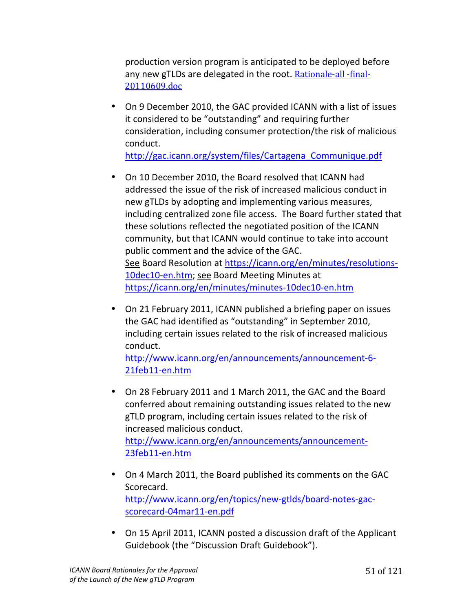production version program is anticipated to be deployed before any new gTLDs are delegated in the root. Rationale-all -final-20110609.doc

- On 9 December 2010, the GAC provided ICANN with a list of issues it considered to be "outstanding" and requiring further consideration, including consumer protection/the risk of malicious conduct. http://gac.icann.org/system/files/Cartagena\_Communique.pdf
- On 10 December 2010, the Board resolved that ICANN had addressed the issue of the risk of increased malicious conduct in new gTLDs by adopting and implementing various measures, including centralized zone file access. The Board further stated that these solutions reflected the negotiated position of the ICANN community, but that ICANN would continue to take into account public comment and the advice of the GAC. See Board Resolution at https://icann.org/en/minutes/resolutions-10dec10-en.htm; see Board Meeting Minutes at https://icann.org/en/minutes/minutes-10dec10-en.htm
- On 21 February 2011, ICANN published a briefing paper on issues the GAC had identified as "outstanding" in September 2010, including certain issues related to the risk of increased malicious conduct.

http://www.icann.org/en/announcements/announcement-6-21feb11-en.htm

- On 28 February 2011 and 1 March 2011, the GAC and the Board conferred about remaining outstanding issues related to the new gTLD program, including certain issues related to the risk of increased malicious conduct. http://www.icann.org/en/announcements/announcement-23feb11-en.htm
- On 4 March 2011, the Board published its comments on the GAC Scorecard. http://www.icann.org/en/topics/new-gtlds/board-notes-gacscorecard-04mar11-en.pdf
- On 15 April 2011, ICANN posted a discussion draft of the Applicant Guidebook (the "Discussion Draft Guidebook").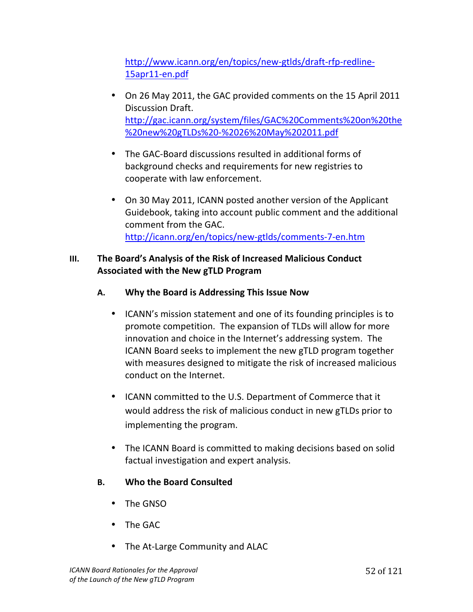http://www.icann.org/en/topics/new-gtlds/draft-rfp-redline-15apr11-en.pdf

- On 26 May 2011, the GAC provided comments on the 15 April 2011 Discussion Draft. http://gac.icann.org/system/files/GAC%20Comments%20on%20the %20new%20gTLDs%20-%2026%20May%202011.pdf
- The GAC-Board discussions resulted in additional forms of background checks and requirements for new registries to cooperate with law enforcement.
- On 30 May 2011, ICANN posted another version of the Applicant Guidebook, taking into account public comment and the additional comment from the GAC. http://icann.org/en/topics/new-gtlds/comments-7-en.htm

## **III.** The Board's Analysis of the Risk of Increased Malicious Conduct **Associated with the New gTLD Program**

- A. Why the Board is Addressing This Issue Now
	- ICANN's mission statement and one of its founding principles is to promote competition. The expansion of TLDs will allow for more innovation and choice in the Internet's addressing system. The ICANN Board seeks to implement the new gTLD program together with measures designed to mitigate the risk of increased malicious conduct on the Internet.
	- ICANN committed to the U.S. Department of Commerce that it would address the risk of malicious conduct in new gTLDs prior to implementing the program.
	- The ICANN Board is committed to making decisions based on solid factual investigation and expert analysis.

# **B. Who the Board Consulted**

- The GNSO
- The GAC
- The At-Large Community and ALAC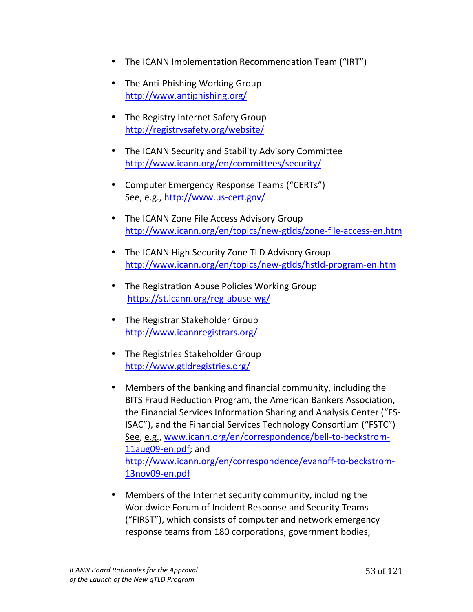- The ICANN Implementation Recommendation Team ("IRT")
- The Anti-Phishing Working Group http://www.antiphishing.org/
- The Registry Internet Safety Group http://registrysafety.org/website/
- The ICANN Security and Stability Advisory Committee http://www.icann.org/en/committees/security/
- Computer Emergency Response Teams ("CERTs") See, e.g., http://www.us-cert.gov/
- The ICANN Zone File Access Advisory Group http://www.icann.org/en/topics/new-gtlds/zone-file-access-en.htm
- The ICANN High Security Zone TLD Advisory Group http://www.icann.org/en/topics/new-gtlds/hstld-program-en.htm
- The Registration Abuse Policies Working Group https://st.icann.org/reg-abuse-wg/
- The Registrar Stakeholder Group http://www.icannregistrars.org/
- The Registries Stakeholder Group http://www.gtldregistries.org/
- Members of the banking and financial community, including the BITS Fraud Reduction Program, the American Bankers Association, the Financial Services Information Sharing and Analysis Center ("FS-ISAC"), and the Financial Services Technology Consortium ("FSTC") See, e.g., www.icann.org/en/correspondence/bell-to-beckstrom-11aug09-en.pdf; and http://www.icann.org/en/correspondence/evanoff-to-beckstrom-13nov09-en.pdf
- Members of the Internet security community, including the Worldwide Forum of Incident Response and Security Teams ("FIRST"), which consists of computer and network emergency response teams from 180 corporations, government bodies,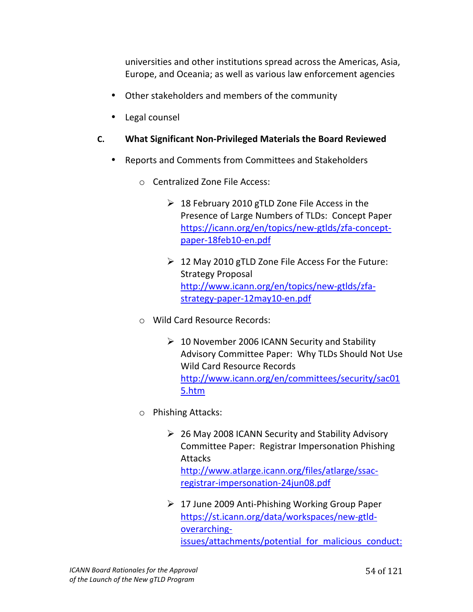universities and other institutions spread across the Americas, Asia, Europe, and Oceania; as well as various law enforcement agencies

- Other stakeholders and members of the community
- Legal counsel
- **C.** What Significant Non-Privileged Materials the Board Reviewed
	- Reports and Comments from Committees and Stakeholders
		- $\circ$  Centralized Zone File Access:
			- $\geq$  18 February 2010 gTLD Zone File Access in the Presence of Large Numbers of TLDs: Concept Paper https://icann.org/en/topics/new-gtlds/zfa-conceptpaper-18feb10-en.pdf
			- $\geqslant$  12 May 2010 gTLD Zone File Access For the Future: Strategy Proposal http://www.icann.org/en/topics/new-gtlds/zfastrategy-paper-12may10-en.pdf
		- o Wild!Card!Resource!Records:
			- $\geq 10$  November 2006 ICANN Security and Stability Advisory Committee Paper: Why TLDs Should Not Use Wild Card Resource Records http://www.icann.org/en/committees/security/sac01 5.htm!!
		- o Phishing!Attacks:
			- $\geq$  26 May 2008 ICANN Security and Stability Advisory Committee Paper: Registrar Impersonation Phishing Attacks!! http://www.atlarge.icann.org/files/atlarge/ssacregistrar-impersonation-24jun08.pdf
			- $\geq 17$  June 2009 Anti-Phishing Working Group Paper https://st.icann.org/data/workspaces/new-gtldoverarchingissues/attachments/potential for malicious conduct: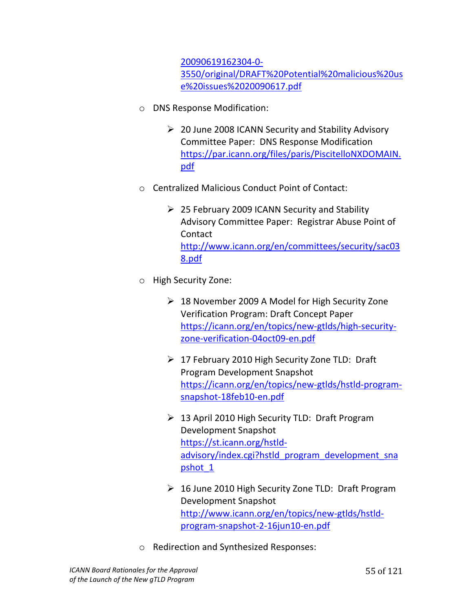20090619162304-0-3550/original/DRAFT%20Potential%20malicious%20us e%20issues%2020090617.pdf!!!

- o DNS Response Modification:
	- $\geq 20$  June 2008 ICANN Security and Stability Advisory Committee Paper: DNS Response Modification https://par.icann.org/files/paris/PiscitelloNXDOMAIN. pdf
- $\circ$  Centralized Malicious Conduct Point of Contact:
	- $\geq$  25 February 2009 ICANN Security and Stability Advisory Committee Paper: Registrar Abuse Point of Contact!! http://www.icann.org/en/committees/security/sac03 8.pdf
- o High Security Zone:
	- $\geq$  18 November 2009 A Model for High Security Zone Verification Program: Draft Concept Paper https://icann.org/en/topics/new-gtlds/high-securityzone-verification-04oct09-en.pdf
	- $\triangleright$  17 February 2010 High Security Zone TLD: Draft Program Development Snapshot https://icann.org/en/topics/new-gtlds/hstld-programsnapshot-18feb10-en.pdf
	- $\geq$  13 April 2010 High Security TLD: Draft Program Development Snapshot https://st.icann.org/hstldadvisory/index.cgi?hstld\_program\_development\_sna pshot 1
	- $\geq 16$  June 2010 High Security Zone TLD: Draft Program Development Snapshot http://www.icann.org/en/topics/new-gtlds/hstldprogram-snapshot-2-16jun10-en.pdf
- o Redirection!and!Synthesized!Responses: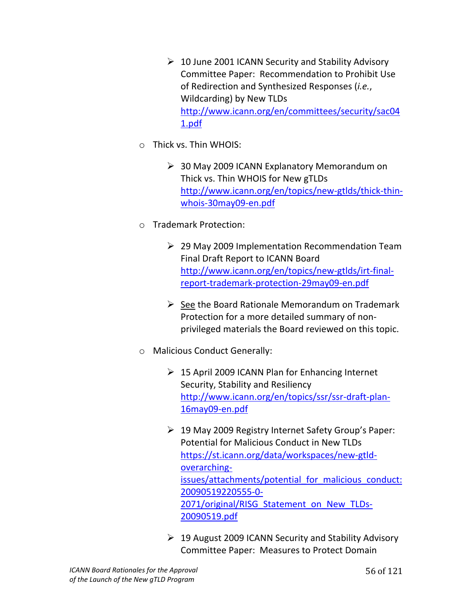- $\geq 10$  June 2001 ICANN Security and Stability Advisory Committee Paper: Recommendation to Prohibit Use of Redirection and Synthesized Responses (*i.e.*, Wildcarding) by New TLDs http://www.icann.org/en/committees/security/sac04 1.pdf!!
- $\circ$  Thick vs. Thin WHOIS:
	- $\geq$  30 May 2009 ICANN Explanatory Memorandum on Thick vs. Thin WHOIS for New gTLDs http://www.icann.org/en/topics/new-gtlds/thick-thinwhois-30may09-en.pdf
- o Trademark!Protection:
	- $\geq$  29 May 2009 Implementation Recommendation Team Final Draft Report to ICANN Board http://www.icann.org/en/topics/new-gtlds/irt-finalreport-trademark-protection-29may09-en.pdf
	- $\triangleright$  See the Board Rationale Memorandum on Trademark Protection for a more detailed summary of nonprivileged materials the Board reviewed on this topic.
- o Malicious Conduct Generally:
	- $\geq$  15 April 2009 ICANN Plan for Enhancing Internet Security, Stability and Resiliency http://www.icann.org/en/topics/ssr/ssr-draft-plan-16may09-en.pdf
	- $\geqslant$  19 May 2009 Registry Internet Safety Group's Paper: Potential for Malicious Conduct in New TLDs https://st.icann.org/data/workspaces/new-gtldoverarchingissues/attachments/potential for malicious conduct: 20090519220555-0-2071/original/RISG Statement on New TLDs-20090519.pdf!!!
	- $\geqslant$  19 August 2009 ICANN Security and Stability Advisory Committee Paper: Measures to Protect Domain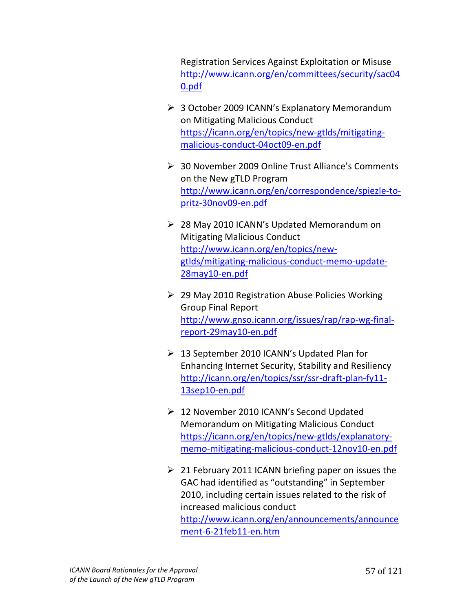Registration Services Against Exploitation or Misuse http://www.icann.org/en/committees/security/sac04 0.pdf!!

- $\triangleright$  3 October 2009 ICANN's Explanatory Memorandum on Mitigating Malicious Conduct https://icann.org/en/topics/new-gtlds/mitigatingmalicious-conduct-04oct09-en.pdf
- $\geqslant$  30 November 2009 Online Trust Alliance's Comments on the New gTLD Program http://www.icann.org/en/correspondence/spiezle-topritz-30nov09-en.pdf
- $\geq$  28 May 2010 ICANN's Updated Memorandum on Mitigating Malicious Conduct http://www.icann.org/en/topics/newgtlds/mitigating-malicious-conduct-memo-update-28may10-en.pdf
- $\geq$  29 May 2010 Registration Abuse Policies Working Group Final Report http://www.gnso.icann.org/issues/rap/rap-wg-finalreport-29may10-en.pdf
- $\geq 13$  September 2010 ICANN's Updated Plan for Enhancing Internet Security, Stability and Resiliency http://icann.org/en/topics/ssr/ssr-draft-plan-fy11-13sep10-en.pdf
- $\geq 12$  November 2010 ICANN's Second Updated Memorandum on Mitigating Malicious Conduct https://icann.org/en/topics/new-gtlds/explanatorymemo-mitigating-malicious-conduct-12nov10-en.pdf
- $\geq 21$  February 2011 ICANN briefing paper on issues the GAC had identified as "outstanding" in September 2010, including certain issues related to the risk of increased malicious conduct http://www.icann.org/en/announcements/announce ment-6-21feb11-en.htm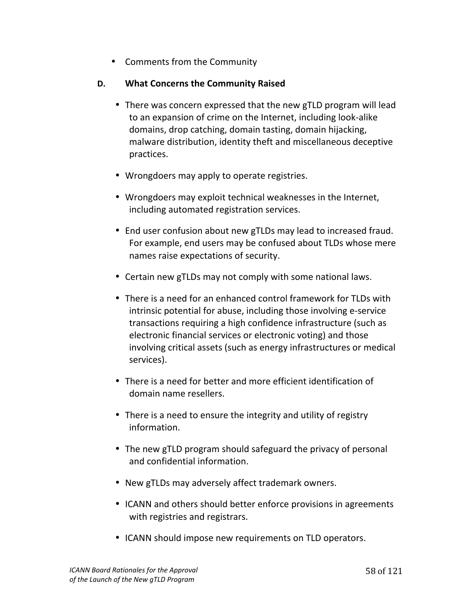• Comments from the Community

#### **D.** What Concerns the Community Raised

- There was concern expressed that the new gTLD program will lead to an expansion of crime on the Internet, including look-alike domains, drop catching, domain tasting, domain hijacking, malware distribution, identity theft and miscellaneous deceptive practices.
- Wrongdoers may apply to operate registries.
- Wrongdoers may exploit technical weaknesses in the Internet, including automated registration services.
- End user confusion about new gTLDs may lead to increased fraud. For example, end users may be confused about TLDs whose mere names raise expectations of security.
- Certain new gTLDs may not comply with some national laws.
- There is a need for an enhanced control framework for TLDs with intrinsic potential for abuse, including those involving e-service transactions requiring a high confidence infrastructure (such as electronic financial services or electronic voting) and those involving critical assets (such as energy infrastructures or medical services).
- There is a need for better and more efficient identification of domain name resellers.
- There is a need to ensure the integrity and utility of registry information.
- The new gTLD program should safeguard the privacy of personal and confidential information.
- New gTLDs may adversely affect trademark owners.
- ICANN and others should better enforce provisions in agreements with registries and registrars.
- ICANN should impose new requirements on TLD operators.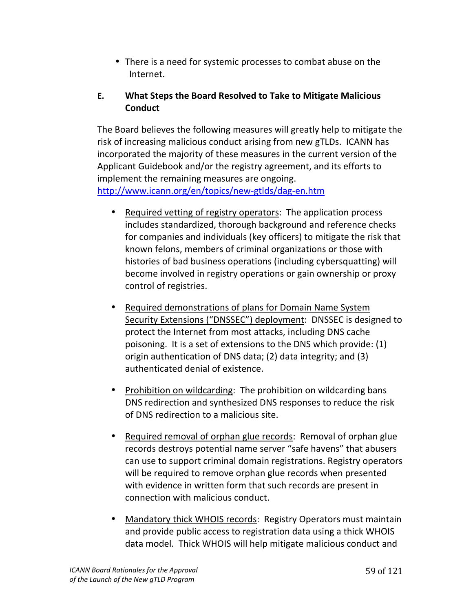• There is a need for systemic processes to combat abuse on the Internet.

# **E. What Steps the Board Resolved to Take to Mitigate Malicious Conduct**

The Board believes the following measures will greatly help to mitigate the risk of increasing malicious conduct arising from new gTLDs. ICANN has incorporated the majority of these measures in the current version of the Applicant Guidebook and/or the registry agreement, and its efforts to implement the remaining measures are ongoing. http://www.icann.org/en/topics/new-gtlds/dag-en.htm

- Required vetting of registry operators: The application process includes standardized, thorough background and reference checks for companies and individuals (key officers) to mitigate the risk that known felons, members of criminal organizations or those with histories of bad business operations (including cybersquatting) will become involved in registry operations or gain ownership or proxy control of registries.
- Required demonstrations of plans for Domain Name System Security Extensions ("DNSSEC") deployment: DNSSEC is designed to protect the Internet from most attacks, including DNS cache poisoning. It is a set of extensions to the DNS which provide: (1) origin authentication of DNS data; (2) data integrity; and (3) authenticated denial of existence.
- Prohibition on wildcarding: The prohibition on wildcarding bans DNS redirection and synthesized DNS responses to reduce the risk of DNS redirection to a malicious site.
- Required removal of orphan glue records: Removal of orphan glue records destroys potential name server "safe havens" that abusers can use to support criminal domain registrations. Registry operators will be required to remove orphan glue records when presented with evidence in written form that such records are present in connection with malicious conduct.
- Mandatory thick WHOIS records: Registry Operators must maintain and provide public access to registration data using a thick WHOIS data model. Thick WHOIS will help mitigate malicious conduct and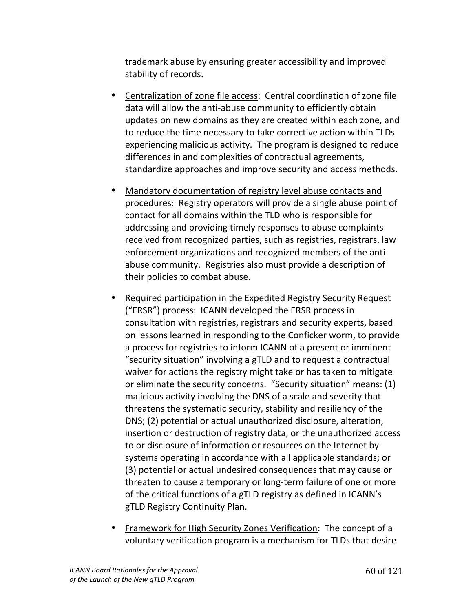trademark abuse by ensuring greater accessibility and improved stability of records.

- Centralization of zone file access: Central coordination of zone file data will allow the anti-abuse community to efficiently obtain updates on new domains as they are created within each zone, and to reduce the time necessary to take corrective action within TLDs experiencing malicious activity. The program is designed to reduce differences in and complexities of contractual agreements, standardize approaches and improve security and access methods.
- Mandatory documentation of registry level abuse contacts and procedures: Registry operators will provide a single abuse point of contact for all domains within the TLD who is responsible for addressing and providing timely responses to abuse complaints received from recognized parties, such as registries, registrars, law enforcement organizations and recognized members of the antiabuse community. Registries also must provide a description of their policies to combat abuse.
- Required participation in the Expedited Registry Security Request ("ERSR") process: ICANN developed the ERSR process in consultation with registries, registrars and security experts, based on lessons learned in responding to the Conficker worm, to provide a process for registries to inform ICANN of a present or imminent "security situation" involving a gTLD and to request a contractual waiver for actions the registry might take or has taken to mitigate or eliminate the security concerns. "Security situation" means: (1) malicious activity involving the DNS of a scale and severity that threatens the systematic security, stability and resiliency of the DNS; (2) potential or actual unauthorized disclosure, alteration, insertion or destruction of registry data, or the unauthorized access to or disclosure of information or resources on the Internet by systems operating in accordance with all applicable standards; or (3) potential or actual undesired consequences that may cause or threaten to cause a temporary or long-term failure of one or more of the critical functions of a gTLD registry as defined in ICANN's gTLD Registry Continuity Plan.
- Framework for High Security Zones Verification: The concept of a voluntary verification program is a mechanism for TLDs that desire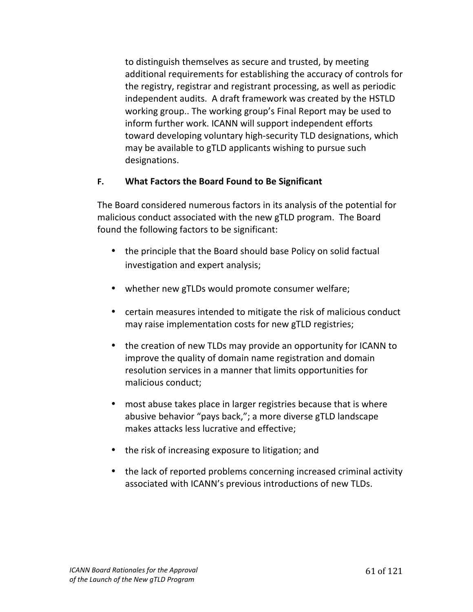to distinguish themselves as secure and trusted, by meeting additional requirements for establishing the accuracy of controls for the registry, registrar and registrant processing, as well as periodic independent audits. A draft framework was created by the HSTLD working group.. The working group's Final Report may be used to inform further work. ICANN will support independent efforts toward developing voluntary high-security TLD designations, which may be available to gTLD applicants wishing to pursue such designations.

#### **F. What Factors the Board Found to Be Significant**

The Board considered numerous factors in its analysis of the potential for malicious conduct associated with the new gTLD program. The Board found the following factors to be significant:

- the principle that the Board should base Policy on solid factual investigation and expert analysis;
- whether new gTLDs would promote consumer welfare;
- certain measures intended to mitigate the risk of malicious conduct may raise implementation costs for new gTLD registries;
- the creation of new TLDs may provide an opportunity for ICANN to improve the quality of domain name registration and domain resolution services in a manner that limits opportunities for malicious conduct;
- most abuse takes place in larger registries because that is where abusive behavior "pays back,"; a more diverse gTLD landscape makes attacks less lucrative and effective;
- the risk of increasing exposure to litigation; and
- $\bullet$  the lack of reported problems concerning increased criminal activity associated with ICANN's previous introductions of new TLDs.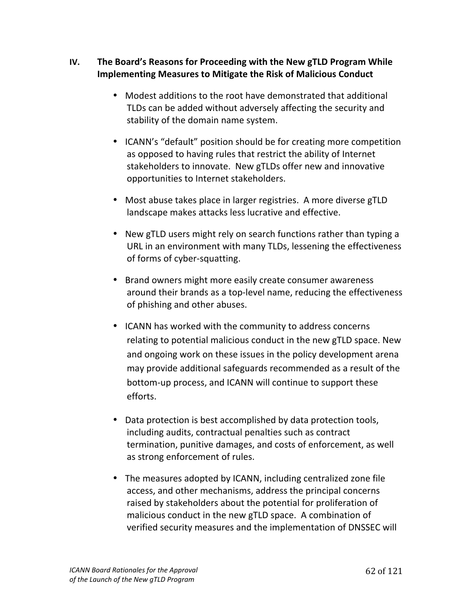## **IV.** The Board's Reasons for Proceeding with the New gTLD Program While **Implementing Measures to Mitigate the Risk of Malicious Conduct**

- Modest additions to the root have demonstrated that additional TLDs can be added without adversely affecting the security and stability of the domain name system.
- ICANN's "default" position should be for creating more competition as opposed to having rules that restrict the ability of Internet stakeholders to innovate. New gTLDs offer new and innovative opportunities to Internet stakeholders.
- Most abuse takes place in larger registries. A more diverse gTLD landscape makes attacks less lucrative and effective.
- New gTLD users might rely on search functions rather than typing a URL in an environment with many TLDs, lessening the effectiveness of forms of cyber-squatting.
- Brand owners might more easily create consumer awareness around their brands as a top-level name, reducing the effectiveness of phishing and other abuses.
- ICANN has worked with the community to address concerns relating to potential malicious conduct in the new gTLD space. New and ongoing work on these issues in the policy development arena may provide additional safeguards recommended as a result of the bottom-up process, and ICANN will continue to support these efforts.
- Data protection is best accomplished by data protection tools, including audits, contractual penalties such as contract termination, punitive damages, and costs of enforcement, as well as strong enforcement of rules.
- The measures adopted by ICANN, including centralized zone file access, and other mechanisms, address the principal concerns raised by stakeholders about the potential for proliferation of malicious conduct in the new gTLD space. A combination of verified security measures and the implementation of DNSSEC will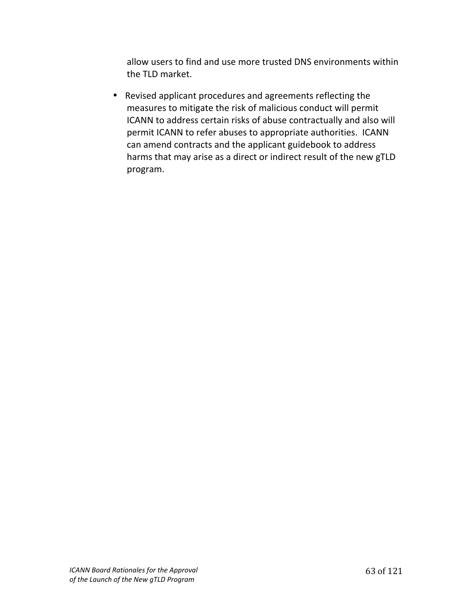allow users to find and use more trusted DNS environments within the TLD market.

• Revised applicant procedures and agreements reflecting the measures to mitigate the risk of malicious conduct will permit ICANN to address certain risks of abuse contractually and also will permit ICANN to refer abuses to appropriate authorities. ICANN can amend contracts and the applicant guidebook to address harms that may arise as a direct or indirect result of the new gTLD program.!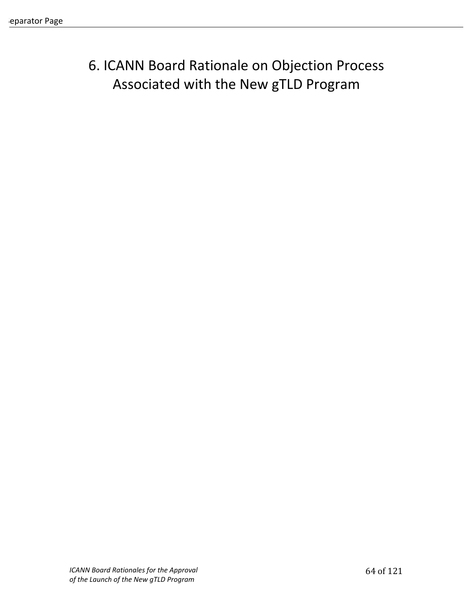# 6. ICANN Board Rationale on Objection Process Associated with the New gTLD Program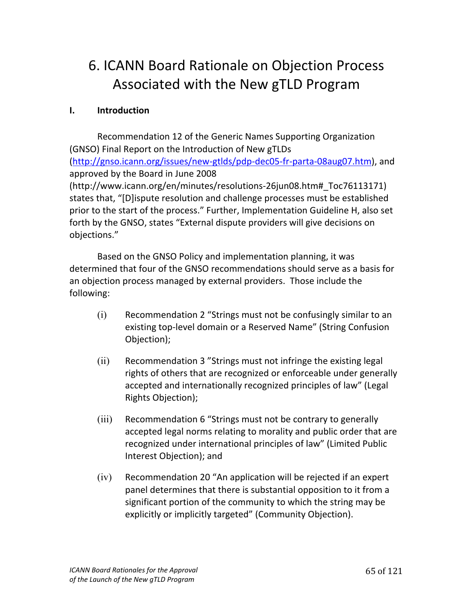# 6. ICANN Board Rationale on Objection Process Associated with the New gTLD Program

## **I. Introduction**

Recommendation 12 of the Generic Names Supporting Organization (GNSO) Final Report on the Introduction of New gTLDs (http://gnso.icann.org/issues/new-gtlds/pdp-dec05-fr-parta-08aug07.htm), and approved by the Board in June 2008 (http://www.icann.org/en/minutes/resolutions-26jun08.htm# Toc76113171) states that, "[D]ispute resolution and challenge processes must be established prior to the start of the process." Further, Implementation Guideline H, also set forth by the GNSO, states "External dispute providers will give decisions on objections."

Based on the GNSO Policy and implementation planning, it was determined that four of the GNSO recommendations should serve as a basis for an objection process managed by external providers. Those include the following:

- $(i)$  Recommendation 2 "Strings must not be confusingly similar to an existing top-level domain or a Reserved Name" (String Confusion Objection);
- $(iii)$  Recommendation 3 "Strings must not infringe the existing legal rights of others that are recognized or enforceable under generally accepted and internationally recognized principles of law" (Legal Rights Objection);
- $(iii)$  Recommendation 6 "Strings must not be contrary to generally accepted legal norms relating to morality and public order that are recognized under international principles of law" (Limited Public Interest Objection); and
- $(iv)$  Recommendation 20 "An application will be rejected if an expert panel determines that there is substantial opposition to it from a significant portion of the community to which the string may be explicitly or implicitly targeted" (Community Objection).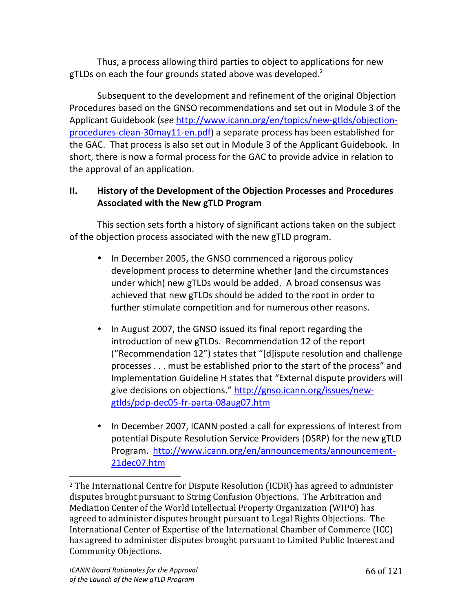Thus, a process allowing third parties to object to applications for new gTLDs on each the four grounds stated above was developed.<sup>2</sup>

Subsequent to the development and refinement of the original Objection Procedures based on the GNSO recommendations and set out in Module 3 of the Applicant Guidebook (*see* http://www.icann.org/en/topics/new-gtlds/objectionprocedures-clean-30may11-en.pdf) a separate process has been established for the GAC. That process is also set out in Module 3 of the Applicant Guidebook. In short, there is now a formal process for the GAC to provide advice in relation to the approval of an application.

## **II.** History of the Development of the Objection Processes and Procedures **Associated with the New gTLD Program**

This section sets forth a history of significant actions taken on the subject of the objection process associated with the new gTLD program.

- In December 2005, the GNSO commenced a rigorous policy development process to determine whether (and the circumstances under which) new gTLDs would be added. A broad consensus was achieved that new gTLDs should be added to the root in order to further stimulate competition and for numerous other reasons.
- In August 2007, the GNSO issued its final report regarding the introduction of new gTLDs. Recommendation 12 of the report ("Recommendation 12") states that "[d]ispute resolution and challenge processes . . . must be established prior to the start of the process" and Implementation Guideline H states that "External dispute providers will give decisions on objections." http://gnso.icann.org/issues/newgtlds/pdp-dec05-fr-parta-08aug07.htm
- In December 2007, ICANN posted a call for expressions of Interest from potential Dispute Resolution Service Providers (DSRP) for the new gTLD Program. http://www.icann.org/en/announcements/announcement-21dec07.htm

"""""""""""""""""""""""""""""""""""""""""""""""""""""""

 $2$  The International Centre for Dispute Resolution (ICDR) has agreed to administer disputes brought pursuant to String Confusion Objections. The Arbitration and Mediation Center of the World Intellectual Property Organization (WIPO) has agreed to administer disputes brought pursuant to Legal Rights Objections. The International Center of Expertise of the International Chamber of Commerce (ICC) has agreed to administer disputes brought pursuant to Limited Public Interest and Community Objections.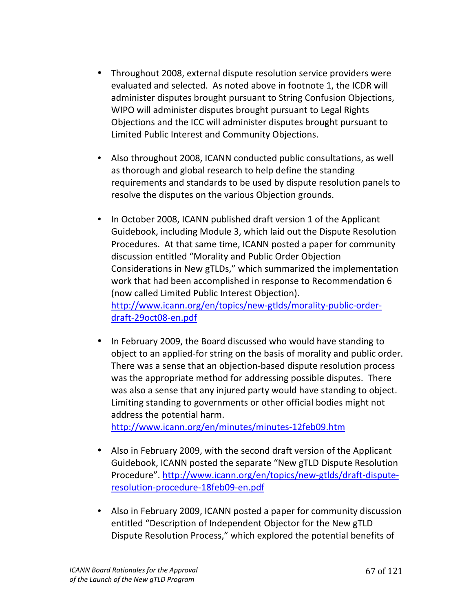- Throughout 2008, external dispute resolution service providers were evaluated and selected. As noted above in footnote 1, the ICDR will administer disputes brought pursuant to String Confusion Objections, WIPO will administer disputes brought pursuant to Legal Rights Objections and the ICC will administer disputes brought pursuant to Limited Public Interest and Community Objections.
- Also throughout 2008, ICANN conducted public consultations, as well as thorough and global research to help define the standing requirements and standards to be used by dispute resolution panels to resolve the disputes on the various Objection grounds.
- In October 2008, ICANN published draft version 1 of the Applicant Guidebook, including Module 3, which laid out the Dispute Resolution Procedures. At that same time, ICANN posted a paper for community discussion entitled "Morality and Public Order Objection Considerations in New gTLDs," which summarized the implementation work that had been accomplished in response to Recommendation 6 (now called Limited Public Interest Objection). http://www.icann.org/en/topics/new-gtlds/morality-public-orderdraft-29oct08-en.pdf
- In February 2009, the Board discussed who would have standing to object to an applied-for string on the basis of morality and public order. There was a sense that an objection-based dispute resolution process was the appropriate method for addressing possible disputes. There was also a sense that any injured party would have standing to object. Limiting standing to governments or other official bodies might not address the potential harm.

http://www.icann.org/en/minutes/minutes-12feb09.htm

- Also in February 2009, with the second draft version of the Applicant Guidebook, ICANN posted the separate "New gTLD Dispute Resolution Procedure". http://www.icann.org/en/topics/new-gtlds/draft-disputeresolution-procedure-18feb09-en.pdf
- Also in February 2009, ICANN posted a paper for community discussion entitled "Description of Independent Objector for the New gTLD Dispute Resolution Process," which explored the potential benefits of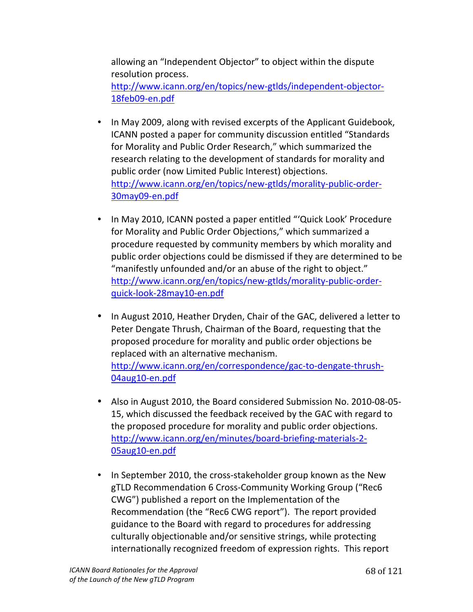allowing an "Independent Objector" to object within the dispute resolution process. http://www.icann.org/en/topics/new-gtlds/independent-objector-18feb09-en.pdf

- In May 2009, along with revised excerpts of the Applicant Guidebook, ICANN posted a paper for community discussion entitled "Standards" for Morality and Public Order Research," which summarized the research relating to the development of standards for morality and public order (now Limited Public Interest) objections. http://www.icann.org/en/topics/new-gtlds/morality-public-order-30may09-en.pdf
- In May 2010, ICANN posted a paper entitled "'Quick Look' Procedure for Morality and Public Order Objections," which summarized a procedure requested by community members by which morality and public order objections could be dismissed if they are determined to be "manifestly unfounded and/or an abuse of the right to object." http://www.icann.org/en/topics/new-gtlds/morality-public-orderquick-look-28may10-en.pdf
- In August 2010, Heather Dryden, Chair of the GAC, delivered a letter to Peter Dengate Thrush, Chairman of the Board, requesting that the proposed procedure for morality and public order objections be replaced with an alternative mechanism. http://www.icann.org/en/correspondence/gac-to-dengate-thrush-04aug10-en.pdf
- Also in August 2010, the Board considered Submission No. 2010-08-05-15, which discussed the feedback received by the GAC with regard to the proposed procedure for morality and public order objections. http://www.icann.org/en/minutes/board-briefing-materials-2-05aug10-en.pdf
- In September 2010, the cross-stakeholder group known as the New gTLD Recommendation 6 Cross-Community Working Group ("Rec6 CWG") published a report on the Implementation of the Recommendation (the "Rec6 CWG report"). The report provided guidance to the Board with regard to procedures for addressing culturally objectionable and/or sensitive strings, while protecting internationally recognized freedom of expression rights. This report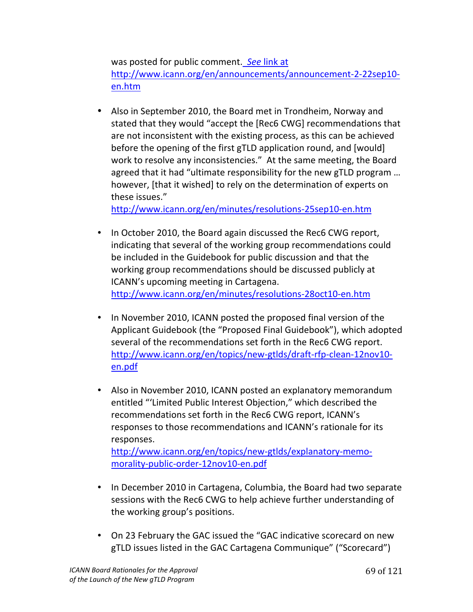was posted for public comment. See link at http://www.icann.org/en/announcements/announcement-2-22sep10en.htm

• Also in September 2010, the Board met in Trondheim, Norway and stated that they would "accept the [Rec6 CWG] recommendations that are not inconsistent with the existing process, as this can be achieved before the opening of the first gTLD application round, and [would] work to resolve any inconsistencies." At the same meeting, the Board agreed that it had "ultimate responsibility for the new gTLD program ... however, [that it wished] to rely on the determination of experts on these issues."

http://www.icann.org/en/minutes/resolutions-25sep10-en.htm

- In October 2010, the Board again discussed the Rec6 CWG report, indicating that several of the working group recommendations could be included in the Guidebook for public discussion and that the working group recommendations should be discussed publicly at ICANN's upcoming meeting in Cartagena. http://www.icann.org/en/minutes/resolutions-28oct10-en.htm
- In November 2010, ICANN posted the proposed final version of the Applicant Guidebook (the "Proposed Final Guidebook"), which adopted several of the recommendations set forth in the Rec6 CWG report. http://www.icann.org/en/topics/new-gtlds/draft-rfp-clean-12nov10en.pdf
- Also in November 2010, ICANN posted an explanatory memorandum entitled "'Limited Public Interest Objection," which described the recommendations set forth in the Rec6 CWG report, ICANN's responses to those recommendations and ICANN's rationale for its responses.

http://www.icann.org/en/topics/new-gtlds/explanatory-memomorality-public-order-12nov10-en.pdf

- In December 2010 in Cartagena, Columbia, the Board had two separate sessions with the Rec6 CWG to help achieve further understanding of the working group's positions.
- On 23 February the GAC issued the "GAC indicative scorecard on new gTLD issues listed in the GAC Cartagena Communique" ("Scorecard")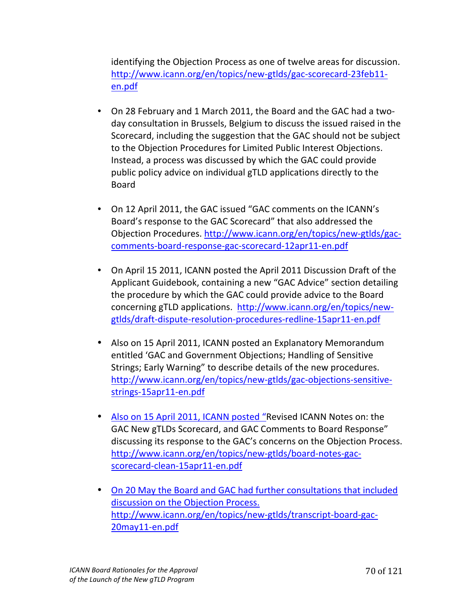identifying the Objection Process as one of twelve areas for discussion. http://www.icann.org/en/topics/new-gtlds/gac-scorecard-23feb11en.pdf

- On 28 February and 1 March 2011, the Board and the GAC had a twoday consultation in Brussels, Belgium to discuss the issued raised in the Scorecard, including the suggestion that the GAC should not be subject to the Objection Procedures for Limited Public Interest Objections. Instead, a process was discussed by which the GAC could provide public policy advice on individual gTLD applications directly to the **Board**
- On 12 April 2011, the GAC issued "GAC comments on the ICANN's Board's response to the GAC Scorecard" that also addressed the Objection Procedures. http://www.icann.org/en/topics/new-gtlds/gaccomments-board-response-gac-scorecard-12apr11-en.pdf
- On April 15 2011, ICANN posted the April 2011 Discussion Draft of the Applicant Guidebook, containing a new "GAC Advice" section detailing the procedure by which the GAC could provide advice to the Board concerning gTLD applications. http://www.icann.org/en/topics/newgtlds/draft-dispute-resolution-procedures-redline-15apr11-en.pdf
- Also on 15 April 2011, ICANN posted an Explanatory Memorandum entitled 'GAC and Government Objections; Handling of Sensitive Strings; Early Warning" to describe details of the new procedures. http://www.icann.org/en/topics/new-gtlds/gac-objections-sensitivestrings-15apr11-en.pdf
- Also on 15 April 2011, ICANN posted "Revised ICANN Notes on: the GAC New gTLDs Scorecard, and GAC Comments to Board Response" discussing its response to the GAC's concerns on the Objection Process. http://www.icann.org/en/topics/new-gtlds/board-notes-gacscorecard-clean-15apr11-en.pdf
- On 20 May the Board and GAC had further consultations that included discussion on the Objection Process. http://www.icann.org/en/topics/new-gtlds/transcript-board-gac-20may11-en.pdf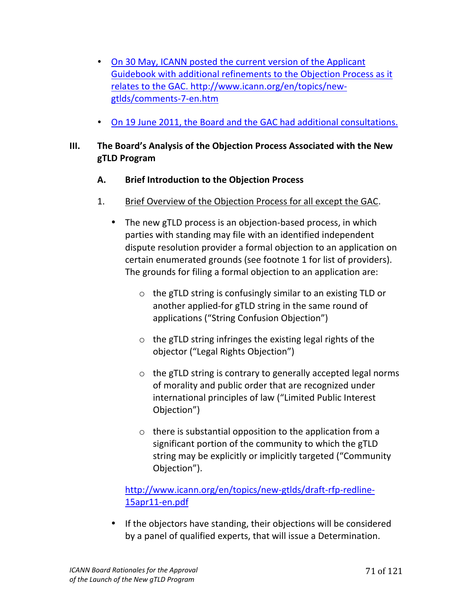- On 30 May, ICANN posted the current version of the Applicant Guidebook with additional refinements to the Objection Process as it relates to the GAC. http://www.icann.org/en/topics/newgtlds/comments-7-en.htm
- On 19 June 2011, the Board and the GAC had additional consultations.

# **III.** The Board's Analysis of the Objection Process Associated with the New **gTLD#Program**

### A. Brief Introduction to the Objection Process

- 1. Brief Overview of the Objection Process for all except the GAC.
	- The new gTLD process is an objection-based process, in which parties with standing may file with an identified independent dispute resolution provider a formal objection to an application on certain enumerated grounds (see footnote 1 for list of providers). The grounds for filing a formal objection to an application are:
		- $\circ$  the gTLD string is confusingly similar to an existing TLD or another applied-for gTLD string in the same round of applications ("String Confusion Objection")
		- $\circ$  the gTLD string infringes the existing legal rights of the objector ("Legal Rights Objection")
		- $\circ$  the gTLD string is contrary to generally accepted legal norms of morality and public order that are recognized under international principles of law ("Limited Public Interest Objection")
		- $\circ$  there is substantial opposition to the application from a significant portion of the community to which the gTLD string may be explicitly or implicitly targeted ("Community Objection").

# http://www.icann.org/en/topics/new-gtlds/draft-rfp-redline-15apr11-en.pdf

• If the objectors have standing, their objections will be considered by a panel of qualified experts, that will issue a Determination.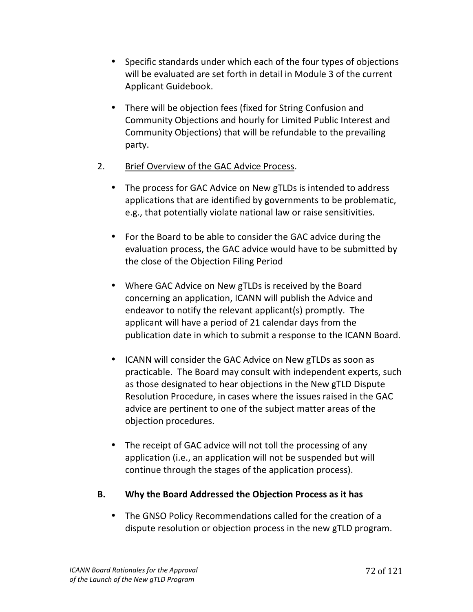- Specific standards under which each of the four types of objections will be evaluated are set forth in detail in Module 3 of the current Applicant Guidebook.
- There will be objection fees (fixed for String Confusion and Community Objections and hourly for Limited Public Interest and Community Objections) that will be refundable to the prevailing party.
- 2. Brief Overview of the GAC Advice Process.
	- The process for GAC Advice on New gTLDs is intended to address applications that are identified by governments to be problematic, e.g., that potentially violate national law or raise sensitivities.
	- For the Board to be able to consider the GAC advice during the evaluation process, the GAC advice would have to be submitted by the close of the Objection Filing Period
	- Where GAC Advice on New gTLDs is received by the Board concerning an application, ICANN will publish the Advice and endeavor to notify the relevant applicant(s) promptly. The applicant will have a period of 21 calendar days from the publication date in which to submit a response to the ICANN Board.
	- ICANN will consider the GAC Advice on New gTLDs as soon as practicable. The Board may consult with independent experts, such as those designated to hear objections in the New gTLD Dispute Resolution Procedure, in cases where the issues raised in the GAC advice are pertinent to one of the subject matter areas of the objection procedures.
	- The receipt of GAC advice will not toll the processing of any application (i.e., an application will not be suspended but will continue through the stages of the application process).

# **B.** Why the Board Addressed the Objection Process as it has

• The GNSO Policy Recommendations called for the creation of a dispute resolution or objection process in the new gTLD program.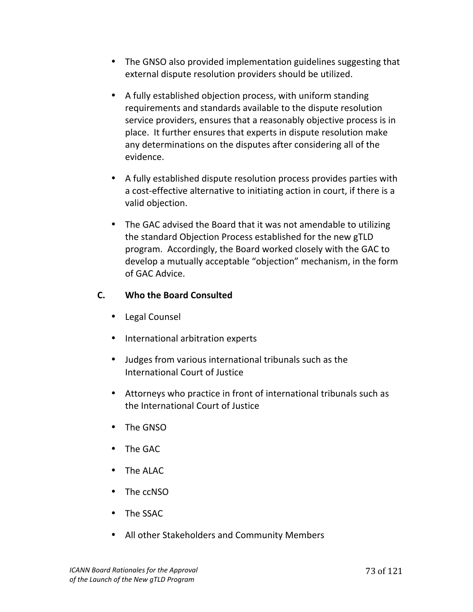- The GNSO also provided implementation guidelines suggesting that external dispute resolution providers should be utilized.
- A fully established objection process, with uniform standing requirements and standards available to the dispute resolution service providers, ensures that a reasonably objective process is in place. It further ensures that experts in dispute resolution make any determinations on the disputes after considering all of the evidence.
- A fully established dispute resolution process provides parties with a cost-effective alternative to initiating action in court, if there is a valid objection.
- The GAC advised the Board that it was not amendable to utilizing the standard Objection Process established for the new gTLD program. Accordingly, the Board worked closely with the GAC to develop a mutually acceptable "objection" mechanism, in the form of!GAC!Advice.

### **C. Who the Board Consulted**

- Legal Counsel
- International arbitration experts
- Judges from various international tribunals such as the International Court of Justice
- Attorneys who practice in front of international tribunals such as the International Court of Justice
- The GNSO
- The GAC
- The ALAC
- The ccNSO
- The SSAC
- All other Stakeholders and Community Members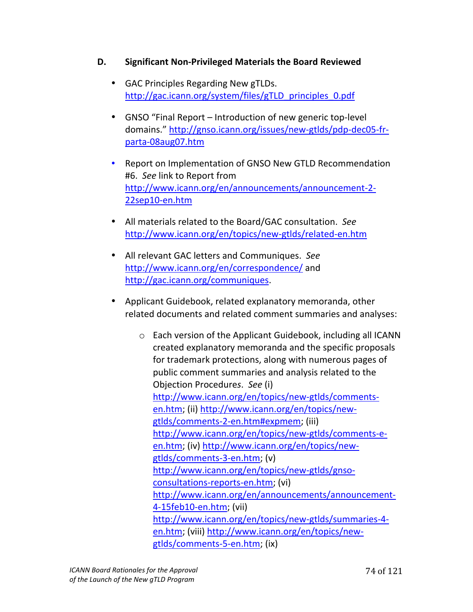### **D.** Significant Non-Privileged Materials the Board Reviewed

- GAC Principles Regarding New gTLDs. http://gac.icann.org/system/files/gTLD\_principles\_0.pdf
- GNSO "Final Report Introduction of new generic top-level domains." http://gnso.icann.org/issues/new-gtlds/pdp-dec05-frparta-08aug07.htm
- Report on Implementation of GNSO New GTLD Recommendation #6. See link to Report from http://www.icann.org/en/announcements/announcement-2-22sep10-en.htm
- All materials related to the Board/GAC consultation. See http://www.icann.org/en/topics/new-gtlds/related-en.htm
- All relevant GAC letters and Communiques. See http://www.icann.org/en/correspondence/ and http://gac.icann.org/communiques.
- Applicant Guidebook, related explanatory memoranda, other related documents and related comment summaries and analyses:
	- $\circ$  Each version of the Applicant Guidebook, including all ICANN created explanatory memoranda and the specific proposals for trademark protections, along with numerous pages of public comment summaries and analysis related to the Objection Procedures. See (i) http://www.icann.org/en/topics/new-gtlds/commentsen.htm; (ii) http://www.icann.org/en/topics/newgtlds/comments-2-en.htm#expmem; (iii) http://www.icann.org/en/topics/new-gtlds/comments-een.htm; (iv) http://www.icann.org/en/topics/newgtlds/comments-3-en.htm; (v) http://www.icann.org/en/topics/new-gtlds/gnsoconsultations-reports-en.htm; (vi) http://www.icann.org/en/announcements/announcement-4-15feb10-en.htm; (vii) http://www.icann.org/en/topics/new-gtlds/summaries-4en.htm; (viii) http://www.icann.org/en/topics/newgtlds/comments-5-en.htm; (ix)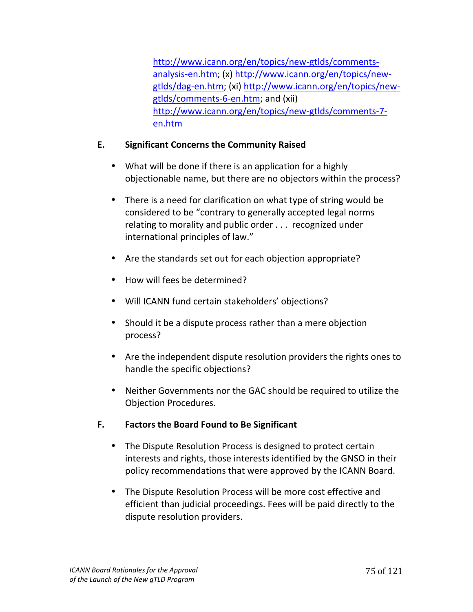http://www.icann.org/en/topics/new-gtlds/commentsanalysis-en.htm; (x) http://www.icann.org/en/topics/newgtlds/dag-en.htm; (xi) http://www.icann.org/en/topics/newgtlds/comments-6-en.htm; and (xii) http://www.icann.org/en/topics/new-gtlds/comments-7en.htm

# **E. Significant#Concerns#the#Community#Raised**

- What will be done if there is an application for a highly objectionable name, but there are no objectors within the process?
- There is a need for clarification on what type of string would be considered to be "contrary to generally accepted legal norms relating to morality and public order . . . recognized under international principles of law."
- Are the standards set out for each objection appropriate?
- How will fees be determined?
- Will ICANN fund certain stakeholders' objections?
- Should it be a dispute process rather than a mere objection process?
- Are the independent dispute resolution providers the rights ones to handle the specific objections?
- Neither Governments nor the GAC should be required to utilize the Objection Procedures.
- **F. Factors the Board Found to Be Significant** 
	- The Dispute Resolution Process is designed to protect certain interests and rights, those interests identified by the GNSO in their policy recommendations that were approved by the ICANN Board.
	- The Dispute Resolution Process will be more cost effective and efficient than judicial proceedings. Fees will be paid directly to the dispute resolution providers.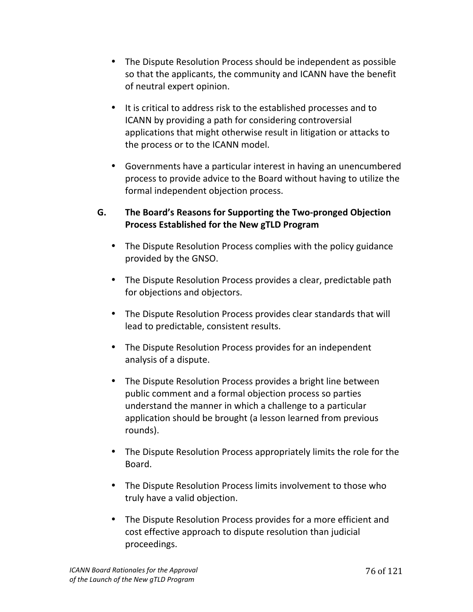- The Dispute Resolution Process should be independent as possible so that the applicants, the community and ICANN have the benefit of neutral expert opinion.
- It is critical to address risk to the established processes and to ICANN by providing a path for considering controversial applications that might otherwise result in litigation or attacks to the process or to the ICANN model.
- Governments have a particular interest in having an unencumbered process to provide advice to the Board without having to utilize the formal independent objection process.

# **G.** The Board's Reasons for Supporting the Two-pronged Objection **Process Established for the New gTLD Program**

- The Dispute Resolution Process complies with the policy guidance provided by the GNSO.
- The Dispute Resolution Process provides a clear, predictable path for objections and objectors.
- The Dispute Resolution Process provides clear standards that will lead to predictable, consistent results.
- The Dispute Resolution Process provides for an independent analysis of a dispute.
- The Dispute Resolution Process provides a bright line between public comment and a formal objection process so parties understand the manner in which a challenge to a particular application should be brought (a lesson learned from previous rounds).
- The Dispute Resolution Process appropriately limits the role for the Board.
- The Dispute Resolution Process limits involvement to those who truly have a valid objection.
- The Dispute Resolution Process provides for a more efficient and cost effective approach to dispute resolution than judicial proceedings.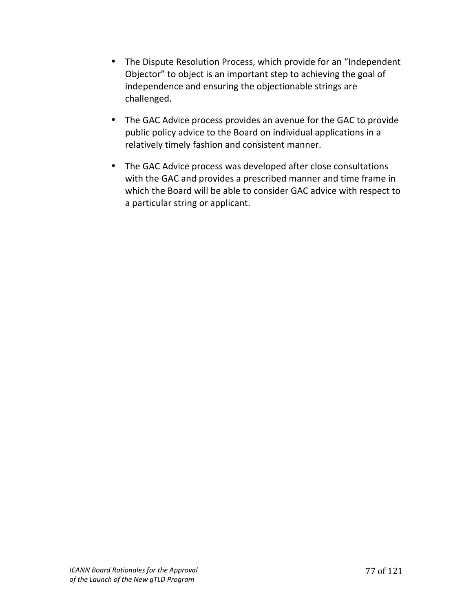- The Dispute Resolution Process, which provide for an "Independent" Objector" to object is an important step to achieving the goal of independence and ensuring the objectionable strings are challenged.
- The GAC Advice process provides an avenue for the GAC to provide public policy advice to the Board on individual applications in a relatively timely fashion and consistent manner.
- The GAC Advice process was developed after close consultations with the GAC and provides a prescribed manner and time frame in which the Board will be able to consider GAC advice with respect to a particular string or applicant.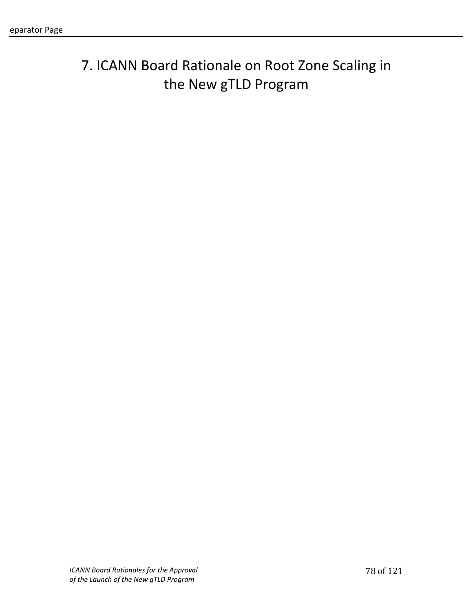# 7. ICANN Board Rationale on Root Zone Scaling in the New gTLD Program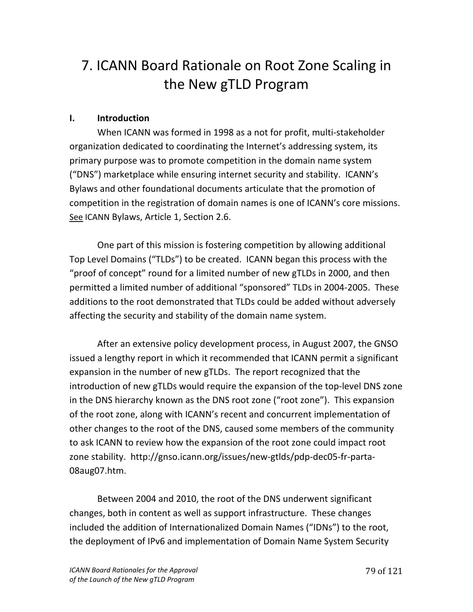# 7. ICANN Board Rationale on Root Zone Scaling in the New gTLD Program

### **I. Introduction**

When ICANN was formed in 1998 as a not for profit, multi-stakeholder organization dedicated to coordinating the Internet's addressing system, its primary purpose was to promote competition in the domain name system ("DNS") marketplace while ensuring internet security and stability. ICANN's Bylaws and other foundational documents articulate that the promotion of competition in the registration of domain names is one of ICANN's core missions. See ICANN Bylaws, Article 1, Section 2.6.

One part of this mission is fostering competition by allowing additional Top Level Domains ("TLDs") to be created. ICANN began this process with the "proof of concept" round for a limited number of new gTLDs in 2000, and then permitted a limited number of additional "sponsored" TLDs in 2004-2005. These additions to the root demonstrated that TLDs could be added without adversely affecting the security and stability of the domain name system.

After an extensive policy development process, in August 2007, the GNSO issued a lengthy report in which it recommended that ICANN permit a significant expansion in the number of new gTLDs. The report recognized that the introduction of new gTLDs would require the expansion of the top-level DNS zone in the DNS hierarchy known as the DNS root zone ("root zone"). This expansion of the root zone, along with ICANN's recent and concurrent implementation of other changes to the root of the DNS, caused some members of the community to ask ICANN to review how the expansion of the root zone could impact root zone stability. http://gnso.icann.org/issues/new-gtlds/pdp-dec05-fr-parta-08aug07.htm.!!

Between 2004 and 2010, the root of the DNS underwent significant changes, both in content as well as support infrastructure. These changes included the addition of Internationalized Domain Names ("IDNs") to the root, the deployment of IPv6 and implementation of Domain Name System Security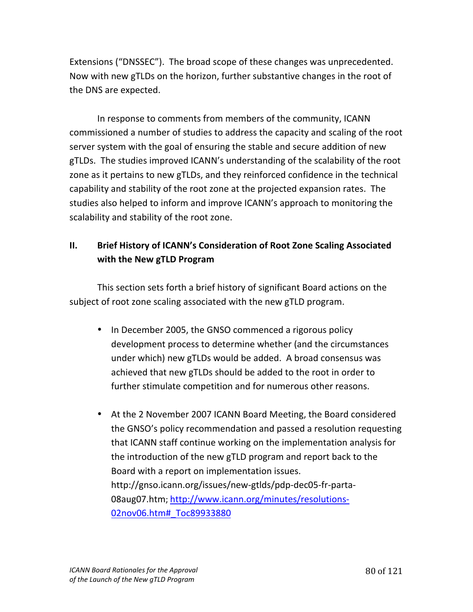Extensions ("DNSSEC"). The broad scope of these changes was unprecedented. Now with new gTLDs on the horizon, further substantive changes in the root of the DNS are expected.

In response to comments from members of the community, ICANN commissioned a number of studies to address the capacity and scaling of the root server system with the goal of ensuring the stable and secure addition of new gTLDs. The studies improved ICANN's understanding of the scalability of the root zone as it pertains to new gTLDs, and they reinforced confidence in the technical capability and stability of the root zone at the projected expansion rates. The studies also helped to inform and improve ICANN's approach to monitoring the scalability and stability of the root zone.

# **II.** Brief History of ICANN's Consideration of Root Zone Scaling Associated with the New gTLD Program

This section sets forth a brief history of significant Board actions on the subject of root zone scaling associated with the new gTLD program.

- In December 2005, the GNSO commenced a rigorous policy development process to determine whether (and the circumstances under which) new gTLDs would be added. A broad consensus was achieved that new gTLDs should be added to the root in order to further stimulate competition and for numerous other reasons.
- At the 2 November 2007 ICANN Board Meeting, the Board considered the GNSO's policy recommendation and passed a resolution requesting that ICANN staff continue working on the implementation analysis for the introduction of the new gTLD program and report back to the Board with a report on implementation issues. http://gnso.icann.org/issues/new-gtlds/pdp-dec05-fr-parta-08aug07.htm; http://www.icann.org/minutes/resolutions-02nov06.htm# Toc89933880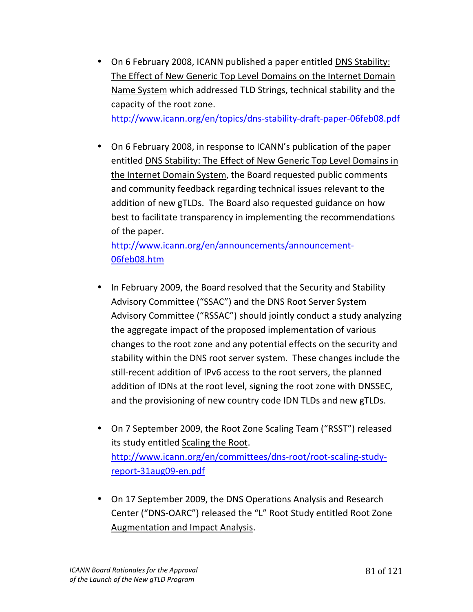• On 6 February 2008, ICANN published a paper entitled DNS Stability: The Effect of New Generic Top Level Domains on the Internet Domain Name System which addressed TLD Strings, technical stability and the capacity of the root zone.

http://www.icann.org/en/topics/dns-stability-draft-paper-06feb08.pdf

• On 6 February 2008, in response to ICANN's publication of the paper entitled DNS Stability: The Effect of New Generic Top Level Domains in the Internet Domain System, the Board requested public comments and community feedback regarding technical issues relevant to the addition of new gTLDs. The Board also requested guidance on how best to facilitate transparency in implementing the recommendations of the paper.

http://www.icann.org/en/announcements/announcement-06feb08.htm!!

- In February 2009, the Board resolved that the Security and Stability Advisory Committee ("SSAC") and the DNS Root Server System Advisory Committee ("RSSAC") should jointly conduct a study analyzing the aggregate impact of the proposed implementation of various changes to the root zone and any potential effects on the security and stability within the DNS root server system. These changes include the still-recent addition of IPv6 access to the root servers, the planned addition of IDNs at the root level, signing the root zone with DNSSEC, and the provisioning of new country code IDN TLDs and new gTLDs.
- On 7 September 2009, the Root Zone Scaling Team ("RSST") released its study entitled Scaling the Root. http://www.icann.org/en/committees/dns-root/root-scaling-studyreport-31aug09-en.pdf
- On 17 September 2009, the DNS Operations Analysis and Research Center ("DNS-OARC") released the "L" Root Study entitled Root Zone Augmentation and Impact Analysis.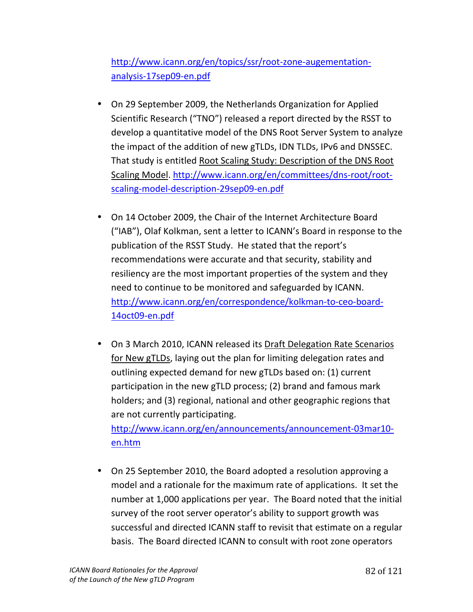# http://www.icann.org/en/topics/ssr/root-zone-augementationanalysis-17sep09-en.pdf

- On 29 September 2009, the Netherlands Organization for Applied Scientific Research ("TNO") released a report directed by the RSST to develop a quantitative model of the DNS Root Server System to analyze the impact of the addition of new gTLDs, IDN TLDs, IPv6 and DNSSEC. That study is entitled Root Scaling Study: Description of the DNS Root Scaling Model. http://www.icann.org/en/committees/dns-root/rootscaling-model-description-29sep09-en.pdf
- On 14 October 2009, the Chair of the Internet Architecture Board ("IAB"), Olaf Kolkman, sent a letter to ICANN's Board in response to the publication of the RSST Study. He stated that the report's recommendations were accurate and that security, stability and resiliency are the most important properties of the system and they need to continue to be monitored and safeguarded by ICANN. http://www.icann.org/en/correspondence/kolkman-to-ceo-board-14oct09-en.pdf
- On 3 March 2010, ICANN released its Draft Delegation Rate Scenarios for New gTLDs, laying out the plan for limiting delegation rates and outlining expected demand for new gTLDs based on: (1) current participation in the new gTLD process; (2) brand and famous mark holders; and (3) regional, national and other geographic regions that are not currently participating.

http://www.icann.org/en/announcements/announcement-03mar10en.htm!!

• On 25 September 2010, the Board adopted a resolution approving a model and a rationale for the maximum rate of applications. It set the number at 1,000 applications per year. The Board noted that the initial survey of the root server operator's ability to support growth was successful and directed ICANN staff to revisit that estimate on a regular basis. The Board directed ICANN to consult with root zone operators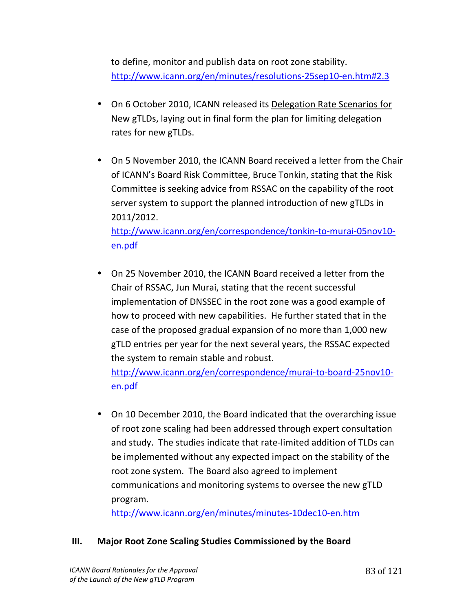to define, monitor and publish data on root zone stability. http://www.icann.org/en/minutes/resolutions-25sep10-en.htm#2.3

- On 6 October 2010, ICANN released its Delegation Rate Scenarios for New gTLDs, laying out in final form the plan for limiting delegation rates for new gTLDs.
- On 5 November 2010, the ICANN Board received a letter from the Chair of ICANN's Board Risk Committee, Bruce Tonkin, stating that the Risk Committee is seeking advice from RSSAC on the capability of the root server system to support the planned introduction of new gTLDs in 2011/2012. http://www.icann.org/en/correspondence/tonkin-to-murai-05nov10en.pdf
- On 25 November 2010, the ICANN Board received a letter from the Chair of RSSAC, Jun Murai, stating that the recent successful implementation of DNSSEC in the root zone was a good example of how to proceed with new capabilities. He further stated that in the case of the proposed gradual expansion of no more than 1,000 new gTLD entries per year for the next several years, the RSSAC expected the system to remain stable and robust.

http://www.icann.org/en/correspondence/murai-to-board-25nov10en.pdf

• On 10 December 2010, the Board indicated that the overarching issue of root zone scaling had been addressed through expert consultation and study. The studies indicate that rate-limited addition of TLDs can be implemented without any expected impact on the stability of the root zone system. The Board also agreed to implement communications and monitoring systems to oversee the new gTLD program.!

http://www.icann.org/en/minutes/minutes-10dec10-en.htm

# **III.** Major Root Zone Scaling Studies Commissioned by the Board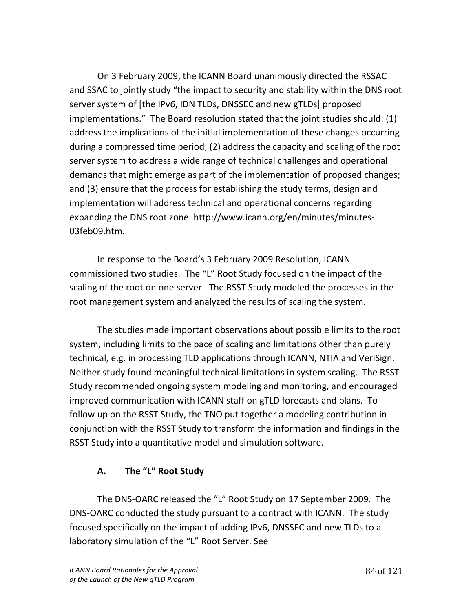On 3 February 2009, the ICANN Board unanimously directed the RSSAC and SSAC to jointly study "the impact to security and stability within the DNS root server system of [the IPv6, IDN TLDs, DNSSEC and new gTLDs] proposed implementations." The Board resolution stated that the joint studies should: (1) address the implications of the initial implementation of these changes occurring during a compressed time period; (2) address the capacity and scaling of the root server system to address a wide range of technical challenges and operational demands that might emerge as part of the implementation of proposed changes; and (3) ensure that the process for establishing the study terms, design and implementation will address technical and operational concerns regarding expanding the DNS root zone. http://www.icann.org/en/minutes/minutes-03feb09.htm.

In response to the Board's 3 February 2009 Resolution, ICANN commissioned two studies. The "L" Root Study focused on the impact of the scaling of the root on one server. The RSST Study modeled the processes in the root management system and analyzed the results of scaling the system.

The studies made important observations about possible limits to the root system, including limits to the pace of scaling and limitations other than purely technical, e.g. in processing TLD applications through ICANN, NTIA and VeriSign. Neither study found meaningful technical limitations in system scaling. The RSST Study recommended ongoing system modeling and monitoring, and encouraged improved communication with ICANN staff on gTLD forecasts and plans. To follow up on the RSST Study, the TNO put together a modeling contribution in conjunction with the RSST Study to transform the information and findings in the RSST Study into a quantitative model and simulation software.

# A. The "L" Root Study

The DNS-OARC released the "L" Root Study on 17 September 2009. The DNS-OARC conducted the study pursuant to a contract with ICANN. The study focused specifically on the impact of adding IPv6, DNSSEC and new TLDs to a laboratory simulation of the "L" Root Server. See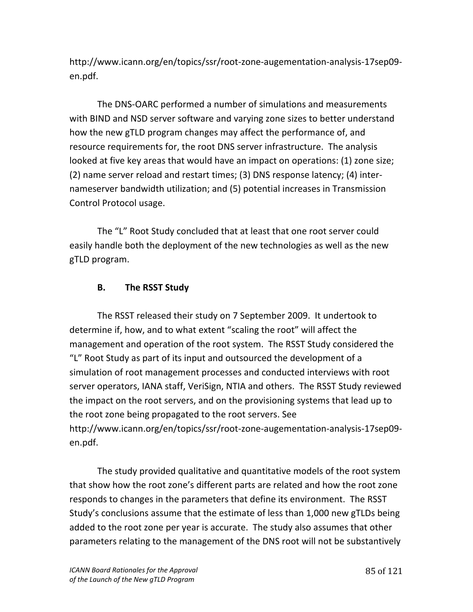http://www.icann.org/en/topics/ssr/root-zone-augementation-analysis-17sep09en.pdf.

The DNS-OARC performed a number of simulations and measurements with BIND and NSD server software and varying zone sizes to better understand how the new gTLD program changes may affect the performance of, and resource requirements for, the root DNS server infrastructure. The analysis looked at five key areas that would have an impact on operations: (1) zone size; (2) name server reload and restart times; (3) DNS response latency; (4) internameserver bandwidth utilization; and (5) potential increases in Transmission Control Protocol usage.

The "L" Root Study concluded that at least that one root server could easily handle both the deployment of the new technologies as well as the new gTLD program.

# **B.** The RSST Study

The RSST released their study on 7 September 2009. It undertook to determine if, how, and to what extent "scaling the root" will affect the management and operation of the root system. The RSST Study considered the "L" Root Study as part of its input and outsourced the development of a simulation of root management processes and conducted interviews with root server operators, IANA staff, VeriSign, NTIA and others. The RSST Study reviewed the impact on the root servers, and on the provisioning systems that lead up to the root zone being propagated to the root servers. See http://www.icann.org/en/topics/ssr/root-zone-augementation-analysis-17sep09en.pdf.

The study provided qualitative and quantitative models of the root system that show how the root zone's different parts are related and how the root zone responds to changes in the parameters that define its environment. The RSST Study's conclusions assume that the estimate of less than 1,000 new gTLDs being added to the root zone per year is accurate. The study also assumes that other parameters relating to the management of the DNS root will not be substantively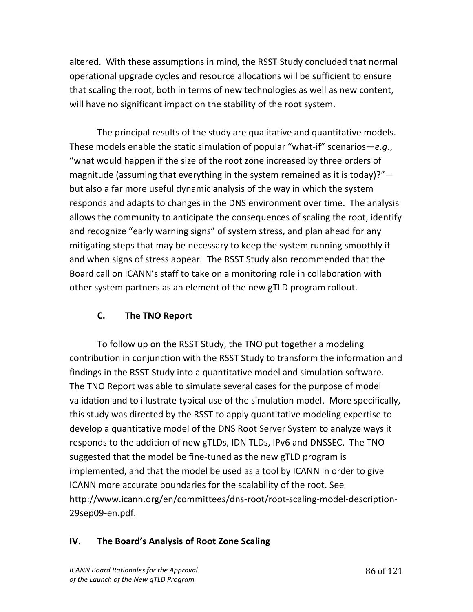altered. With these assumptions in mind, the RSST Study concluded that normal operational upgrade cycles and resource allocations will be sufficient to ensure that scaling the root, both in terms of new technologies as well as new content, will have no significant impact on the stability of the root system.

The principal results of the study are qualitative and quantitative models. These models enable the static simulation of popular "what-if" scenarios— $e.q.,$ "what would happen if the size of the root zone increased by three orders of magnitude (assuming that everything in the system remained as it is today)?" but also a far more useful dynamic analysis of the way in which the system responds and adapts to changes in the DNS environment over time. The analysis allows the community to anticipate the consequences of scaling the root, identify and recognize "early warning signs" of system stress, and plan ahead for any mitigating steps that may be necessary to keep the system running smoothly if and when signs of stress appear. The RSST Study also recommended that the Board call on ICANN's staff to take on a monitoring role in collaboration with other system partners as an element of the new gTLD program rollout.

# **C.** The TNO Report

To follow up on the RSST Study, the TNO put together a modeling contribution in conjunction with the RSST Study to transform the information and findings in the RSST Study into a quantitative model and simulation software. The TNO Report was able to simulate several cases for the purpose of model validation and to illustrate typical use of the simulation model. More specifically, this study was directed by the RSST to apply quantitative modeling expertise to develop a quantitative model of the DNS Root Server System to analyze ways it responds to the addition of new gTLDs, IDN TLDs, IPv6 and DNSSEC. The TNO suggested that the model be fine-tuned as the new gTLD program is implemented, and that the model be used as a tool by ICANN in order to give ICANN more accurate boundaries for the scalability of the root. See http://www.icann.org/en/committees/dns-root/root-scaling-model-description-29sep09-en.pdf.

# **IV.** The Board's Analysis of Root Zone Scaling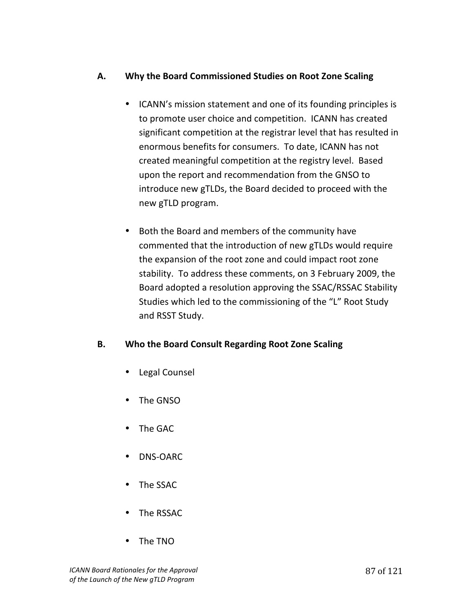# A. Why the Board Commissioned Studies on Root Zone Scaling

- ICANN's mission statement and one of its founding principles is to promote user choice and competition. ICANN has created significant competition at the registrar level that has resulted in enormous benefits for consumers. To date, ICANN has not created meaningful competition at the registry level. Based upon the report and recommendation from the GNSO to introduce new gTLDs, the Board decided to proceed with the new gTLD program.
- Both the Board and members of the community have commented that the introduction of new gTLDs would require the expansion of the root zone and could impact root zone stability. To address these comments, on 3 February 2009, the Board adopted a resolution approving the SSAC/RSSAC Stability Studies which led to the commissioning of the "L" Root Study and RSST Study.

# **B.** Who the Board Consult Regarding Root Zone Scaling

- Legal Counsel
- The GNSO
- The GAC
- $\bullet$  DNS-OARC
- The SSAC
- The RSSAC
- The!TNO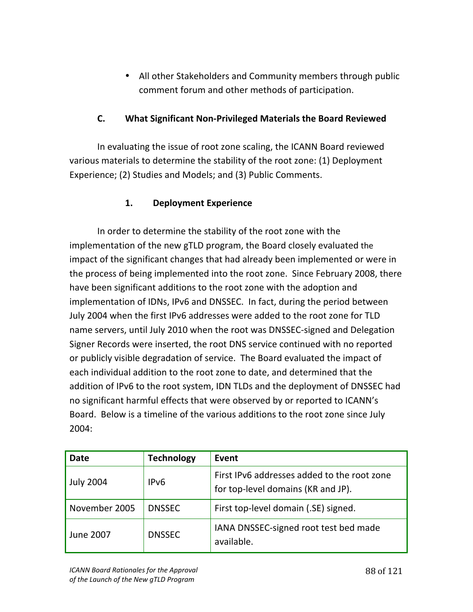• All other Stakeholders and Community members through public comment forum and other methods of participation.

### **C.** What Significant Non-Privileged Materials the Board Reviewed

In evaluating the issue of root zone scaling, the ICANN Board reviewed various materials to determine the stability of the root zone: (1) Deployment Experience; (2) Studies and Models; and (3) Public Comments.

# **1.** Deployment Experience

In order to determine the stability of the root zone with the implementation of the new gTLD program, the Board closely evaluated the impact of the significant changes that had already been implemented or were in the process of being implemented into the root zone. Since February 2008, there have been significant additions to the root zone with the adoption and implementation of IDNs, IPv6 and DNSSEC. In fact, during the period between July 2004 when the first IPv6 addresses were added to the root zone for TLD name servers, until July 2010 when the root was DNSSEC-signed and Delegation Signer Records were inserted, the root DNS service continued with no reported or publicly visible degradation of service. The Board evaluated the impact of each individual addition to the root zone to date, and determined that the addition of IPv6 to the root system, IDN TLDs and the deployment of DNSSEC had no significant harmful effects that were observed by or reported to ICANN's Board. Below is a timeline of the various additions to the root zone since July 2004:

| <b>Date</b>      | <b>Technology</b> | Event                                                                             |
|------------------|-------------------|-----------------------------------------------------------------------------------|
| <b>July 2004</b> | IP <sub>v6</sub>  | First IPv6 addresses added to the root zone<br>for top-level domains (KR and JP). |
| November 2005    | <b>DNSSEC</b>     | First top-level domain (.SE) signed.                                              |
| <b>June 2007</b> | <b>DNSSEC</b>     | IANA DNSSEC-signed root test bed made<br>available.                               |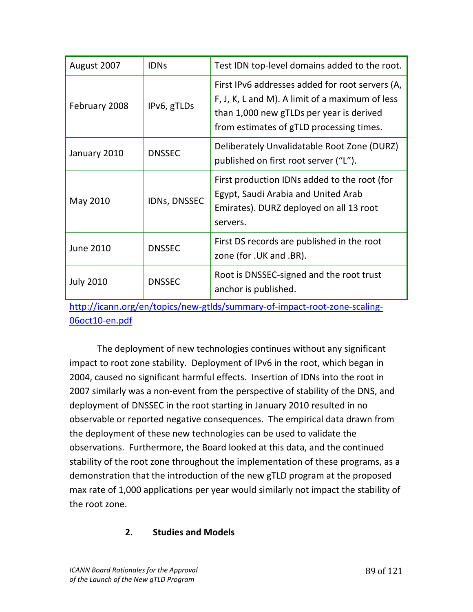| August 2007      | <b>IDNs</b>   | Test IDN top-level domains added to the root.                                                                                                                                              |
|------------------|---------------|--------------------------------------------------------------------------------------------------------------------------------------------------------------------------------------------|
| February 2008    | IPv6, gTLDs   | First IPv6 addresses added for root servers (A,<br>F, J, K, L and M). A limit of a maximum of less<br>than 1,000 new gTLDs per year is derived<br>from estimates of gTLD processing times. |
| January 2010     | <b>DNSSEC</b> | Deliberately Unvalidatable Root Zone (DURZ)<br>published on first root server ("L").                                                                                                       |
| May 2010         | IDNs, DNSSEC  | First production IDNs added to the root (for<br>Egypt, Saudi Arabia and United Arab<br>Emirates). DURZ deployed on all 13 root<br>servers.                                                 |
| <b>June 2010</b> | <b>DNSSEC</b> | First DS records are published in the root<br>zone (for .UK and .BR).                                                                                                                      |
| <b>July 2010</b> | <b>DNSSEC</b> | Root is DNSSEC-signed and the root trust<br>anchor is published.                                                                                                                           |

http://icann.org/en/topics/new-gtlds/summary-of-impact-root-zone-scaling-06oct10-en.pdf

The deployment of new technologies continues without any significant impact to root zone stability. Deployment of IPv6 in the root, which began in 2004, caused no significant harmful effects. Insertion of IDNs into the root in 2007 similarly was a non-event from the perspective of stability of the DNS, and deployment of DNSSEC in the root starting in January 2010 resulted in no observable or reported negative consequences. The empirical data drawn from the deployment of these new technologies can be used to validate the observations. Furthermore, the Board looked at this data, and the continued stability of the root zone throughout the implementation of these programs, as a demonstration that the introduction of the new gTLD program at the proposed max rate of 1,000 applications per year would similarly not impact the stability of the root zone.

#### 2. **Studies and Models**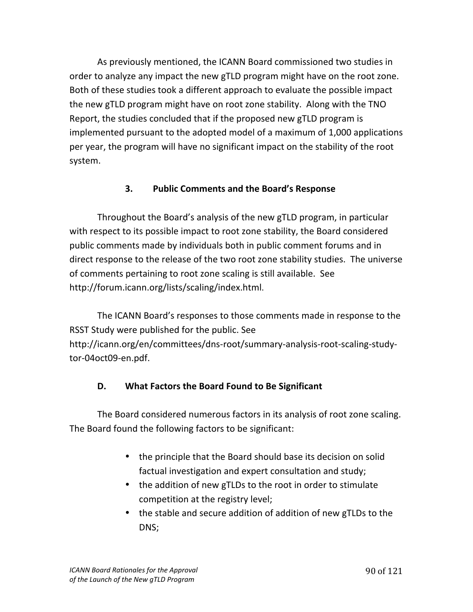As previously mentioned, the ICANN Board commissioned two studies in order to analyze any impact the new gTLD program might have on the root zone. Both of these studies took a different approach to evaluate the possible impact the new gTLD program might have on root zone stability. Along with the TNO Report, the studies concluded that if the proposed new gTLD program is implemented pursuant to the adopted model of a maximum of 1,000 applications per year, the program will have no significant impact on the stability of the root system.

# **3.** Public Comments and the Board's Response

Throughout the Board's analysis of the new gTLD program, in particular with respect to its possible impact to root zone stability, the Board considered public comments made by individuals both in public comment forums and in direct response to the release of the two root zone stability studies. The universe of comments pertaining to root zone scaling is still available. See http://forum.icann.org/lists/scaling/index.html.

The ICANN Board's responses to those comments made in response to the RSST Study were published for the public. See http://icann.org/en/committees/dns-root/summary-analysis-root-scaling-studytor-04oct09-en.pdf.

# **D.** What Factors the Board Found to Be Significant

The Board considered numerous factors in its analysis of root zone scaling. The Board found the following factors to be significant:

- the principle that the Board should base its decision on solid factual investigation and expert consultation and study;
- the addition of new gTLDs to the root in order to stimulate competition at the registry level;
- the stable and secure addition of addition of new gTLDs to the DNS;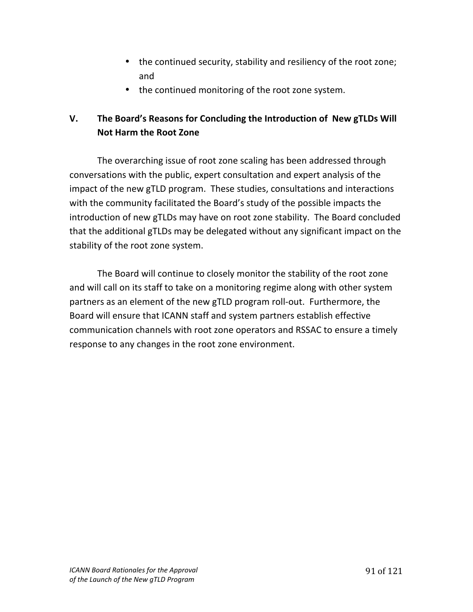- the continued security, stability and resiliency of the root zone; and
- the continued monitoring of the root zone system.

# **V.** The Board's Reasons for Concluding the Introduction of New gTLDs Will **Not Harm the Root Zone**

The overarching issue of root zone scaling has been addressed through conversations with the public, expert consultation and expert analysis of the impact of the new gTLD program. These studies, consultations and interactions with the community facilitated the Board's study of the possible impacts the introduction of new gTLDs may have on root zone stability. The Board concluded that the additional gTLDs may be delegated without any significant impact on the stability of the root zone system.

The Board will continue to closely monitor the stability of the root zone and will call on its staff to take on a monitoring regime along with other system partners as an element of the new gTLD program roll-out. Furthermore, the Board will ensure that ICANN staff and system partners establish effective communication channels with root zone operators and RSSAC to ensure a timely response to any changes in the root zone environment.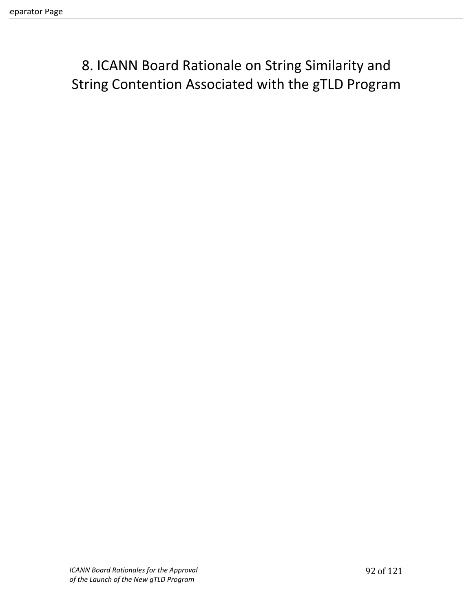8. ICANN Board Rationale on String Similarity and String Contention Associated with the gTLD Program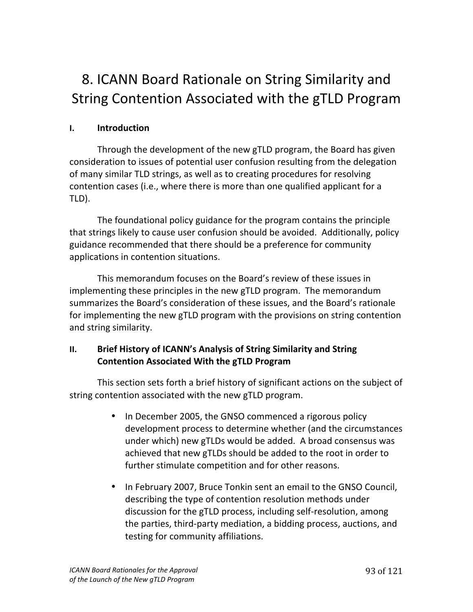# 8. ICANN Board Rationale on String Similarity and String Contention Associated with the gTLD Program

# **I. Introduction**

Through the development of the new gTLD program, the Board has given consideration to issues of potential user confusion resulting from the delegation of many similar TLD strings, as well as to creating procedures for resolving contention cases (i.e., where there is more than one qualified applicant for a TLD).

The foundational policy guidance for the program contains the principle that strings likely to cause user confusion should be avoided. Additionally, policy guidance recommended that there should be a preference for community applications in contention situations.

This memorandum focuses on the Board's review of these issues in implementing these principles in the new gTLD program. The memorandum summarizes the Board's consideration of these issues, and the Board's rationale for implementing the new gTLD program with the provisions on string contention and string similarity.

# **II.** Brief History of ICANN's Analysis of String Similarity and String **Contention Associated With the gTLD Program**

This section sets forth a brief history of significant actions on the subject of string contention associated with the new gTLD program.

- In December 2005, the GNSO commenced a rigorous policy development process to determine whether (and the circumstances under which) new gTLDs would be added. A broad consensus was achieved that new gTLDs should be added to the root in order to further stimulate competition and for other reasons.
- In February 2007, Bruce Tonkin sent an email to the GNSO Council, describing the type of contention resolution methods under discussion for the gTLD process, including self-resolution, among the parties, third-party mediation, a bidding process, auctions, and testing for community affiliations.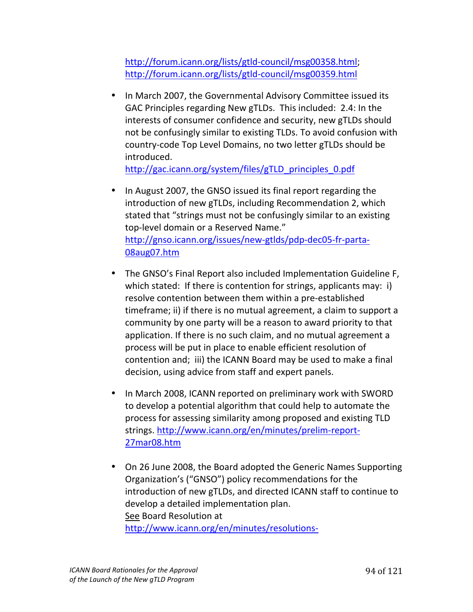http://forum.icann.org/lists/gtld-council/msg00358.html; http://forum.icann.org/lists/gtld-council/msg00359.html

• In March 2007, the Governmental Advisory Committee issued its GAC Principles regarding New gTLDs. This included: 2.4: In the interests of consumer confidence and security, new gTLDs should not be confusingly similar to existing TLDs. To avoid confusion with country-code Top Level Domains, no two letter gTLDs should be introduced.

http://gac.icann.org/system/files/gTLD\_principles\_0.pdf

- In August 2007, the GNSO issued its final report regarding the introduction of new gTLDs, including Recommendation 2, which stated that "strings must not be confusingly similar to an existing top-level domain or a Reserved Name." http://gnso.icann.org/issues/new-gtlds/pdp-dec05-fr-parta-08aug07.htm
- The GNSO's Final Report also included Implementation Guideline F, which stated: If there is contention for strings, applicants may: i) resolve contention between them within a pre-established timeframe; ii) if there is no mutual agreement, a claim to support a community by one party will be a reason to award priority to that application. If there is no such claim, and no mutual agreement a process will be put in place to enable efficient resolution of contention and; iii) the ICANN Board may be used to make a final decision, using advice from staff and expert panels.
- In March 2008, ICANN reported on preliminary work with SWORD to develop a potential algorithm that could help to automate the process for assessing similarity among proposed and existing TLD strings. http://www.icann.org/en/minutes/prelim-report-27mar08.htm
- On 26 June 2008, the Board adopted the Generic Names Supporting Organization's ("GNSO") policy recommendations for the introduction of new gTLDs, and directed ICANN staff to continue to develop a detailed implementation plan. See Board Resolution at http://www.icann.org/en/minutes/resolutions-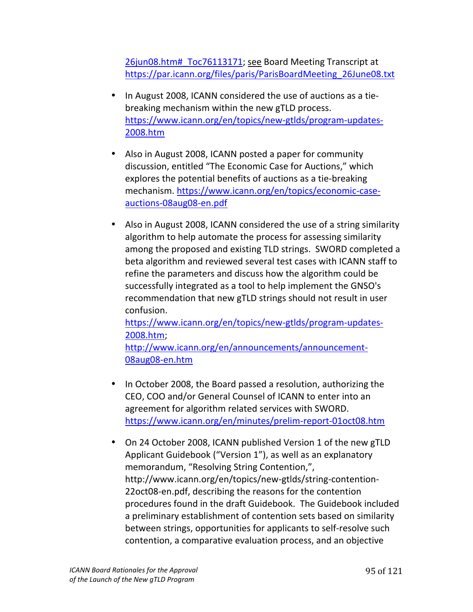26jun08.htm# Toc76113171; see Board Meeting Transcript at https://par.icann.org/files/paris/ParisBoardMeeting\_26June08.txt

- In August 2008, ICANN considered the use of auctions as a tiebreaking mechanism within the new gTLD process. https://www.icann.org/en/topics/new-gtlds/program-updates-2008.htm!!!
- Also in August 2008, ICANN posted a paper for community discussion, entitled "The Economic Case for Auctions," which explores the potential benefits of auctions as a tie-breaking mechanism. https://www.icann.org/en/topics/economic-caseauctions-08aug08-en.pdf
- Also in August 2008, ICANN considered the use of a string similarity algorithm to help automate the process for assessing similarity among the proposed and existing TLD strings. SWORD completed a beta algorithm and reviewed several test cases with ICANN staff to refine the parameters and discuss how the algorithm could be successfully integrated as a tool to help implement the GNSO's recommendation that new gTLD strings should not result in user confusion.

https://www.icann.org/en/topics/new-gtlds/program-updates-2008.htm;

http://www.icann.org/en/announcements/announcement-08aug08-en.htm

- In October 2008, the Board passed a resolution, authorizing the CEO, COO and/or General Counsel of ICANN to enter into an agreement for algorithm related services with SWORD. https://www.icann.org/en/minutes/prelim-report-01oct08.htm
- On 24 October 2008, ICANN published Version 1 of the new gTLD Applicant Guidebook ("Version 1"), as well as an explanatory memorandum, "Resolving String Contention,", http://www.icann.org/en/topics/new-gtlds/string-contention-22oct08-en.pdf, describing the reasons for the contention procedures found in the draft Guidebook. The Guidebook included a preliminary establishment of contention sets based on similarity between strings, opportunities for applicants to self-resolve such contention, a comparative evaluation process, and an objective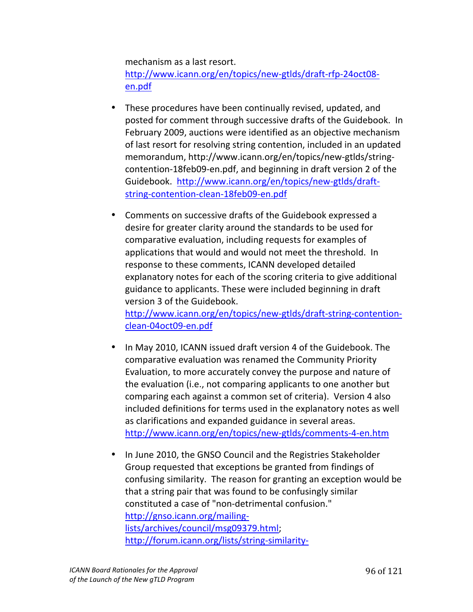mechanism as a last resort. http://www.icann.org/en/topics/new-gtlds/draft-rfp-24oct08en.pdf!!

- These procedures have been continually revised, updated, and posted for comment through successive drafts of the Guidebook. In February 2009, auctions were identified as an objective mechanism of last resort for resolving string contention, included in an updated memorandum, http://www.icann.org/en/topics/new-gtlds/stringcontention-18feb09-en.pdf, and beginning in draft version 2 of the Guidebook. http://www.icann.org/en/topics/new-gtlds/draftstring-contention-clean-18feb09-en.pdf
- Comments on successive drafts of the Guidebook expressed a desire for greater clarity around the standards to be used for comparative evaluation, including requests for examples of applications that would and would not meet the threshold. In response to these comments, ICANN developed detailed explanatory notes for each of the scoring criteria to give additional guidance to applicants. These were included beginning in draft version 3 of the Guidebook. http://www.icann.org/en/topics/new-gtlds/draft-string-contentionclean-04oct09-en.pdf
- In May 2010, ICANN issued draft version 4 of the Guidebook. The comparative evaluation was renamed the Community Priority Evaluation, to more accurately convey the purpose and nature of the evaluation (i.e., not comparing applicants to one another but comparing each against a common set of criteria). Version 4 also included definitions for terms used in the explanatory notes as well as clarifications and expanded guidance in several areas. http://www.icann.org/en/topics/new-gtlds/comments-4-en.htm
- In June 2010, the GNSO Council and the Registries Stakeholder Group requested that exceptions be granted from findings of confusing similarity. The reason for granting an exception would be that a string pair that was found to be confusingly similar constituted a case of "non-detrimental confusion." http://gnso.icann.org/mailinglists/archives/council/msg09379.html; http://forum.icann.org/lists/string-similarity-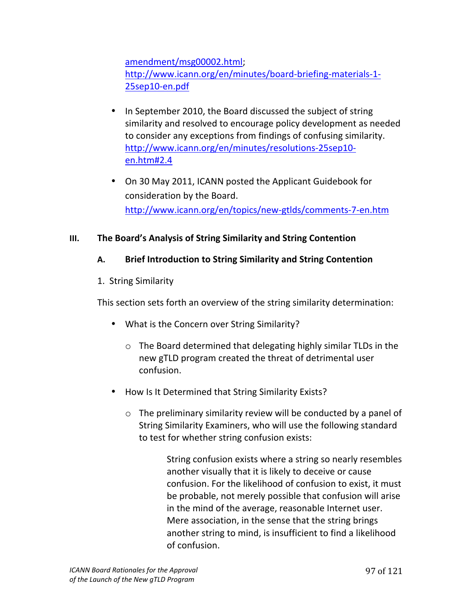amendment/msg00002.html; http://www.icann.org/en/minutes/board-briefing-materials-1-25sep10-en.pdf

- In September 2010, the Board discussed the subject of string similarity and resolved to encourage policy development as needed to consider any exceptions from findings of confusing similarity. http://www.icann.org/en/minutes/resolutions-25sep10en.htm#2.4
- On 30 May 2011, ICANN posted the Applicant Guidebook for consideration by the Board. http://www.icann.org/en/topics/new-gtlds/comments-7-en.htm

# **III.** The Board's Analysis of String Similarity and String Contention

# A. Brief Introduction to String Similarity and String Contention

1. String Similarity

This section sets forth an overview of the string similarity determination:

- What is the Concern over String Similarity?
	- $\circ$  The Board determined that delegating highly similar TLDs in the new gTLD program created the threat of detrimental user confusion.
- How Is It Determined that String Similarity Exists?
	- $\circ$  The preliminary similarity review will be conducted by a panel of String Similarity Examiners, who will use the following standard to test for whether string confusion exists:

String confusion exists where a string so nearly resembles another visually that it is likely to deceive or cause confusion. For the likelihood of confusion to exist, it must be probable, not merely possible that confusion will arise in the mind of the average, reasonable Internet user. Mere association, in the sense that the string brings another string to mind, is insufficient to find a likelihood of confusion.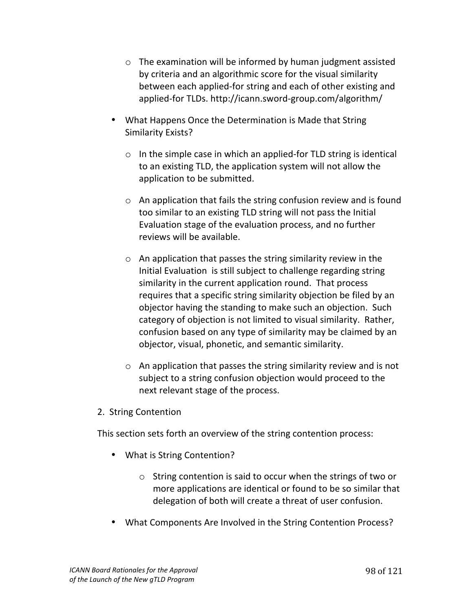- $\circ$  The examination will be informed by human judgment assisted by criteria and an algorithmic score for the visual similarity between each applied-for string and each of other existing and applied-for TLDs. http://icann.sword-group.com/algorithm/
- What Happens Once the Determination is Made that String Similarity Exists?
	- $\circ$  In the simple case in which an applied-for TLD string is identical to an existing TLD, the application system will not allow the application to be submitted.
	- $\circ$  An application that fails the string confusion review and is found too similar to an existing TLD string will not pass the Initial Evaluation stage of the evaluation process, and no further reviews will be available.
	- $\circ$  An application that passes the string similarity review in the Initial Evaluation is still subject to challenge regarding string similarity in the current application round. That process requires that a specific string similarity objection be filed by an objector having the standing to make such an objection. Such category of objection is not limited to visual similarity. Rather, confusion based on any type of similarity may be claimed by an objector, visual, phonetic, and semantic similarity.
	- $\circ$  An application that passes the string similarity review and is not subject to a string confusion objection would proceed to the next relevant stage of the process.
- 2. String Contention

This section sets forth an overview of the string contention process:

- What is String Contention?
	- $\circ$  String contention is said to occur when the strings of two or more applications are identical or found to be so similar that delegation of both will create a threat of user confusion.
- What Components Are Involved in the String Contention Process?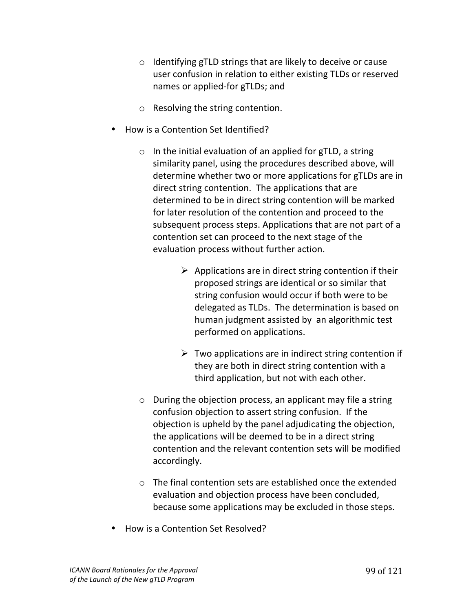- $\circ$  Identifying gTLD strings that are likely to deceive or cause user confusion in relation to either existing TLDs or reserved names or applied-for gTLDs; and
- $\circ$  Resolving the string contention.
- How is a Contention Set Identified?
	- $\circ$  In the initial evaluation of an applied for gTLD, a string similarity panel, using the procedures described above, will determine whether two or more applications for gTLDs are in direct string contention. The applications that are determined to be in direct string contention will be marked for later resolution of the contention and proceed to the subsequent process steps. Applications that are not part of a contention set can proceed to the next stage of the evaluation process without further action.
		- $\triangleright$  Applications are in direct string contention if their proposed strings are identical or so similar that string confusion would occur if both were to be delegated as TLDs. The determination is based on human judgment assisted by an algorithmic test performed on applications.
		- $\triangleright$  Two applications are in indirect string contention if they are both in direct string contention with a third application, but not with each other.
	- $\circ$  During the objection process, an applicant may file a string confusion objection to assert string confusion. If the objection is upheld by the panel adjudicating the objection, the applications will be deemed to be in a direct string contention and the relevant contention sets will be modified accordingly.
	- $\circ$  The final contention sets are established once the extended evaluation and objection process have been concluded, because some applications may be excluded in those steps.
- **How is a Contention Set Resolved?**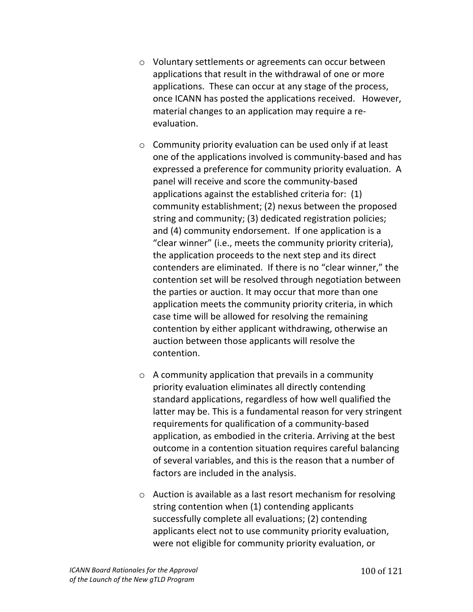- o Voluntary settlements or agreements can occur between applications that result in the withdrawal of one or more applications. These can occur at any stage of the process, once ICANN has posted the applications received. However, material changes to an application may require a reevaluation.
- $\circ$  Community priority evaluation can be used only if at least one of the applications involved is community-based and has expressed a preference for community priority evaluation. A panel will receive and score the community-based applications against the established criteria for:  $(1)$ community establishment; (2) nexus between the proposed string and community; (3) dedicated registration policies; and (4) community endorsement. If one application is a " clear winner" (i.e., meets the community priority criteria), the application proceeds to the next step and its direct contenders are eliminated. If there is no "clear winner," the contention set will be resolved through negotiation between the parties or auction. It may occur that more than one application meets the community priority criteria, in which case time will be allowed for resolving the remaining contention by either applicant withdrawing, otherwise an auction between those applicants will resolve the contention.
- $\circ$  A community application that prevails in a community priority evaluation eliminates all directly contending standard applications, regardless of how well qualified the latter may be. This is a fundamental reason for very stringent requirements for qualification of a community-based application, as embodied in the criteria. Arriving at the best outcome in a contention situation requires careful balancing of several variables, and this is the reason that a number of factors are included in the analysis.
- $\circ$  Auction is available as a last resort mechanism for resolving string contention when (1) contending applicants successfully complete all evaluations; (2) contending applicants elect not to use community priority evaluation, were not eligible for community priority evaluation, or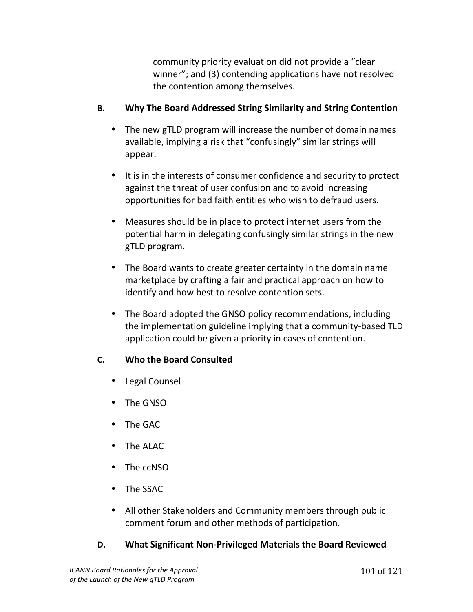community priority evaluation did not provide a "clear" winner"; and (3) contending applications have not resolved the contention among themselves.

# **B.** Why The Board Addressed String Similarity and String Contention

- The new gTLD program will increase the number of domain names available, implying a risk that "confusingly" similar strings will appear.
- It is in the interests of consumer confidence and security to protect against the threat of user confusion and to avoid increasing opportunities for bad faith entities who wish to defraud users.
- Measures should be in place to protect internet users from the potential harm in delegating confusingly similar strings in the new gTLD!program.
- The Board wants to create greater certainty in the domain name marketplace by crafting a fair and practical approach on how to identify and how best to resolve contention sets.
- The Board adopted the GNSO policy recommendations, including the implementation guideline implying that a community-based TLD application could be given a priority in cases of contention.

# **C. Who the Board Consulted**

- Legal Counsel
- The GNSO
- The GAC
- The ALAC
- The ccNSO
- The SSAC
- All other Stakeholders and Community members through public comment forum and other methods of participation.

# **D. What Significant Non-Privileged Materials the Board Reviewed**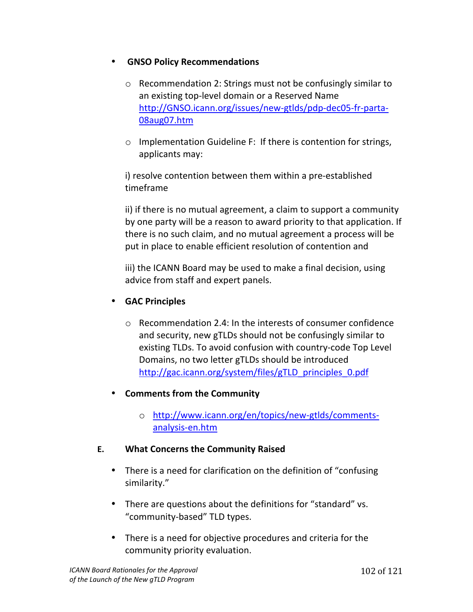#### **GNSO Policy Recommendations**

- $\circ$  Recommendation 2: Strings must not be confusingly similar to an existing top-level domain or a Reserved Name http://GNSO.icann.org/issues/new-gtlds/pdp-dec05-fr-parta-08aug07.htm
- $\circ$  Implementation Guideline F: If there is contention for strings, applicants may:

i) resolve contention between them within a pre-established timeframe

ii) if there is no mutual agreement, a claim to support a community by one party will be a reason to award priority to that application. If there is no such claim, and no mutual agreement a process will be put in place to enable efficient resolution of contention and

iii) the ICANN Board may be used to make a final decision, using advice from staff and expert panels.

# • **GAC#Principles**

- $\circ$  Recommendation 2.4: In the interests of consumer confidence and security, new gTLDs should not be confusingly similar to existing TLDs. To avoid confusion with country-code Top Level Domains, no two letter gTLDs should be introduced http://gac.icann.org/system/files/gTLD\_principles\_0.pdf
- **Comments from the Community** 
	- o http://www.icann.org/en/topics/new-gtlds/commentsanalysis-en.htm

#### **E. What Concerns the Community Raised**

- There is a need for clarification on the definition of "confusing" similarity."
- There are questions about the definitions for "standard" vs. "community-based" TLD types.
- There is a need for objective procedures and criteria for the community priority evaluation.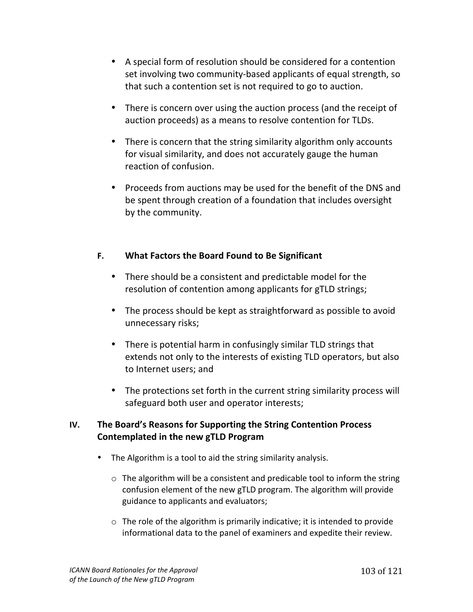- A special form of resolution should be considered for a contention set involving two community-based applicants of equal strength, so that such a contention set is not required to go to auction.
- There is concern over using the auction process (and the receipt of auction proceeds) as a means to resolve contention for TLDs.
- There is concern that the string similarity algorithm only accounts for visual similarity, and does not accurately gauge the human reaction of confusion.
- Proceeds from auctions may be used for the benefit of the DNS and be spent through creation of a foundation that includes oversight by the community.

### **F.** What Factors the Board Found to Be Significant

- There should be a consistent and predictable model for the resolution of contention among applicants for gTLD strings;
- The process should be kept as straightforward as possible to avoid unnecessary risks;
- There is potential harm in confusingly similar TLD strings that extends not only to the interests of existing TLD operators, but also to Internet users; and
- The protections set forth in the current string similarity process will safeguard both user and operator interests;

### **IV.** The Board's Reasons for Supporting the String Contention Process **Contemplated in the new gTLD Program**

- The Algorithm is a tool to aid the string similarity analysis.
	- $\circ$  The algorithm will be a consistent and predicable tool to inform the string confusion element of the new gTLD program. The algorithm will provide guidance to applicants and evaluators;
	- $\circ$  The role of the algorithm is primarily indicative; it is intended to provide informational data to the panel of examiners and expedite their review.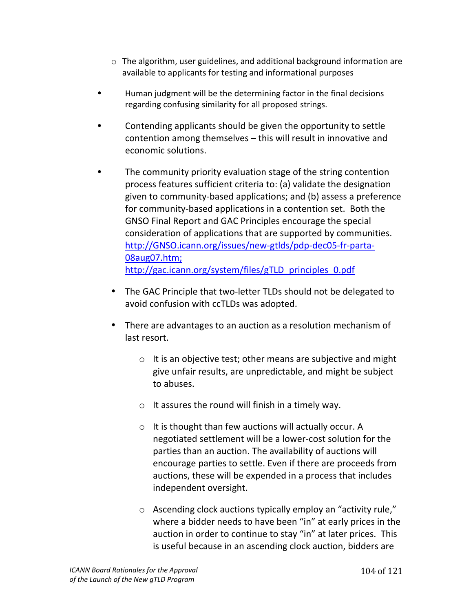- $\circ$  The algorithm, user guidelines, and additional background information are available to applicants for testing and informational purposes
- Human judgment will be the determining factor in the final decisions regarding confusing similarity for all proposed strings.
- Contending applicants should be given the opportunity to settle contention among themselves  $-$  this will result in innovative and economic solutions.
- The community priority evaluation stage of the string contention process features sufficient criteria to: (a) validate the designation given to community-based applications; and (b) assess a preference for community-based applications in a contention set. Both the GNSO Final Report and GAC Principles encourage the special consideration of applications that are supported by communities. http://GNSO.icann.org/issues/new-gtlds/pdp-dec05-fr-parta-08aug07.htm;!! http://gac.icann.org/system/files/gTLD\_principles\_0.pdf
	- The GAC Principle that two-letter TLDs should not be delegated to avoid confusion with ccTLDs was adopted.
	- There are advantages to an auction as a resolution mechanism of last resort.
		- $\circ$  It is an objective test; other means are subjective and might give unfair results, are unpredictable, and might be subject to abuses.
		- $\circ$  It assures the round will finish in a timely way.
		- $\circ$  It is thought than few auctions will actually occur. A negotiated settlement will be a lower-cost solution for the parties than an auction. The availability of auctions will encourage parties to settle. Even if there are proceeds from auctions, these will be expended in a process that includes independent oversight.
		- $\circ$  Ascending clock auctions typically employ an "activity rule," where a bidder needs to have been "in" at early prices in the auction in order to continue to stay "in" at later prices. This is useful because in an ascending clock auction, bidders are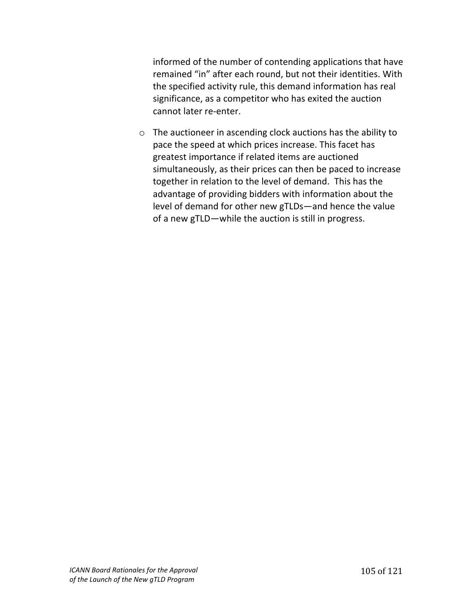informed of the number of contending applications that have remained "in" after each round, but not their identities. With the specified activity rule, this demand information has real significance, as a competitor who has exited the auction cannot later re-enter.

 $\circ$  The auctioneer in ascending clock auctions has the ability to pace the speed at which prices increase. This facet has greatest importance if related items are auctioned simultaneously, as their prices can then be paced to increase together in relation to the level of demand. This has the advantage of providing bidders with information about the level of demand for other new gTLDs—and hence the value of a new gTLD—while the auction is still in progress.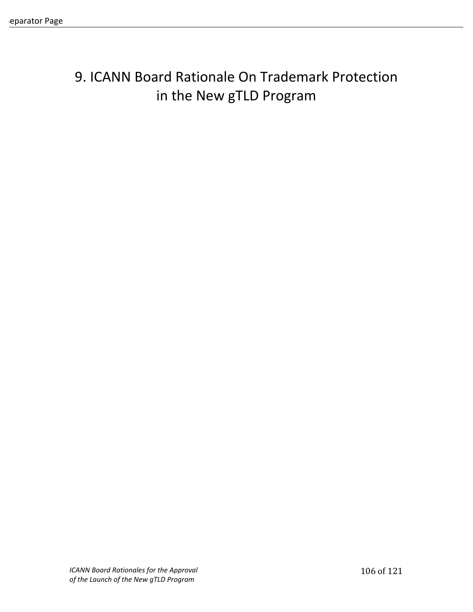# 9. ICANN Board Rationale On Trademark Protection in the New gTLD Program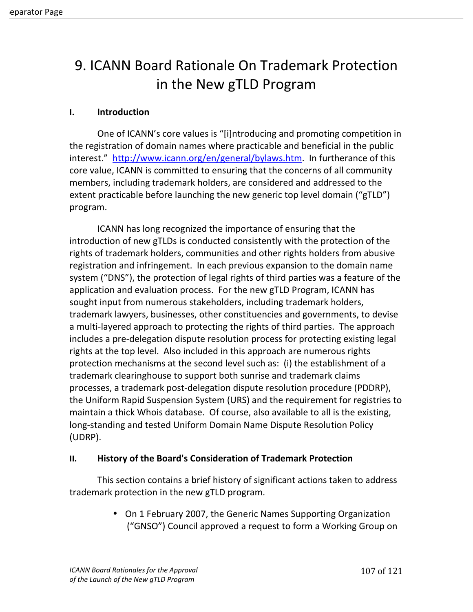# 9. ICANN Board Rationale On Trademark Protection in the New gTLD Program

#### **I. Introduction**

One of ICANN's core values is "[i]ntroducing and promoting competition in the registration of domain names where practicable and beneficial in the public interest." http://www.icann.org/en/general/bylaws.htm. In furtherance of this core value, ICANN is committed to ensuring that the concerns of all community members, including trademark holders, are considered and addressed to the extent practicable before launching the new generic top level domain ("gTLD") program.!!

ICANN has long recognized the importance of ensuring that the introduction of new gTLDs is conducted consistently with the protection of the rights of trademark holders, communities and other rights holders from abusive registration and infringement. In each previous expansion to the domain name system ("DNS"), the protection of legal rights of third parties was a feature of the application and evaluation process. For the new gTLD Program, ICANN has sought input from numerous stakeholders, including trademark holders, trademark lawyers, businesses, other constituencies and governments, to devise a multi-layered approach to protecting the rights of third parties. The approach includes a pre-delegation dispute resolution process for protecting existing legal rights at the top level. Also included in this approach are numerous rights protection mechanisms at the second level such as: (i) the establishment of a trademark clearinghouse to support both sunrise and trademark claims processes, a trademark post-delegation dispute resolution procedure (PDDRP), the Uniform Rapid Suspension System (URS) and the requirement for registries to maintain a thick Whois database. Of course, also available to all is the existing, long-standing and tested Uniform Domain Name Dispute Resolution Policy (UDRP).

#### **II.** History of the Board's Consideration of Trademark Protection

This section contains a brief history of significant actions taken to address trademark protection in the new gTLD program.

> • On 1 February 2007, the Generic Names Supporting Organization ("GNSO") Council approved a request to form a Working Group on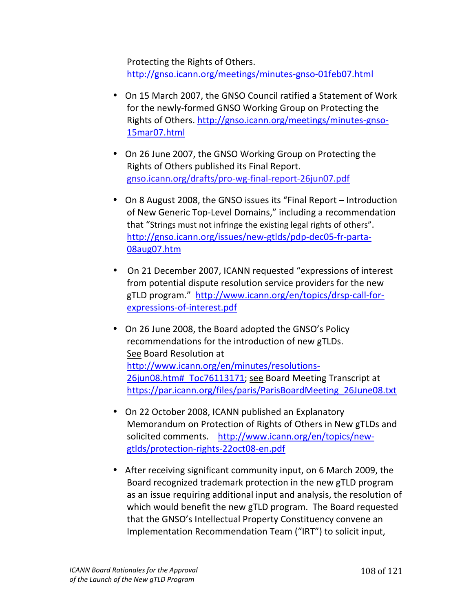Protecting the Rights of Others. http://gnso.icann.org/meetings/minutes-gnso-01feb07.html

- On 15 March 2007, the GNSO Council ratified a Statement of Work for the newly-formed GNSO Working Group on Protecting the Rights of Others. http://gnso.icann.org/meetings/minutes-gnso-15mar07.html!!
- On 26 June 2007, the GNSO Working Group on Protecting the Rights of Others published its Final Report. gnso.icann.org/drafts/pro-wg-final-report-26jun07.pdf
- On 8 August 2008, the GNSO issues its "Final Report Introduction of New Generic Top-Level Domains," including a recommendation that "Strings must not infringe the existing legal rights of others". http://gnso.icann.org/issues/new-gtlds/pdp-dec05-fr-parta-08aug07.htm
- On 21 December 2007, ICANN requested "expressions of interest from potential dispute resolution service providers for the new gTLD program." http://www.icann.org/en/topics/drsp-call-forexpressions-of-interest.pdf
- On 26 June 2008, the Board adopted the GNSO's Policy recommendations for the introduction of new gTLDs. See Board Resolution at http://www.icann.org/en/minutes/resolutions-26jun08.htm# Toc76113171; see Board Meeting Transcript at https://par.icann.org/files/paris/ParisBoardMeeting\_26June08.txt
- On 22 October 2008, ICANN published an Explanatory Memorandum on Protection of Rights of Others in New gTLDs and solicited comments. http://www.icann.org/en/topics/newgtlds/protection-rights-22oct08-en.pdf
- After receiving significant community input, on 6 March 2009, the Board recognized trademark protection in the new gTLD program as an issue requiring additional input and analysis, the resolution of which would benefit the new gTLD program. The Board requested that the GNSO's Intellectual Property Constituency convene an Implementation Recommendation Team ("IRT") to solicit input,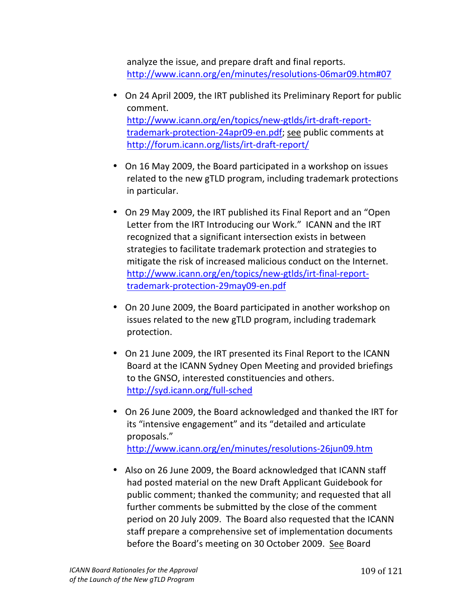analyze the issue, and prepare draft and final reports. http://www.icann.org/en/minutes/resolutions-06mar09.htm#07

- On 24 April 2009, the IRT published its Preliminary Report for public comment. http://www.icann.org/en/topics/new-gtlds/irt-draft-reporttrademark-protection-24apr09-en.pdf; see public comments at http://forum.icann.org/lists/irt-draft-report/
- On 16 May 2009, the Board participated in a workshop on issues related to the new gTLD program, including trademark protections in particular.
- On 29 May 2009, the IRT published its Final Report and an "Open" Letter from the IRT Introducing our Work." ICANN and the IRT recognized that a significant intersection exists in between strategies to facilitate trademark protection and strategies to mitigate the risk of increased malicious conduct on the Internet. http://www.icann.org/en/topics/new-gtlds/irt-final-reporttrademark-protection-29may09-en.pdf
- On 20 June 2009, the Board participated in another workshop on issues related to the new gTLD program, including trademark protection.
- On 21 June 2009, the IRT presented its Final Report to the ICANN Board at the ICANN Sydney Open Meeting and provided briefings to the GNSO, interested constituencies and others. http://syd.icann.org/full-sched
- On 26 June 2009, the Board acknowledged and thanked the IRT for its "intensive engagement" and its "detailed and articulate proposals." http://www.icann.org/en/minutes/resolutions-26jun09.htm
- Also on 26 June 2009, the Board acknowledged that ICANN staff had posted material on the new Draft Applicant Guidebook for public comment; thanked the community; and requested that all further comments be submitted by the close of the comment period on 20 July 2009. The Board also requested that the ICANN staff prepare a comprehensive set of implementation documents before the Board's meeting on 30 October 2009. See Board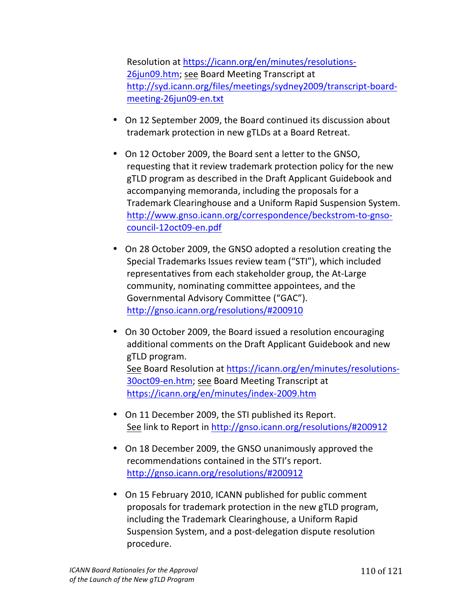Resolution at https://icann.org/en/minutes/resolutions-26jun09.htm; see Board Meeting Transcript at http://syd.icann.org/files/meetings/sydney2009/transcript-boardmeeting-26jun09-en.txt

- On 12 September 2009, the Board continued its discussion about trademark protection in new gTLDs at a Board Retreat.
- On 12 October 2009, the Board sent a letter to the GNSO, requesting that it review trademark protection policy for the new gTLD program as described in the Draft Applicant Guidebook and accompanying memoranda, including the proposals for a Trademark Clearinghouse and a Uniform Rapid Suspension System. http://www.gnso.icann.org/correspondence/beckstrom-to-gnsocouncil-12oct09-en.pdf
- On 28 October 2009, the GNSO adopted a resolution creating the Special Trademarks Issues review team ("STI"), which included representatives from each stakeholder group, the At-Large community, nominating committee appointees, and the Governmental Advisory Committee ("GAC"). http://gnso.icann.org/resolutions/#200910
- On 30 October 2009, the Board issued a resolution encouraging additional comments on the Draft Applicant Guidebook and new gTLD program. See Board Resolution at https://icann.org/en/minutes/resolutions-30oct09-en.htm; see Board Meeting Transcript at https://icann.org/en/minutes/index-2009.htm
- On 11 December 2009, the STI published its Report. See link to Report in http://gnso.icann.org/resolutions/#200912
- On 18 December 2009, the GNSO unanimously approved the recommendations contained in the STI's report. http://gnso.icann.org/resolutions/#200912
- On 15 February 2010, ICANN published for public comment proposals for trademark protection in the new gTLD program, including the Trademark Clearinghouse, a Uniform Rapid Suspension System, and a post-delegation dispute resolution procedure.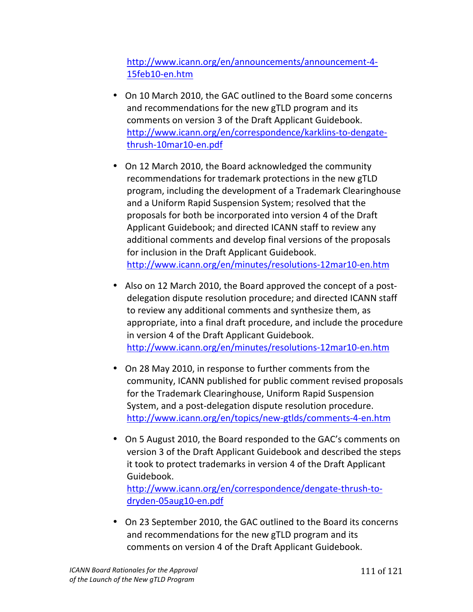http://www.icann.org/en/announcements/announcement-4-15feb10-en.htm

- On 10 March 2010, the GAC outlined to the Board some concerns and recommendations for the new gTLD program and its comments on version 3 of the Draft Applicant Guidebook. http://www.icann.org/en/correspondence/karklins-to-dengatethrush-10mar10-en.pdf
- On 12 March 2010, the Board acknowledged the community recommendations for trademark protections in the new gTLD program, including the development of a Trademark Clearinghouse and a Uniform Rapid Suspension System; resolved that the proposals for both be incorporated into version 4 of the Draft Applicant Guidebook; and directed ICANN staff to review any additional comments and develop final versions of the proposals for inclusion in the Draft Applicant Guidebook. http://www.icann.org/en/minutes/resolutions-12mar10-en.htm
- Also on 12 March 2010, the Board approved the concept of a postdelegation dispute resolution procedure; and directed ICANN staff to review any additional comments and synthesize them, as appropriate, into a final draft procedure, and include the procedure in version 4 of the Draft Applicant Guidebook. http://www.icann.org/en/minutes/resolutions-12mar10-en.htm
- On 28 May 2010, in response to further comments from the community, ICANN published for public comment revised proposals for the Trademark Clearinghouse, Uniform Rapid Suspension System, and a post-delegation dispute resolution procedure. http://www.icann.org/en/topics/new-gtlds/comments-4-en.htm
- On 5 August 2010, the Board responded to the GAC's comments on version 3 of the Draft Applicant Guidebook and described the steps it took to protect trademarks in version 4 of the Draft Applicant Guidebook. http://www.icann.org/en/correspondence/dengate-thrush-to-

dryden-05aug10-en.pdf

• On 23 September 2010, the GAC outlined to the Board its concerns and recommendations for the new gTLD program and its comments on version 4 of the Draft Applicant Guidebook.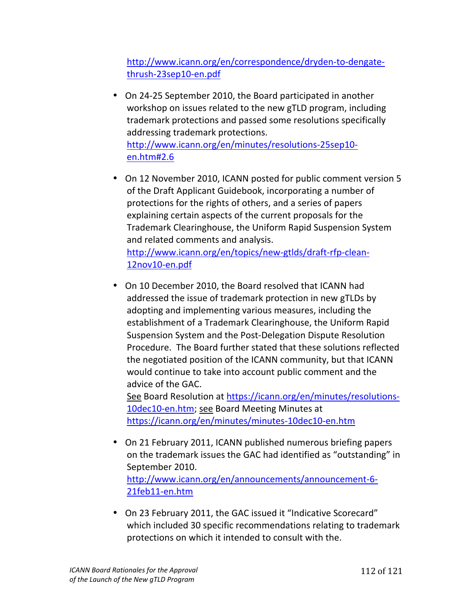http://www.icann.org/en/correspondence/dryden-to-dengatethrush-23sep10-en.pdf

- On 24-25 September 2010, the Board participated in another workshop on issues related to the new gTLD program, including trademark protections and passed some resolutions specifically addressing trademark protections. http://www.icann.org/en/minutes/resolutions-25sep10en.htm#2.6
- On 12 November 2010, ICANN posted for public comment version 5 of the Draft Applicant Guidebook, incorporating a number of protections for the rights of others, and a series of papers explaining certain aspects of the current proposals for the Trademark Clearinghouse, the Uniform Rapid Suspension System and related comments and analysis. http://www.icann.org/en/topics/new-gtlds/draft-rfp-clean-12nov10-en.pdf
- On 10 December 2010, the Board resolved that ICANN had addressed the issue of trademark protection in new gTLDs by adopting and implementing various measures, including the establishment of a Trademark Clearinghouse, the Uniform Rapid Suspension System and the Post-Delegation Dispute Resolution Procedure. The Board further stated that these solutions reflected the negotiated position of the ICANN community, but that ICANN would continue to take into account public comment and the advice of the GAC.

See Board Resolution at https://icann.org/en/minutes/resolutions-10dec10-en.htm; see Board Meeting Minutes at https://icann.org/en/minutes/minutes-10dec10-en.htm

- On 21 February 2011, ICANN published numerous briefing papers on the trademark issues the GAC had identified as "outstanding" in September 2010. http://www.icann.org/en/announcements/announcement-6-21feb11-en.htm
- On 23 February 2011, the GAC issued it "Indicative Scorecard" which included 30 specific recommendations relating to trademark protections on which it intended to consult with the.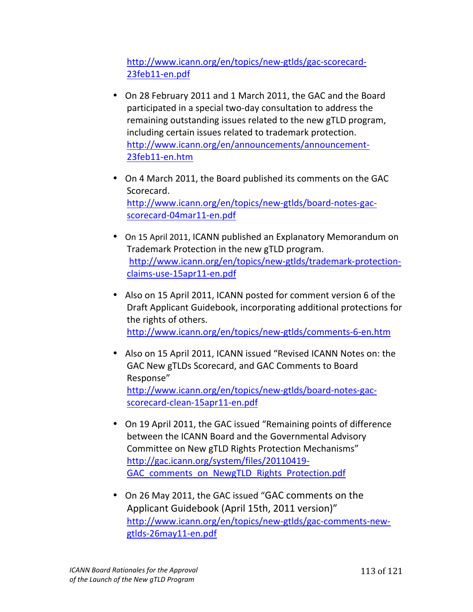http://www.icann.org/en/topics/new-gtlds/gac-scorecard-23feb11-en.pdf

- On 28 February 2011 and 1 March 2011, the GAC and the Board participated in a special two-day consultation to address the remaining outstanding issues related to the new gTLD program, including certain issues related to trademark protection. http://www.icann.org/en/announcements/announcement-23feb11-en.htm
- On 4 March 2011, the Board published its comments on the GAC Scorecard. http://www.icann.org/en/topics/new-gtlds/board-notes-gacscorecard-04mar11-en.pdf
- On 15 April 2011, ICANN published an Explanatory Memorandum on Trademark Protection in the new gTLD program. http://www.icann.org/en/topics/new-gtlds/trademark-protectionclaims-use-15apr11-en.pdf
- Also on 15 April 2011, ICANN posted for comment version 6 of the Draft Applicant Guidebook, incorporating additional protections for the rights of others. http://www.icann.org/en/topics/new-gtlds/comments-6-en.htm
- Also on 15 April 2011, ICANN issued "Revised ICANN Notes on: the GAC New gTLDs Scorecard, and GAC Comments to Board Response" http://www.icann.org/en/topics/new-gtlds/board-notes-gacscorecard-clean-15apr11-en.pdf
- On 19 April 2011, the GAC issued "Remaining points of difference between the ICANN Board and the Governmental Advisory Committee on New gTLD Rights Protection Mechanisms" http://gac.icann.org/system/files/20110419-GAC comments on NewgTLD Rights Protection.pdf
- On 26 May 2011, the GAC issued "GAC comments on the Applicant Guidebook (April 15th, 2011 version)" http://www.icann.org/en/topics/new-gtlds/gac-comments-newgtlds-26may11-en.pdf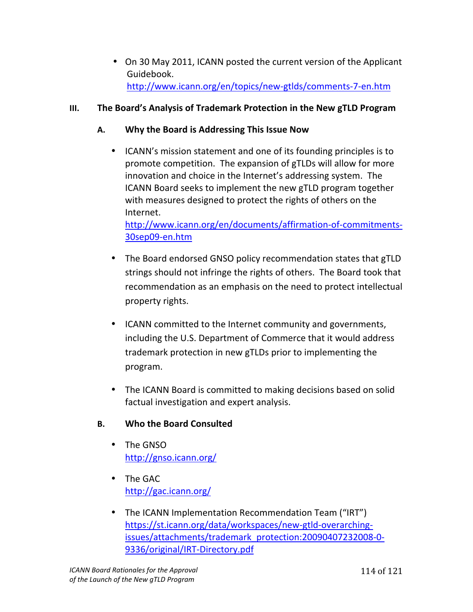• On 30 May 2011, ICANN posted the current version of the Applicant Guidebook. http://www.icann.org/en/topics/new-gtlds/comments-7-en.htm

## **III.** The Board's Analysis of Trademark Protection in the New gTLD Program

### A. Why the Board is Addressing This Issue Now

• ICANN's mission statement and one of its founding principles is to promote competition. The expansion of gTLDs will allow for more innovation and choice in the Internet's addressing system. The ICANN Board seeks to implement the new gTLD program together with measures designed to protect the rights of others on the Internet.

http://www.icann.org/en/documents/affirmation-of-commitments-30sep09-en.htm

- The Board endorsed GNSO policy recommendation states that gTLD strings should not infringe the rights of others. The Board took that recommendation as an emphasis on the need to protect intellectual property rights.
- ICANN committed to the Internet community and governments, including the U.S. Department of Commerce that it would address trademark protection in new gTLDs prior to implementing the program.
- The ICANN Board is committed to making decisions based on solid factual investigation and expert analysis.

## **B. Who the Board Consulted**

- The GNSO  $http://gnso.icann.org/$
- The GAC http://gac.icann.org/
- The ICANN Implementation Recommendation Team ("IRT") https://st.icann.org/data/workspaces/new-gtld-overarchingissues/attachments/trademark\_protection:20090407232008-0-9336/original/IRT-Directory.pdf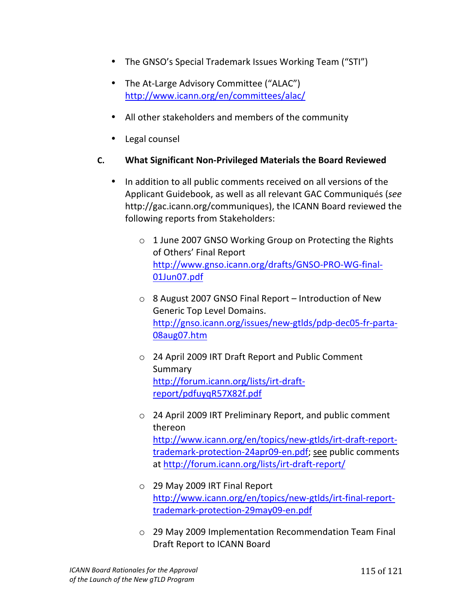- The GNSO's Special Trademark Issues Working Team ("STI")
- The At-Large Advisory Committee ("ALAC") http://www.icann.org/en/committees/alac/
- All other stakeholders and members of the community
- Legal counsel

## **C.** What Significant Non-Privileged Materials the Board Reviewed

- In addition to all public comments received on all versions of the Applicant!Guidebook,!as!well!as!all!relevant!GAC!Communiqués!(*see* http://gac.icann.org/communiques), the ICANN Board reviewed the following reports from Stakeholders:
	- $\circ$  1 June 2007 GNSO Working Group on Protecting the Rights of Others' Final Report http://www.gnso.icann.org/drafts/GNSO-PRO-WG-final-01Jun07.pdf
	- $\circ$  8 August 2007 GNSO Final Report Introduction of New Generic Top Level Domains. http://gnso.icann.org/issues/new-gtlds/pdp-dec05-fr-parta-08aug07.htm
	- o 24 April 2009 IRT Draft Report and Public Comment **Summary** http://forum.icann.org/lists/irt-draftreport/pdfuyqR57X82f.pdf!!!
	- $\circ$  24 April 2009 IRT Preliminary Report, and public comment thereon! http://www.icann.org/en/topics/new-gtlds/irt-draft-reporttrademark-protection-24apr09-en.pdf; see public comments at http://forum.icann.org/lists/irt-draft-report/
	- $\circ$  29 May 2009 IRT Final Report http://www.icann.org/en/topics/new-gtlds/irt-final-reporttrademark-protection-29may09-en.pdf
	- $\circ$  29 May 2009 Implementation Recommendation Team Final Draft Report to ICANN Board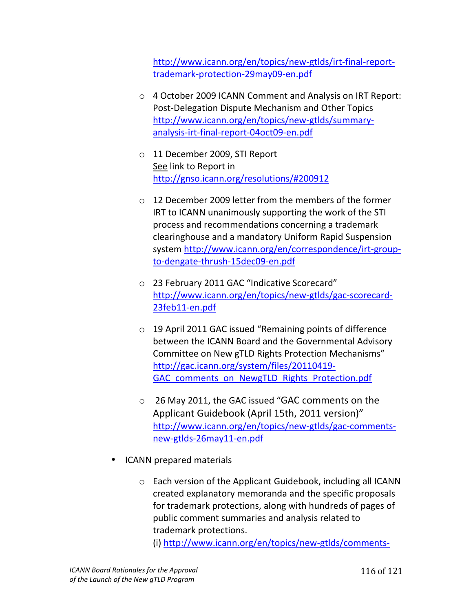http://www.icann.org/en/topics/new-gtlds/irt-final-reporttrademark-protection-29may09-en.pdf

- $\circ$  4 October 2009 ICANN Comment and Analysis on IRT Report: Post-Delegation Dispute Mechanism and Other Topics http://www.icann.org/en/topics/new-gtlds/summaryanalysis-irt-final-report-04oct09-en.pdf
- o 11 December 2009, STI Report See link to Report in http://gnso.icann.org/resolutions/#200912
- $\circ$  12 December 2009 letter from the members of the former IRT to ICANN unanimously supporting the work of the STI process and recommendations concerning a trademark clearinghouse and a mandatory Uniform Rapid Suspension system http://www.icann.org/en/correspondence/irt-groupto-dengate-thrush-15dec09-en.pdf
- o 23 February 2011 GAC "Indicative Scorecard" http://www.icann.org/en/topics/new-gtlds/gac-scorecard-23feb11-en.pdf
- $\circ$  19 April 2011 GAC issued "Remaining points of difference between the ICANN Board and the Governmental Advisory Committee on New gTLD Rights Protection Mechanisms" http://gac.icann.org/system/files/20110419-GAC comments on NewgTLD Rights Protection.pdf
- o 26 May 2011, the GAC issued "GAC comments on the Applicant Guidebook (April 15th, 2011 version)" http://www.icann.org/en/topics/new-gtlds/gac-commentsnew-gtlds-26may11-en.pdf
- ICANN prepared materials
	- $\circ$  Each version of the Applicant Guidebook, including all ICANN created explanatory memoranda and the specific proposals for trademark protections, along with hundreds of pages of public comment summaries and analysis related to trademark protections.

(i) http://www.icann.org/en/topics/new-gtlds/comments-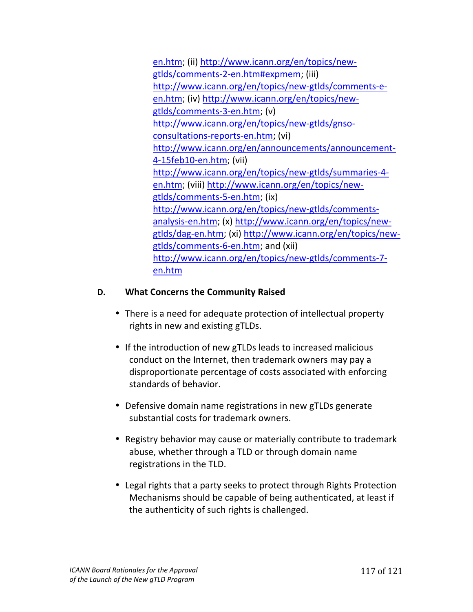en.htm; (ii) http://www.icann.org/en/topics/newgtlds/comments-2-en.htm#expmem; (iii) http://www.icann.org/en/topics/new-gtlds/comments-een.htm; (iv) http://www.icann.org/en/topics/newgtlds/comments-3-en.htm; (v) http://www.icann.org/en/topics/new-gtlds/gnsoconsultations-reports-en.htm; (vi) http://www.icann.org/en/announcements/announcement-4-15feb10-en.htm; (vii) http://www.icann.org/en/topics/new-gtlds/summaries-4en.htm; (viii) http://www.icann.org/en/topics/newgtlds/comments-5-en.htm; (ix) http://www.icann.org/en/topics/new-gtlds/commentsanalysis-en.htm; (x) http://www.icann.org/en/topics/newgtlds/dag-en.htm; (xi) http://www.icann.org/en/topics/newgtlds/comments-6-en.htm; and (xii) http://www.icann.org/en/topics/new-gtlds/comments-7en.htm

#### **D.** What Concerns the Community Raised

- There is a need for adequate protection of intellectual property rights in new and existing gTLDs.
- If the introduction of new gTLDs leads to increased malicious conduct on the Internet, then trademark owners may pay a disproportionate percentage of costs associated with enforcing standards of behavior.
- Defensive domain name registrations in new gTLDs generate substantial costs for trademark owners.
- Registry behavior may cause or materially contribute to trademark abuse, whether through a TLD or through domain name registrations in the TLD.
- Legal rights that a party seeks to protect through Rights Protection Mechanisms should be capable of being authenticated, at least if the authenticity of such rights is challenged.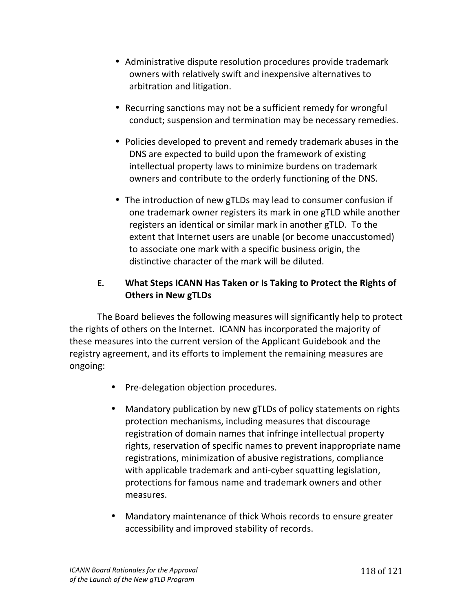- Administrative dispute resolution procedures provide trademark owners with relatively swift and inexpensive alternatives to arbitration and litigation.
- Recurring sanctions may not be a sufficient remedy for wrongful conduct; suspension and termination may be necessary remedies.
- Policies developed to prevent and remedy trademark abuses in the DNS are expected to build upon the framework of existing intellectual property laws to minimize burdens on trademark owners and contribute to the orderly functioning of the DNS.
- The introduction of new gTLDs may lead to consumer confusion if one trademark owner registers its mark in one gTLD while another registers an identical or similar mark in another gTLD. To the extent that Internet users are unable (or become unaccustomed) to associate one mark with a specific business origin, the distinctive character of the mark will be diluted.

## **E.** What Steps ICANN Has Taken or Is Taking to Protect the Rights of **Others in New gTLDs**

The Board believes the following measures will significantly help to protect the rights of others on the Internet. ICANN has incorporated the majority of these measures into the current version of the Applicant Guidebook and the registry agreement, and its efforts to implement the remaining measures are ongoing:

- Pre-delegation objection procedures.
- Mandatory publication by new gTLDs of policy statements on rights protection mechanisms, including measures that discourage registration of domain names that infringe intellectual property rights, reservation of specific names to prevent inappropriate name registrations, minimization of abusive registrations, compliance with applicable trademark and anti-cyber squatting legislation, protections for famous name and trademark owners and other measures.
- Mandatory maintenance of thick Whois records to ensure greater accessibility and improved stability of records.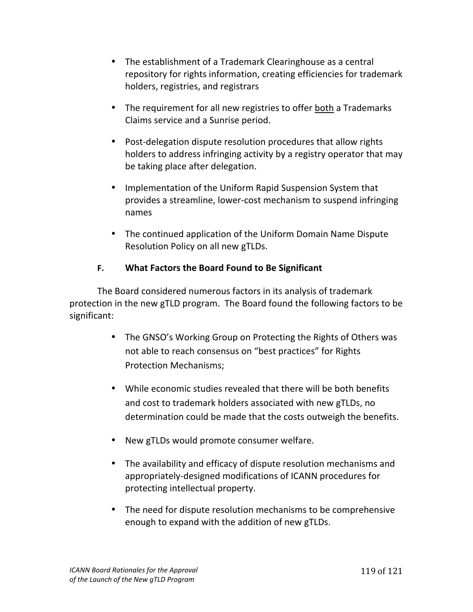- The establishment of a Trademark Clearinghouse as a central repository for rights information, creating efficiencies for trademark holders, registries, and registrars
- The requirement for all new registries to offer both a Trademarks Claims service and a Sunrise period.
- Post-delegation dispute resolution procedures that allow rights holders to address infringing activity by a registry operator that may be taking place after delegation.
- Implementation of the Uniform Rapid Suspension System that provides a streamline, lower-cost mechanism to suspend infringing names
- The continued application of the Uniform Domain Name Dispute Resolution Policy on all new gTLDs.

# **F.** What Factors the Board Found to Be Significant

The Board considered numerous factors in its analysis of trademark protection in the new gTLD program. The Board found the following factors to be significant:

- The GNSO's Working Group on Protecting the Rights of Others was not able to reach consensus on "best practices" for Rights Protection Mechanisms;
- While economic studies revealed that there will be both benefits and cost to trademark holders associated with new gTLDs, no determination could be made that the costs outweigh the benefits.
- New gTLDs would promote consumer welfare.
- The availability and efficacy of dispute resolution mechanisms and appropriately-designed modifications of ICANN procedures for protecting intellectual property.
- The need for dispute resolution mechanisms to be comprehensive enough to expand with the addition of new gTLDs.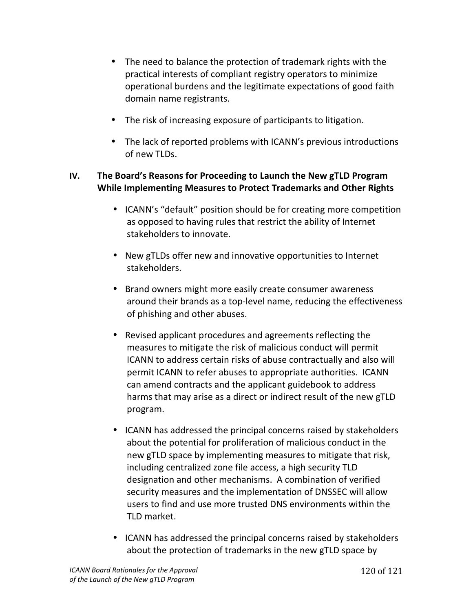- The need to balance the protection of trademark rights with the practical interests of compliant registry operators to minimize operational burdens and the legitimate expectations of good faith domain name registrants.
- The risk of increasing exposure of participants to litigation.
- The lack of reported problems with ICANN's previous introductions of new TLDs.

#### **IV.** The Board's Reasons for Proceeding to Launch the New gTLD Program **While Implementing Measures to Protect Trademarks and Other Rights**

- ICANN's "default" position should be for creating more competition as opposed to having rules that restrict the ability of Internet stakeholders to innovate.
- New gTLDs offer new and innovative opportunities to Internet stakeholders.
- Brand owners might more easily create consumer awareness around their brands as a top-level name, reducing the effectiveness of phishing and other abuses.
- Revised applicant procedures and agreements reflecting the measures to mitigate the risk of malicious conduct will permit ICANN to address certain risks of abuse contractually and also will permit ICANN to refer abuses to appropriate authorities. ICANN can amend contracts and the applicant guidebook to address harms that may arise as a direct or indirect result of the new gTLD program.
- ICANN has addressed the principal concerns raised by stakeholders about the potential for proliferation of malicious conduct in the new gTLD space by implementing measures to mitigate that risk, including centralized zone file access, a high security TLD designation and other mechanisms. A combination of verified security measures and the implementation of DNSSEC will allow users to find and use more trusted DNS environments within the TLD market.
- ICANN has addressed the principal concerns raised by stakeholders about the protection of trademarks in the new gTLD space by